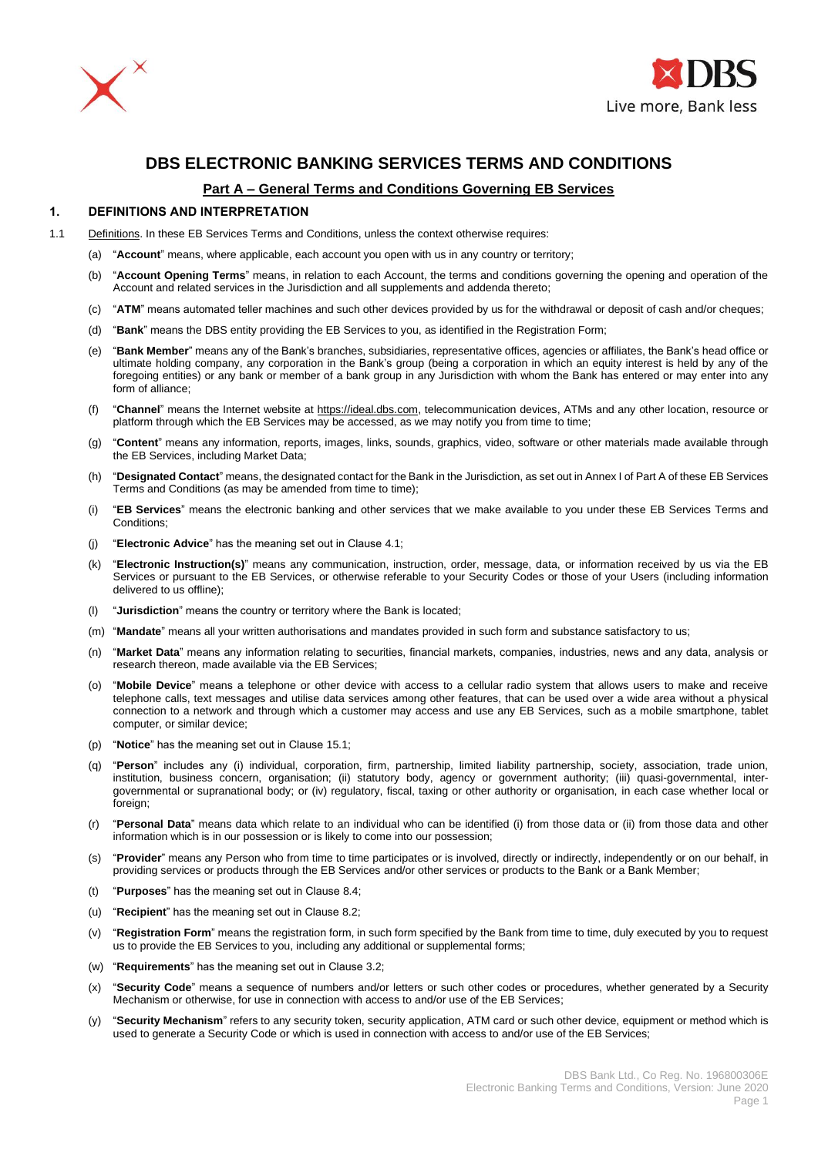



# **DBS ELECTRONIC BANKING SERVICES TERMS AND CONDITIONS**

# **Part A – General Terms and Conditions Governing EB Services**

# **1. DEFINITIONS AND INTERPRETATION**

- 1.1 Definitions. In these EB Services Terms and Conditions, unless the context otherwise requires:
	- (a) "**Account**" means, where applicable, each account you open with us in any country or territory;
	- (b) "**Account Opening Terms**" means, in relation to each Account, the terms and conditions governing the opening and operation of the Account and related services in the Jurisdiction and all supplements and addenda thereto;
	- (c) "**ATM**" means automated teller machines and such other devices provided by us for the withdrawal or deposit of cash and/or cheques;
	- (d) "**Bank**" means the DBS entity providing the EB Services to you, as identified in the Registration Form;
	- (e) "**Bank Member**" means any of the Bank's branches, subsidiaries, representative offices, agencies or affiliates, the Bank's head office or ultimate holding company, any corporation in the Bank's group (being a corporation in which an equity interest is held by any of the foregoing entities) or any bank or member of a bank group in any Jurisdiction with whom the Bank has entered or may enter into any form of alliance;
	- (f) "**Channel**" means the Internet website at [https://ideal.dbs.com,](https://ideal.dbs.com/) telecommunication devices, ATMs and any other location, resource or platform through which the EB Services may be accessed, as we may notify you from time to time;
	- (g) "**Content**" means any information, reports, images, links, sounds, graphics, video, software or other materials made available through the EB Services, including Market Data;
	- (h) "**Designated Contact**" means, the designated contact for the Bank in the Jurisdiction, as set out in Annex I of Part A of these EB Services Terms and Conditions (as may be amended from time to time);
	- (i) "**EB Services**" means the electronic banking and other services that we make available to you under these EB Services Terms and Conditions;
	- (j) "**Electronic Advice**" has the meaning set out in Claus[e 4.1;](#page-2-0)
	- (k) "**Electronic Instruction(s)**" means any communication, instruction, order, message, data, or information received by us via the EB Services or pursuant to the EB Services, or otherwise referable to your Security Codes or those of your Users (including information delivered to us offline);
	- (l) "**Jurisdiction**" means the country or territory where the Bank is located;
	- (m) "**Mandate**" means all your written authorisations and mandates provided in such form and substance satisfactory to us;
	- (n) "**Market Data**" means any information relating to securities, financial markets, companies, industries, news and any data, analysis or research thereon, made available via the EB Services;
	- (o) "**Mobile Device**" means a telephone or other device with access to a cellular radio system that allows users to make and receive telephone calls, text messages and utilise data services among other features, that can be used over a wide area without a physical connection to a network and through which a customer may access and use any EB Services, such as a mobile smartphone, tablet computer, or similar device;
	- (p) "**Notice**" has the meaning set out in Claus[e 15.1;](#page-8-0)
	- (q) "**Person**" includes any (i) individual, corporation, firm, partnership, limited liability partnership, society, association, trade union, institution, business concern, organisation; (ii) statutory body, agency or government authority; (iii) quasi-governmental, intergovernmental or supranational body; or (iv) regulatory, fiscal, taxing or other authority or organisation, in each case whether local or foreign;
	- (r) "**Personal Data**" means data which relate to an individual who can be identified (i) from those data or (ii) from those data and other information which is in our possession or is likely to come into our possession;
	- (s) "**Provider**" means any Person who from time to time participates or is involved, directly or indirectly, independently or on our behalf, in providing services or products through the EB Services and/or other services or products to the Bank or a Bank Member;
	- (t) "**Purposes**" has the meaning set out in Claus[e 8.4;](#page-5-0)
	- (u) "**Recipient**" has the meaning set out in Clause [8.2;](#page-5-1)
	- (v) "**Registration Form**" means the registration form, in such form specified by the Bank from time to time, duly executed by you to request us to provide the EB Services to you, including any additional or supplemental forms;
	- (w) "**Requirements**" has the meaning set out in Claus[e 3.2;](#page-1-0)
	- (x) "**Security Code**" means a sequence of numbers and/or letters or such other codes or procedures, whether generated by a Security Mechanism or otherwise, for use in connection with access to and/or use of the EB Services;
	- (y) "**Security Mechanism**" refers to any security token, security application, ATM card or such other device, equipment or method which is used to generate a Security Code or which is used in connection with access to and/or use of the EB Services;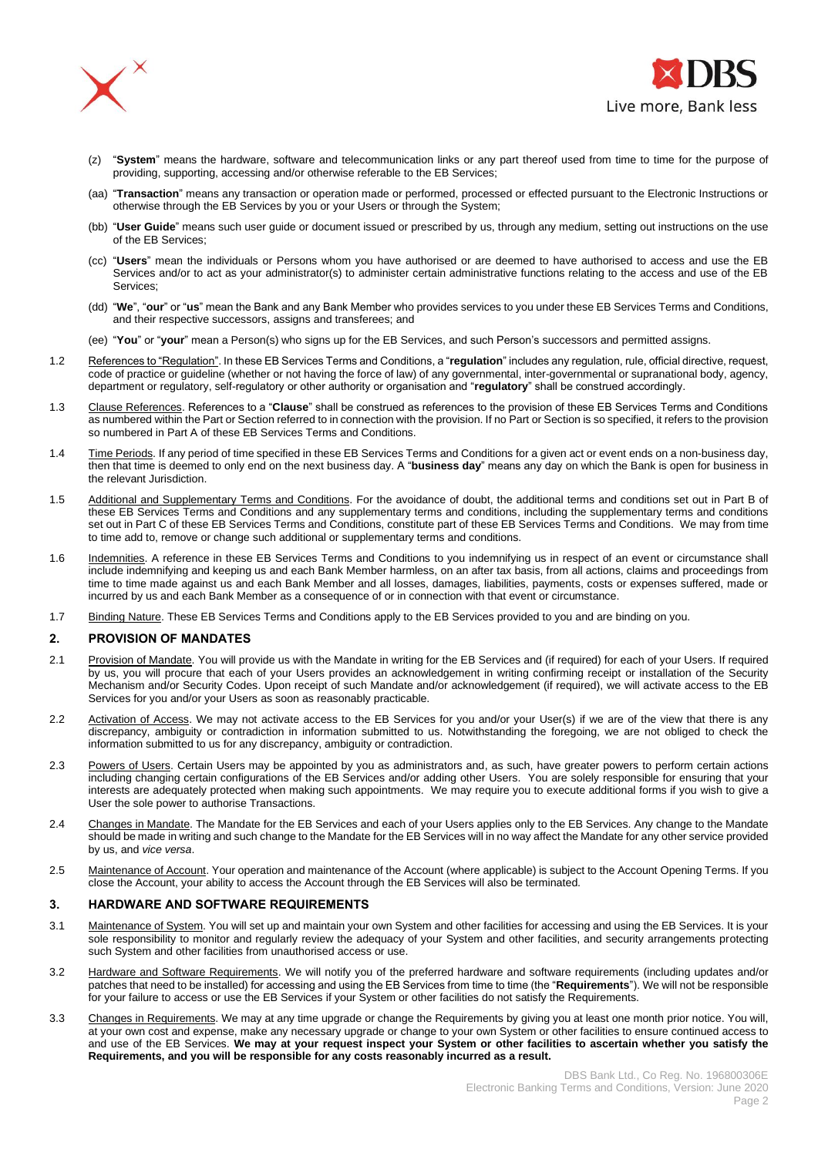



- (z) "**System**" means the hardware, software and telecommunication links or any part thereof used from time to time for the purpose of providing, supporting, accessing and/or otherwise referable to the EB Services;
- (aa) "**Transaction**" means any transaction or operation made or performed, processed or effected pursuant to the Electronic Instructions or otherwise through the EB Services by you or your Users or through the System;
- (bb) "**User Guide**" means such user guide or document issued or prescribed by us, through any medium, setting out instructions on the use of the EB Services;
- (cc) "**Users**" mean the individuals or Persons whom you have authorised or are deemed to have authorised to access and use the EB Services and/or to act as your administrator(s) to administer certain administrative functions relating to the access and use of the EB Services;
- (dd) "**We**", "**our**" or "**us**" mean the Bank and any Bank Member who provides services to you under these EB Services Terms and Conditions, and their respective successors, assigns and transferees; and
- (ee) "**You**" or "**your**" mean a Person(s) who signs up for the EB Services, and such Person's successors and permitted assigns.
- 1.2 References to "Regulation". In these EB Services Terms and Conditions, a "**regulation**" includes any regulation, rule, official directive, request, code of practice or guideline (whether or not having the force of law) of any governmental, inter-governmental or supranational body, agency, department or regulatory, self-regulatory or other authority or organisation and "**regulatory**" shall be construed accordingly.
- 1.3 Clause References. References to a "**Clause**" shall be construed as references to the provision of these EB Services Terms and Conditions as numbered within the Part or Section referred to in connection with the provision. If no Part or Section is so specified, it refers to the provision so numbered in Part A of these EB Services Terms and Conditions.
- 1.4 Time Periods. If any period of time specified in these EB Services Terms and Conditions for a given act or event ends on a non-business day, then that time is deemed to only end on the next business day. A "**business day**" means any day on which the Bank is open for business in the relevant Jurisdiction.
- 1.5 Additional and Supplementary Terms and Conditions. For the avoidance of doubt, the additional terms and conditions set out in Part B of these EB Services Terms and Conditions and any supplementary terms and conditions, including the supplementary terms and conditions set out in Part C of these EB Services Terms and Conditions, constitute part of these EB Services Terms and Conditions. We may from time to time add to, remove or change such additional or supplementary terms and conditions.
- 1.6 Indemnities. A reference in these EB Services Terms and Conditions to you indemnifying us in respect of an event or circumstance shall include indemnifying and keeping us and each Bank Member harmless, on an after tax basis, from all actions, claims and proceedings from time to time made against us and each Bank Member and all losses, damages, liabilities, payments, costs or expenses suffered, made or incurred by us and each Bank Member as a consequence of or in connection with that event or circumstance.
- 1.7 Binding Nature. These EB Services Terms and Conditions apply to the EB Services provided to you and are binding on you.

#### **2. PROVISION OF MANDATES**

- 2.1 Provision of Mandate. You will provide us with the Mandate in writing for the EB Services and (if required) for each of your Users. If required by us, you will procure that each of your Users provides an acknowledgement in writing confirming receipt or installation of the Security Mechanism and/or Security Codes. Upon receipt of such Mandate and/or acknowledgement (if required), we will activate access to the EB Services for you and/or your Users as soon as reasonably practicable.
- 2.2 Activation of Access. We may not activate access to the EB Services for you and/or your User(s) if we are of the view that there is any discrepancy, ambiguity or contradiction in information submitted to us. Notwithstanding the foregoing, we are not obliged to check the information submitted to us for any discrepancy, ambiguity or contradiction.
- 2.3 Powers of Users. Certain Users may be appointed by you as administrators and, as such, have greater powers to perform certain actions including changing certain configurations of the EB Services and/or adding other Users. You are solely responsible for ensuring that your interests are adequately protected when making such appointments. We may require you to execute additional forms if you wish to give a User the sole power to authorise Transactions.
- 2.4 Changes in Mandate. The Mandate for the EB Services and each of your Users applies only to the EB Services. Any change to the Mandate should be made in writing and such change to the Mandate for the EB Services will in no way affect the Mandate for any other service provided by us, and *vice versa*.
- 2.5 Maintenance of Account. Your operation and maintenance of the Account (where applicable) is subject to the Account Opening Terms. If you close the Account, your ability to access the Account through the EB Services will also be terminated.

# **3. HARDWARE AND SOFTWARE REQUIREMENTS**

- 3.1 Maintenance of System. You will set up and maintain your own System and other facilities for accessing and using the EB Services. It is your sole responsibility to monitor and regularly review the adequacy of your System and other facilities, and security arrangements protecting such System and other facilities from unauthorised access or use.
- <span id="page-1-0"></span>3.2 Hardware and Software Requirements. We will notify you of the preferred hardware and software requirements (including updates and/or patches that need to be installed) for accessing and using the EB Services from time to time (the "**Requirements**"). We will not be responsible for your failure to access or use the EB Services if your System or other facilities do not satisfy the Requirements.
- 3.3 Changes in Requirements. We may at any time upgrade or change the Requirements by giving you at least one month prior notice. You will, at your own cost and expense, make any necessary upgrade or change to your own System or other facilities to ensure continued access to and use of the EB Services. **We may at your request inspect your System or other facilities to ascertain whether you satisfy the Requirements, and you will be responsible for any costs reasonably incurred as a result.**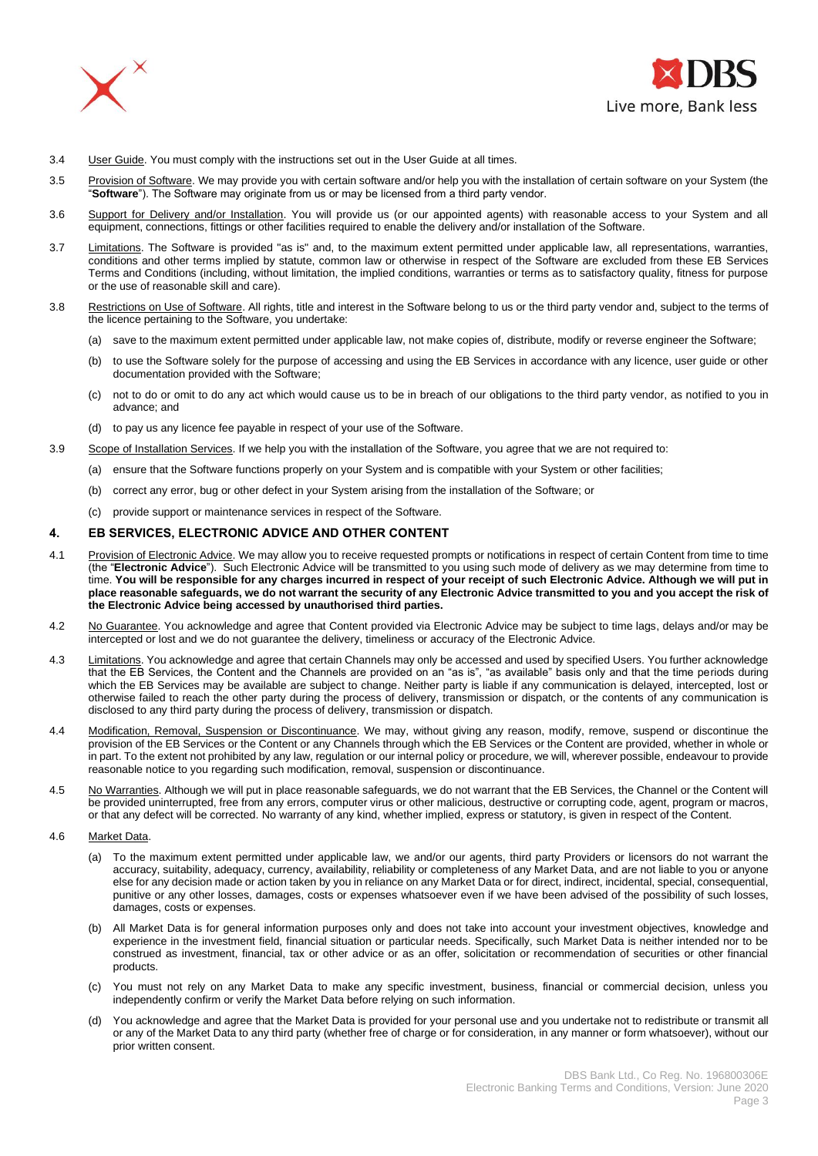



- 3.4 User Guide. You must comply with the instructions set out in the User Guide at all times.
- 3.5 Provision of Software. We may provide you with certain software and/or help you with the installation of certain software on your System (the "**Software**"). The Software may originate from us or may be licensed from a third party vendor.
- 3.6 Support for Delivery and/or Installation. You will provide us (or our appointed agents) with reasonable access to your System and all equipment, connections, fittings or other facilities required to enable the delivery and/or installation of the Software.
- 3.7 **Limitations**. The Software is provided "as is" and, to the maximum extent permitted under applicable law, all representations, warranties, conditions and other terms implied by statute, common law or otherwise in respect of the Software are excluded from these EB Services Terms and Conditions (including, without limitation, the implied conditions, warranties or terms as to satisfactory quality, fitness for purpose or the use of reasonable skill and care).
- 3.8 Restrictions on Use of Software. All rights, title and interest in the Software belong to us or the third party vendor and, subject to the terms of the licence pertaining to the Software, you undertake:
	- (a) save to the maximum extent permitted under applicable law, not make copies of, distribute, modify or reverse engineer the Software;
	- (b) to use the Software solely for the purpose of accessing and using the EB Services in accordance with any licence, user guide or other documentation provided with the Software;
	- (c) not to do or omit to do any act which would cause us to be in breach of our obligations to the third party vendor, as notified to you in advance; and
	- (d) to pay us any licence fee payable in respect of your use of the Software.
- 3.9 Scope of Installation Services. If we help you with the installation of the Software, you agree that we are not required to:
	- (a) ensure that the Software functions properly on your System and is compatible with your System or other facilities;
	- (b) correct any error, bug or other defect in your System arising from the installation of the Software; or
	- (c) provide support or maintenance services in respect of the Software.

# **4. EB SERVICES, ELECTRONIC ADVICE AND OTHER CONTENT**

- <span id="page-2-0"></span>4.1 Provision of Electronic Advice. We may allow you to receive requested prompts or notifications in respect of certain Content from time to time (the "**Electronic Advice**"). Such Electronic Advice will be transmitted to you using such mode of delivery as we may determine from time to time. **You will be responsible for any charges incurred in respect of your receipt of such Electronic Advice. Although we will put in place reasonable safeguards, we do not warrant the security of any Electronic Advice transmitted to you and you accept the risk of the Electronic Advice being accessed by unauthorised third parties.**
- 4.2 No Guarantee. You acknowledge and agree that Content provided via Electronic Advice may be subject to time lags, delays and/or may be intercepted or lost and we do not guarantee the delivery, timeliness or accuracy of the Electronic Advice.
- 4.3 Limitations. You acknowledge and agree that certain Channels may only be accessed and used by specified Users. You further acknowledge that the EB Services, the Content and the Channels are provided on an "as is", "as available" basis only and that the time periods during which the EB Services may be available are subject to change. Neither party is liable if any communication is delayed, intercepted, lost or otherwise failed to reach the other party during the process of delivery, transmission or dispatch, or the contents of any communication is disclosed to any third party during the process of delivery, transmission or dispatch.
- 4.4 Modification, Removal, Suspension or Discontinuance. We may, without giving any reason, modify, remove, suspend or discontinue the provision of the EB Services or the Content or any Channels through which the EB Services or the Content are provided, whether in whole or in part. To the extent not prohibited by any law, regulation or our internal policy or procedure, we will, wherever possible, endeavour to provide reasonable notice to you regarding such modification, removal, suspension or discontinuance.
- 4.5 No Warranties. Although we will put in place reasonable safeguards, we do not warrant that the EB Services, the Channel or the Content will be provided uninterrupted, free from any errors, computer virus or other malicious, destructive or corrupting code, agent, program or macros, or that any defect will be corrected. No warranty of any kind, whether implied, express or statutory, is given in respect of the Content.

#### 4.6 Market Data.

- (a) To the maximum extent permitted under applicable law, we and/or our agents, third party Providers or licensors do not warrant the accuracy, suitability, adequacy, currency, availability, reliability or completeness of any Market Data, and are not liable to you or anyone else for any decision made or action taken by you in reliance on any Market Data or for direct, indirect, incidental, special, consequential, punitive or any other losses, damages, costs or expenses whatsoever even if we have been advised of the possibility of such losses, damages, costs or expenses.
- (b) All Market Data is for general information purposes only and does not take into account your investment objectives, knowledge and experience in the investment field, financial situation or particular needs. Specifically, such Market Data is neither intended nor to be construed as investment, financial, tax or other advice or as an offer, solicitation or recommendation of securities or other financial products.
- (c) You must not rely on any Market Data to make any specific investment, business, financial or commercial decision, unless you independently confirm or verify the Market Data before relying on such information.
- You acknowledge and agree that the Market Data is provided for your personal use and you undertake not to redistribute or transmit all or any of the Market Data to any third party (whether free of charge or for consideration, in any manner or form whatsoever), without our prior written consent.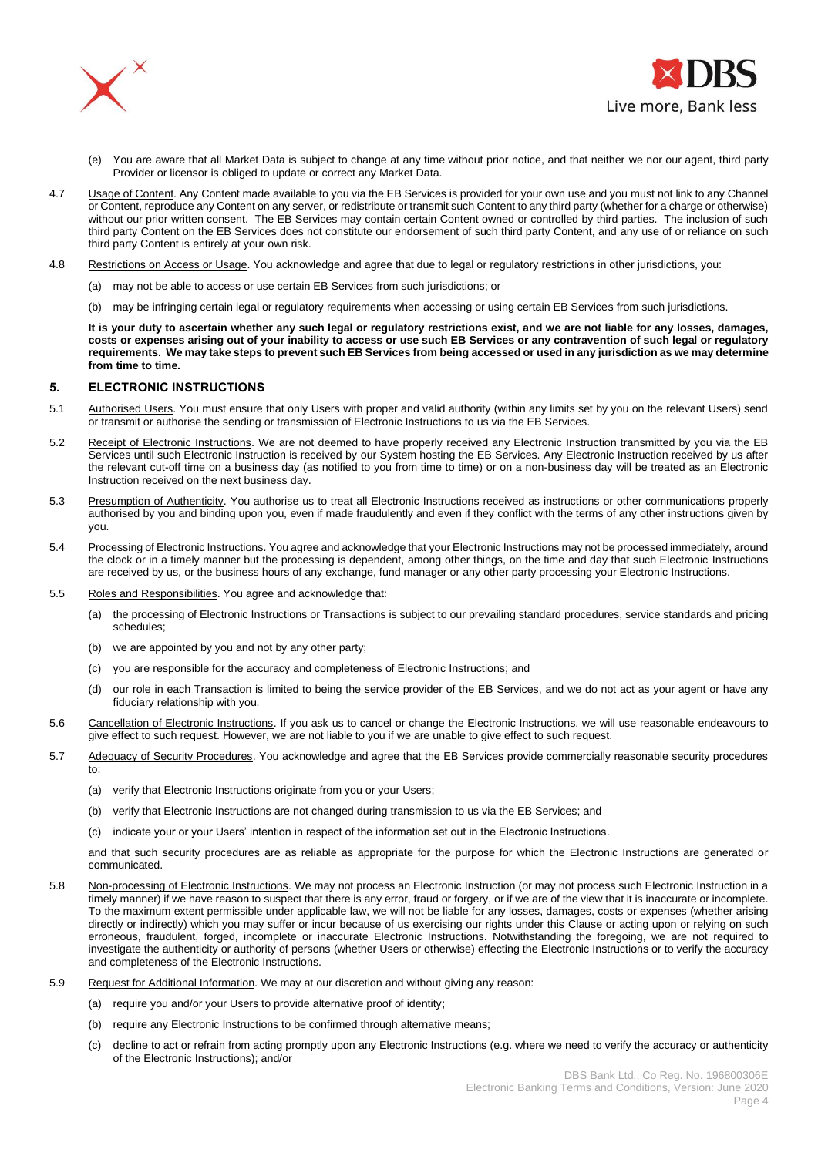



- (e) You are aware that all Market Data is subject to change at any time without prior notice, and that neither we nor our agent, third party Provider or licensor is obliged to update or correct any Market Data.
- 4.7 Usage of Content. Any Content made available to you via the EB Services is provided for your own use and you must not link to any Channel or Content, reproduce any Content on any server, or redistribute or transmit such Content to any third party (whether for a charge or otherwise) without our prior written consent. The EB Services may contain certain Content owned or controlled by third parties. The inclusion of such third party Content on the EB Services does not constitute our endorsement of such third party Content, and any use of or reliance on such third party Content is entirely at your own risk.
- 4.8 Restrictions on Access or Usage. You acknowledge and agree that due to legal or regulatory restrictions in other jurisdictions, you:
	- (a) may not be able to access or use certain EB Services from such jurisdictions; or
	- (b) may be infringing certain legal or regulatory requirements when accessing or using certain EB Services from such jurisdictions.

**It is your duty to ascertain whether any such legal or regulatory restrictions exist, and we are not liable for any losses, damages, costs or expenses arising out of your inability to access or use such EB Services or any contravention of such legal or regulatory requirements. We may take steps to prevent such EB Services from being accessed or used in any jurisdiction as we may determine from time to time.**

### **5. ELECTRONIC INSTRUCTIONS**

- 5.1 Authorised Users. You must ensure that only Users with proper and valid authority (within any limits set by you on the relevant Users) send or transmit or authorise the sending or transmission of Electronic Instructions to us via the EB Services.
- 5.2 Receipt of Electronic Instructions. We are not deemed to have properly received any Electronic Instruction transmitted by you via the EB Services until such Electronic Instruction is received by our System hosting the EB Services. Any Electronic Instruction received by us after the relevant cut-off time on a business day (as notified to you from time to time) or on a non-business day will be treated as an Electronic Instruction received on the next business day.
- 5.3 Presumption of Authenticity. You authorise us to treat all Electronic Instructions received as instructions or other communications properly authorised by you and binding upon you, even if made fraudulently and even if they conflict with the terms of any other instructions given by you.
- 5.4 Processing of Electronic Instructions. You agree and acknowledge that your Electronic Instructions may not be processed immediately, around the clock or in a timely manner but the processing is dependent, among other things, on the time and day that such Electronic Instructions are received by us, or the business hours of any exchange, fund manager or any other party processing your Electronic Instructions.
- 5.5 Roles and Responsibilities. You agree and acknowledge that:
	- (a) the processing of Electronic Instructions or Transactions is subject to our prevailing standard procedures, service standards and pricing schedules;
	- (b) we are appointed by you and not by any other party;
	- (c) you are responsible for the accuracy and completeness of Electronic Instructions; and
	- (d) our role in each Transaction is limited to being the service provider of the EB Services, and we do not act as your agent or have any fiduciary relationship with you.
- 5.6 Cancellation of Electronic Instructions. If you ask us to cancel or change the Electronic Instructions, we will use reasonable endeavours to give effect to such request. However, we are not liable to you if we are unable to give effect to such request.
- 5.7 Adequacy of Security Procedures. You acknowledge and agree that the EB Services provide commercially reasonable security procedures to:
	- (a) verify that Electronic Instructions originate from you or your Users;
	- (b) verify that Electronic Instructions are not changed during transmission to us via the EB Services; and
	- (c) indicate your or your Users' intention in respect of the information set out in the Electronic Instructions.

and that such security procedures are as reliable as appropriate for the purpose for which the Electronic Instructions are generated or communicated.

- 5.8 Non-processing of Electronic Instructions. We may not process an Electronic Instruction (or may not process such Electronic Instruction in a timely manner) if we have reason to suspect that there is any error, fraud or forgery, or if we are of the view that it is inaccurate or incomplete. To the maximum extent permissible under applicable law, we will not be liable for any losses, damages, costs or expenses (whether arising directly or indirectly) which you may suffer or incur because of us exercising our rights under this Clause or acting upon or relying on such erroneous, fraudulent, forged, incomplete or inaccurate Electronic Instructions. Notwithstanding the foregoing, we are not required to investigate the authenticity or authority of persons (whether Users or otherwise) effecting the Electronic Instructions or to verify the accuracy and completeness of the Electronic Instructions.
- 5.9 Request for Additional Information. We may at our discretion and without giving any reason:
	- (a) require you and/or your Users to provide alternative proof of identity;
	- (b) require any Electronic Instructions to be confirmed through alternative means;
	- (c) decline to act or refrain from acting promptly upon any Electronic Instructions (e.g. where we need to verify the accuracy or authenticity of the Electronic Instructions); and/or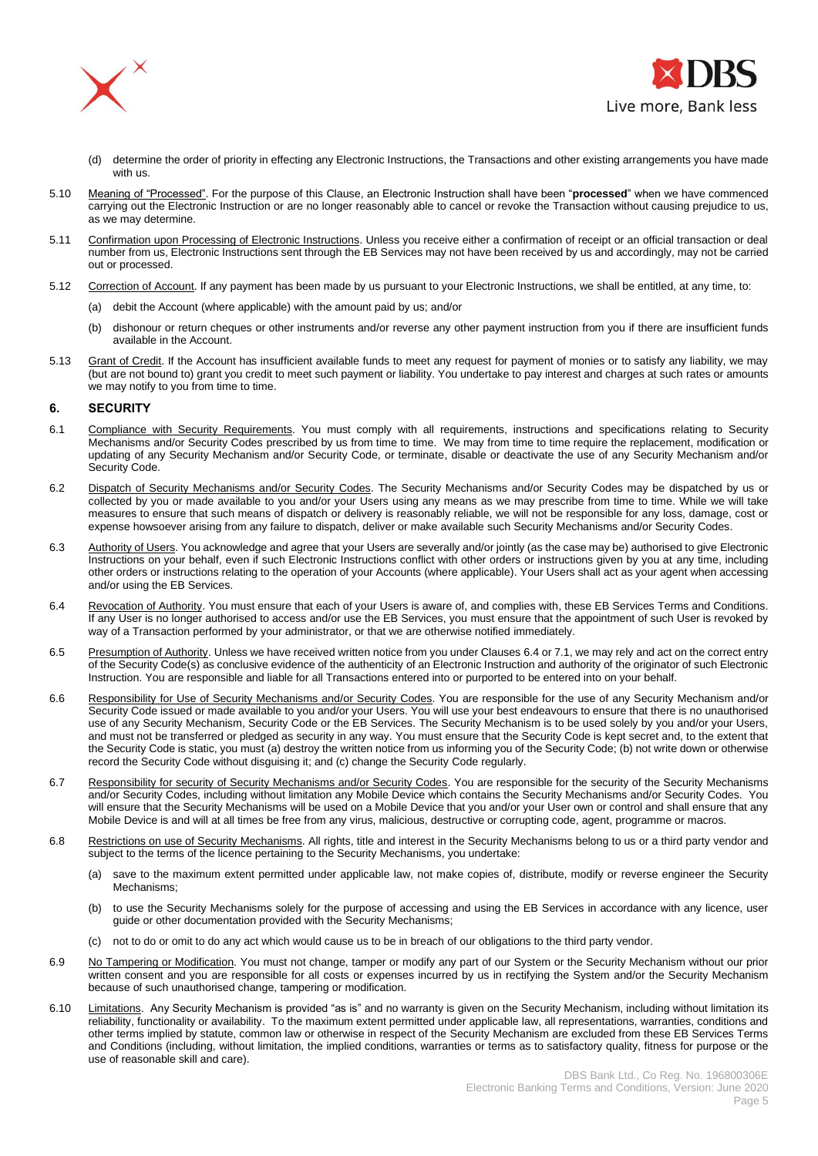



- (d) determine the order of priority in effecting any Electronic Instructions, the Transactions and other existing arrangements you have made with us.
- 5.10 Meaning of "Processed". For the purpose of this Clause, an Electronic Instruction shall have been "**processed**" when we have commenced carrying out the Electronic Instruction or are no longer reasonably able to cancel or revoke the Transaction without causing prejudice to us, as we may determine.
- 5.11 Confirmation upon Processing of Electronic Instructions. Unless you receive either a confirmation of receipt or an official transaction or deal number from us, Electronic Instructions sent through the EB Services may not have been received by us and accordingly, may not be carried out or processed.
- 5.12 Correction of Account. If any payment has been made by us pursuant to your Electronic Instructions, we shall be entitled, at any time, to:
	- (a) debit the Account (where applicable) with the amount paid by us; and/or
		- (b) dishonour or return cheques or other instruments and/or reverse any other payment instruction from you if there are insufficient funds available in the Account.
- 5.13 Grant of Credit. If the Account has insufficient available funds to meet any request for payment of monies or to satisfy any liability, we may (but are not bound to) grant you credit to meet such payment or liability. You undertake to pay interest and charges at such rates or amounts we may notify to you from time to time.

#### **6. SECURITY**

- 6.1 Compliance with Security Requirements. You must comply with all requirements, instructions and specifications relating to Security Mechanisms and/or Security Codes prescribed by us from time to time. We may from time to time require the replacement, modification or updating of any Security Mechanism and/or Security Code, or terminate, disable or deactivate the use of any Security Mechanism and/or Security Code.
- 6.2 Dispatch of Security Mechanisms and/or Security Codes. The Security Mechanisms and/or Security Codes may be dispatched by us or collected by you or made available to you and/or your Users using any means as we may prescribe from time to time. While we will take measures to ensure that such means of dispatch or delivery is reasonably reliable, we will not be responsible for any loss, damage, cost or expense howsoever arising from any failure to dispatch, deliver or make available such Security Mechanisms and/or Security Codes.
- 6.3 Authority of Users. You acknowledge and agree that your Users are severally and/or jointly (as the case may be) authorised to give Electronic Instructions on your behalf, even if such Electronic Instructions conflict with other orders or instructions given by you at any time, including other orders or instructions relating to the operation of your Accounts (where applicable). Your Users shall act as your agent when accessing and/or using the EB Services.
- <span id="page-4-0"></span>6.4 Revocation of Authority. You must ensure that each of your Users is aware of, and complies with, these EB Services Terms and Conditions. If any User is no longer authorised to access and/or use the EB Services, you must ensure that the appointment of such User is revoked by way of a Transaction performed by your administrator, or that we are otherwise notified immediately.
- <span id="page-4-1"></span>6.5 Presumption of Authority. Unless we have received written notice from you under Clause[s 6.4](#page-4-0) o[r 7.1,](#page-5-2) we may rely and act on the correct entry of the Security Code(s) as conclusive evidence of the authenticity of an Electronic Instruction and authority of the originator of such Electronic Instruction. You are responsible and liable for all Transactions entered into or purported to be entered into on your behalf.
- 6.6 Responsibility for Use of Security Mechanisms and/or Security Codes. You are responsible for the use of any Security Mechanism and/or Security Code issued or made available to you and/or your Users. You will use your best endeavours to ensure that there is no unauthorised use of any Security Mechanism, Security Code or the EB Services. The Security Mechanism is to be used solely by you and/or your Users, and must not be transferred or pledged as security in any way. You must ensure that the Security Code is kept secret and, to the extent that the Security Code is static, you must (a) destroy the written notice from us informing you of the Security Code; (b) not write down or otherwise record the Security Code without disguising it; and (c) change the Security Code regularly.
- 6.7 Responsibility for security of Security Mechanisms and/or Security Codes. You are responsible for the security of the Security Mechanisms and/or Security Codes, including without limitation any Mobile Device which contains the Security Mechanisms and/or Security Codes. You will ensure that the Security Mechanisms will be used on a Mobile Device that you and/or your User own or control and shall ensure that any Mobile Device is and will at all times be free from any virus, malicious, destructive or corrupting code, agent, programme or macros.
- 6.8 Restrictions on use of Security Mechanisms. All rights, title and interest in the Security Mechanisms belong to us or a third party vendor and subject to the terms of the licence pertaining to the Security Mechanisms, you undertake:
	- (a) save to the maximum extent permitted under applicable law, not make copies of, distribute, modify or reverse engineer the Security Mechanisms;
	- (b) to use the Security Mechanisms solely for the purpose of accessing and using the EB Services in accordance with any licence, user guide or other documentation provided with the Security Mechanisms;
	- (c) not to do or omit to do any act which would cause us to be in breach of our obligations to the third party vendor.
- 6.9 No Tampering or Modification. You must not change, tamper or modify any part of our System or the Security Mechanism without our prior written consent and you are responsible for all costs or expenses incurred by us in rectifying the System and/or the Security Mechanism because of such unauthorised change, tampering or modification.
- 6.10 Limitations. Any Security Mechanism is provided "as is" and no warranty is given on the Security Mechanism, including without limitation its reliability, functionality or availability. To the maximum extent permitted under applicable law, all representations, warranties, conditions and other terms implied by statute, common law or otherwise in respect of the Security Mechanism are excluded from these EB Services Terms and Conditions (including, without limitation, the implied conditions, warranties or terms as to satisfactory quality, fitness for purpose or the use of reasonable skill and care).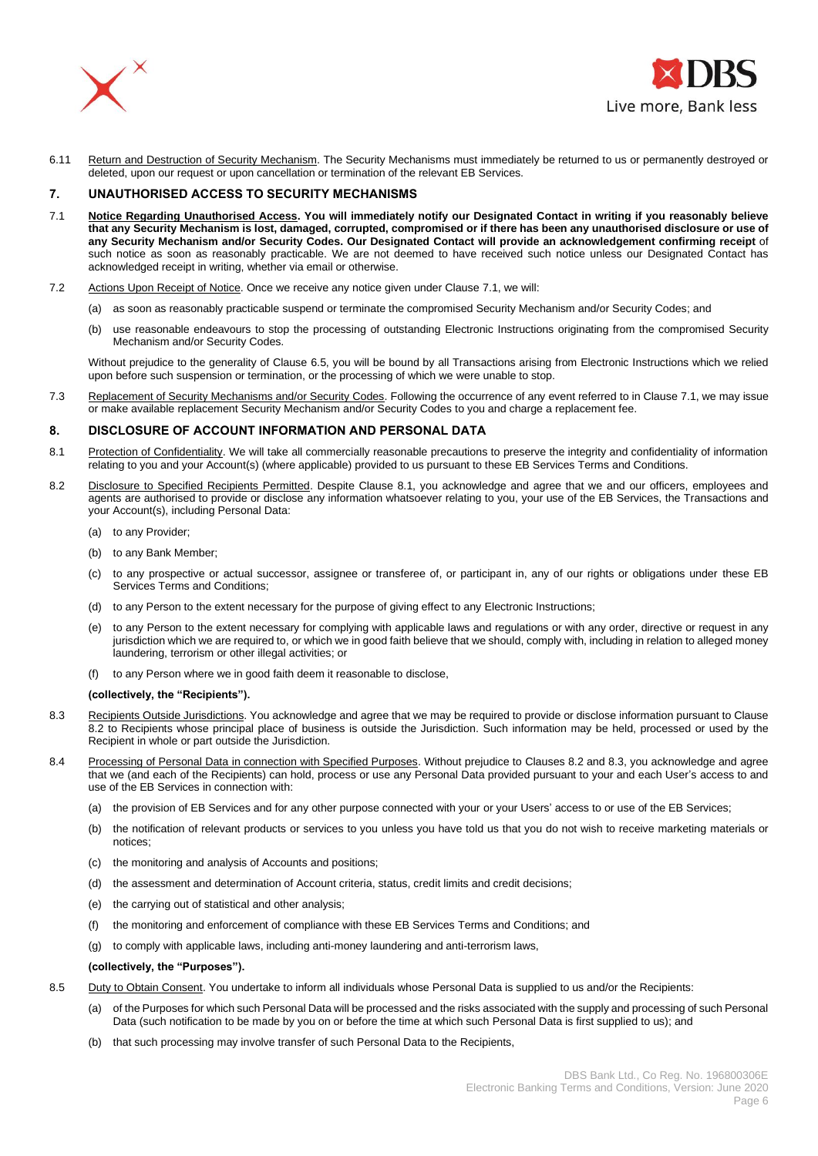



6.11 Return and Destruction of Security Mechanism. The Security Mechanisms must immediately be returned to us or permanently destroved or deleted, upon our request or upon cancellation or termination of the relevant EB Services.

# **7. UNAUTHORISED ACCESS TO SECURITY MECHANISMS**

- <span id="page-5-2"></span>7.1 **Notice Regarding Unauthorised Access. You will immediately notify our Designated Contact in writing if you reasonably believe that any Security Mechanism is lost, damaged, corrupted, compromised or if there has been any unauthorised disclosure or use of any Security Mechanism and/or Security Codes. Our Designated Contact will provide an acknowledgement confirming receipt** of such notice as soon as reasonably practicable. We are not deemed to have received such notice unless our Designated Contact has acknowledged receipt in writing, whether via email or otherwise.
- 7.2 Actions Upon Receipt of Notice. Once we receive any notice given under Claus[e 7.1,](#page-5-2) we will:
	- (a) as soon as reasonably practicable suspend or terminate the compromised Security Mechanism and/or Security Codes; and
	- (b) use reasonable endeavours to stop the processing of outstanding Electronic Instructions originating from the compromised Security Mechanism and/or Security Codes.

<span id="page-5-4"></span>Without prejudice to the generality of Clause [6.5,](#page-4-1) you will be bound by all Transactions arising from Electronic Instructions which we relied upon before such suspension or termination, or the processing of which we were unable to stop.

7.3 Replacement of Security Mechanisms and/or Security Codes. Following the occurrence of any event referred to in Clause [7.1,](#page-5-2) we may issue or make available replacement Security Mechanism and/or Security Codes to you and charge a replacement fee.

#### <span id="page-5-5"></span>**8. DISCLOSURE OF ACCOUNT INFORMATION AND PERSONAL DATA**

- <span id="page-5-3"></span>8.1 Protection of Confidentiality. We will take all commercially reasonable precautions to preserve the integrity and confidentiality of information relating to you and your Account(s) (where applicable) provided to us pursuant to these EB Services Terms and Conditions.
- <span id="page-5-1"></span>8.2 Disclosure to Specified Recipients Permitted. Despite Clause [8.1,](#page-5-3) you acknowledge and agree that we and our officers, employees and agents are authorised to provide or disclose any information whatsoever relating to you, your use of the EB Services, the Transactions and your Account(s), including Personal Data:
	- (a) to any Provider;
	- (b) to any Bank Member;
	- (c) to any prospective or actual successor, assignee or transferee of, or participant in, any of our rights or obligations under these EB Services Terms and Conditions;
	- (d) to any Person to the extent necessary for the purpose of giving effect to any Electronic Instructions;
	- (e) to any Person to the extent necessary for complying with applicable laws and regulations or with any order, directive or request in any jurisdiction which we are required to, or which we in good faith believe that we should, comply with, including in relation to alleged money laundering, terrorism or other illegal activities; or
	- to any Person where we in good faith deem it reasonable to disclose,
	- **(collectively, the "Recipients").**
- <span id="page-5-7"></span>8.3 Recipients Outside Jurisdictions. You acknowledge and agree that we may be required to provide or disclose information pursuant to Clause [8.2](#page-5-1) to Recipients whose principal place of business is outside the Jurisdiction. Such information may be held, processed or used by the Recipient in whole or part outside the Jurisdiction.
- <span id="page-5-0"></span>8.4 Processing of Personal Data in connection with Specified Purposes. Without prejudice to Clauses [8.2](#page-5-1) and 8.3, you acknowledge and agree that we (and each of the Recipients) can hold, process or use any Personal Data provided pursuant to your and each User's access to and use of the EB Services in connection with:
	- (a) the provision of EB Services and for any other purpose connected with your or your Users' access to or use of the EB Services;
	- (b) the notification of relevant products or services to you unless you have told us that you do not wish to receive marketing materials or notices;
	- (c) the monitoring and analysis of Accounts and positions;
	- (d) the assessment and determination of Account criteria, status, credit limits and credit decisions;
	- (e) the carrying out of statistical and other analysis;
	- (f) the monitoring and enforcement of compliance with these EB Services Terms and Conditions; and
	- (g) to comply with applicable laws, including anti-money laundering and anti-terrorism laws,

#### **(collectively, the "Purposes").**

- <span id="page-5-6"></span>8.5 Duty to Obtain Consent. You undertake to inform all individuals whose Personal Data is supplied to us and/or the Recipients:
	- (a) of the Purposes for which such Personal Data will be processed and the risks associated with the supply and processing of such Personal Data (such notification to be made by you on or before the time at which such Personal Data is first supplied to us); and
	- (b) that such processing may involve transfer of such Personal Data to the Recipients,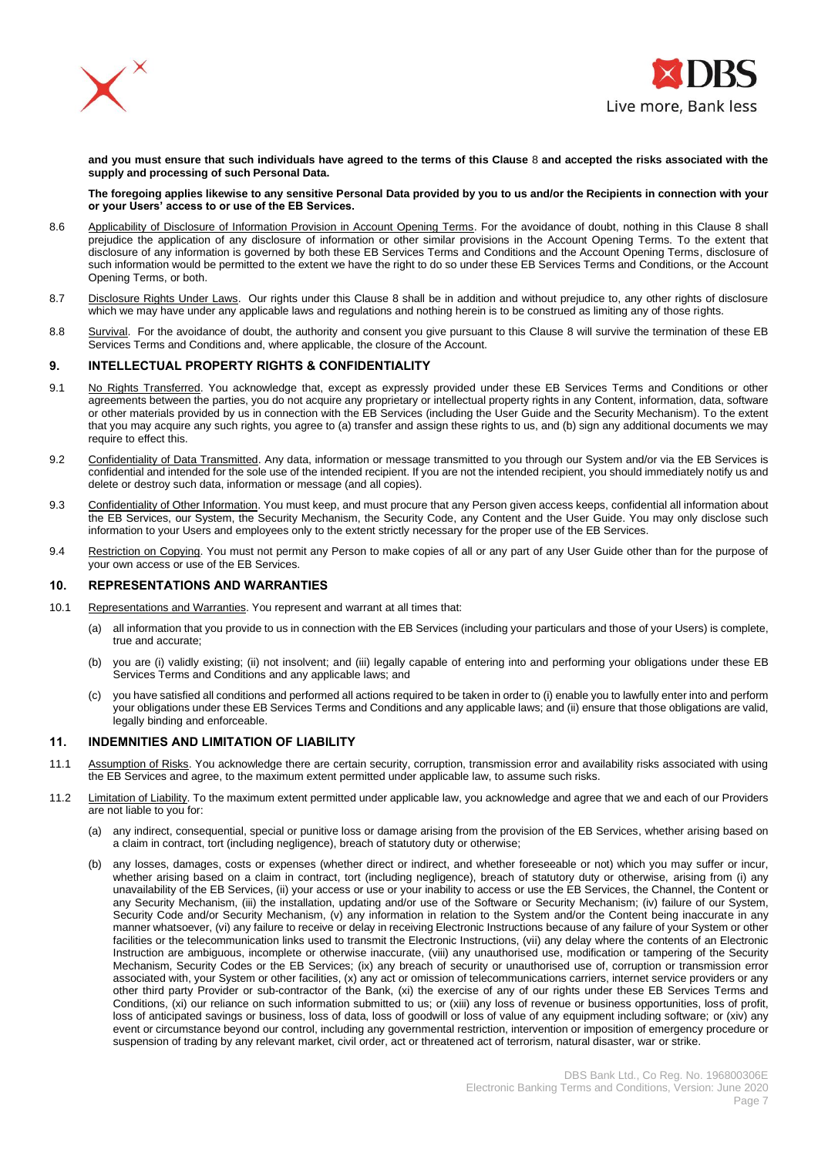



**and you must ensure that such individuals have agreed to the terms of this Clause** [8](#page-5-4) **and accepted the risks associated with the supply and processing of such Personal Data.**

**The foregoing applies likewise to any sensitive Personal Data provided by you to us and/or the Recipients in connection with your or your Users' access to or use of the EB Services.**

- 8.6 Applicability of Disclosure of Information Provision in Account Opening Terms. For the avoidance of doubt, nothing in this Clause 8 shall prejudice the application of any disclosure of information or other similar provisions in the Account Opening Terms. To the extent that disclosure of any information is governed by both these EB Services Terms and Conditions and the Account Opening Terms, disclosure of such information would be permitted to the extent we have the right to do so under these EB Services Terms and Conditions, or the Account Opening Terms, or both.
- 8.7 Disclosure Rights Under Laws. Our rights under this Clause [8](#page-5-5) shall be in addition and without prejudice to, any other rights of disclosure which we may have under any applicable laws and regulations and nothing herein is to be construed as limiting any of those rights.
- 8.8 Survival. For the avoidance of doubt, the authority and consent you give pursuant to this Clause [8](#page-5-5) will survive the termination of these EB Services Terms and Conditions and, where applicable, the closure of the Account.

### **9. INTELLECTUAL PROPERTY RIGHTS & CONFIDENTIALITY**

- 9.1 No Rights Transferred. You acknowledge that, except as expressly provided under these EB Services Terms and Conditions or other agreements between the parties, you do not acquire any proprietary or intellectual property rights in any Content, information, data, software or other materials provided by us in connection with the EB Services (including the User Guide and the Security Mechanism). To the extent that you may acquire any such rights, you agree to (a) transfer and assign these rights to us, and (b) sign any additional documents we may require to effect this.
- 9.2 Confidentiality of Data Transmitted. Any data, information or message transmitted to you through our System and/or via the EB Services is confidential and intended for the sole use of the intended recipient. If you are not the intended recipient, you should immediately notify us and delete or destroy such data, information or message (and all copies).
- 9.3 Confidentiality of Other Information. You must keep, and must procure that any Person given access keeps, confidential all information about the EB Services, our System, the Security Mechanism, the Security Code, any Content and the User Guide. You may only disclose such information to your Users and employees only to the extent strictly necessary for the proper use of the EB Services.
- 9.4 Restriction on Copying. You must not permit any Person to make copies of all or any part of any User Guide other than for the purpose of your own access or use of the EB Services.

#### <span id="page-6-0"></span>**10. REPRESENTATIONS AND WARRANTIES**

- 10.1 Representations and Warranties. You represent and warrant at all times that:
	- (a) all information that you provide to us in connection with the EB Services (including your particulars and those of your Users) is complete, true and accurate;
	- (b) you are (i) validly existing; (ii) not insolvent; and (iii) legally capable of entering into and performing your obligations under these EB Services Terms and Conditions and any applicable laws; and
	- (c) you have satisfied all conditions and performed all actions required to be taken in order to (i) enable you to lawfully enter into and perform your obligations under these EB Services Terms and Conditions and any applicable laws; and (ii) ensure that those obligations are valid, legally binding and enforceable.

### **11. INDEMNITIES AND LIMITATION OF LIABILITY**

- 11.1 Assumption of Risks. You acknowledge there are certain security, corruption, transmission error and availability risks associated with using the EB Services and agree, to the maximum extent permitted under applicable law, to assume such risks.
- 11.2 Limitation of Liability. To the maximum extent permitted under applicable law, you acknowledge and agree that we and each of our Providers are not liable to you for:
	- (a) any indirect, consequential, special or punitive loss or damage arising from the provision of the EB Services, whether arising based on a claim in contract, tort (including negligence), breach of statutory duty or otherwise;
	- (b) any losses, damages, costs or expenses (whether direct or indirect, and whether foreseeable or not) which you may suffer or incur, whether arising based on a claim in contract, tort (including negligence), breach of statutory duty or otherwise, arising from (i) any unavailability of the EB Services, (ii) your access or use or your inability to access or use the EB Services, the Channel, the Content or any Security Mechanism, (iii) the installation, updating and/or use of the Software or Security Mechanism; (iv) failure of our System, Security Code and/or Security Mechanism, (v) any information in relation to the System and/or the Content being inaccurate in any manner whatsoever, (vi) any failure to receive or delay in receiving Electronic Instructions because of any failure of your System or other facilities or the telecommunication links used to transmit the Electronic Instructions, (vii) any delay where the contents of an Electronic Instruction are ambiguous, incomplete or otherwise inaccurate, (viii) any unauthorised use, modification or tampering of the Security Mechanism, Security Codes or the EB Services; (ix) any breach of security or unauthorised use of, corruption or transmission error associated with, your System or other facilities, (x) any act or omission of telecommunications carriers, internet service providers or any other third party Provider or sub-contractor of the Bank, (xi) the exercise of any of our rights under these EB Services Terms and Conditions, (xi) our reliance on such information submitted to us; or (xiii) any loss of revenue or business opportunities, loss of profit, loss of anticipated savings or business, loss of data, loss of goodwill or loss of value of any equipment including software; or (xiv) any event or circumstance beyond our control, including any governmental restriction, intervention or imposition of emergency procedure or suspension of trading by any relevant market, civil order, act or threatened act of terrorism, natural disaster, war or strike.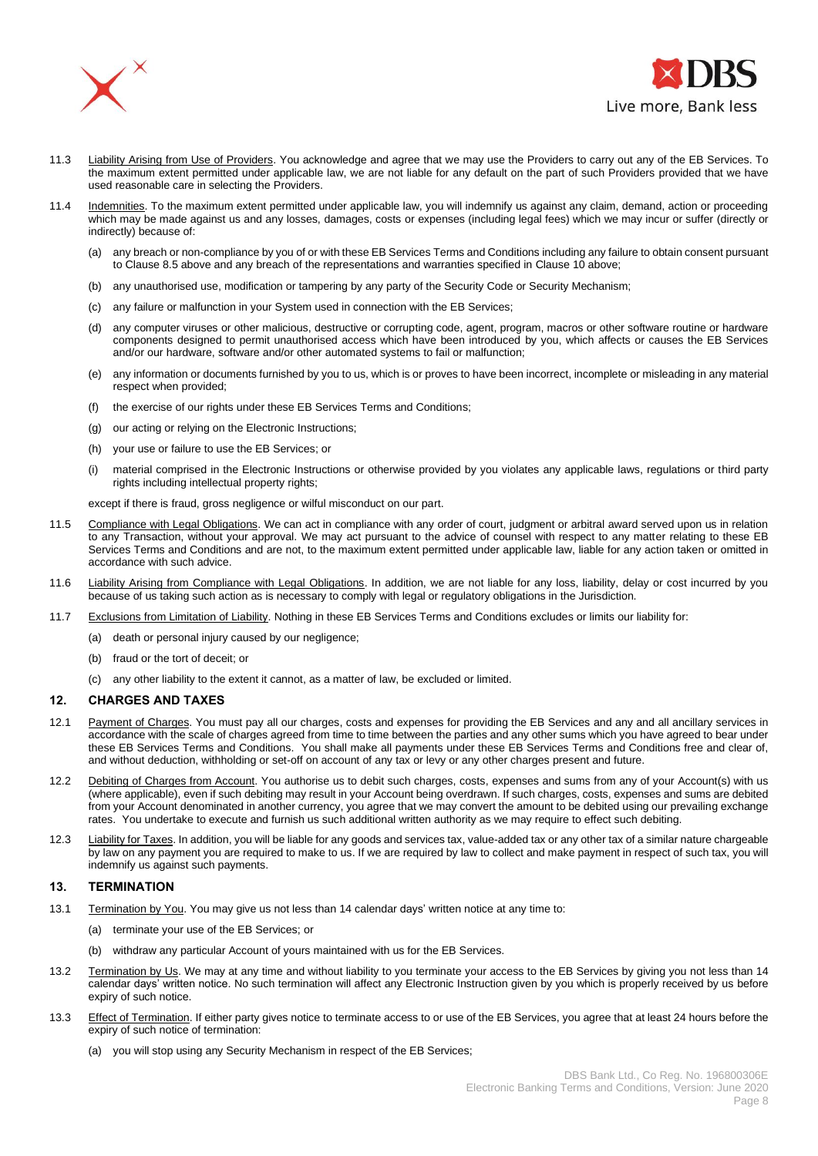



- 11.3 Liability Arising from Use of Providers. You acknowledge and agree that we may use the Providers to carry out any of the EB Services. To the maximum extent permitted under applicable law, we are not liable for any default on the part of such Providers provided that we have used reasonable care in selecting the Providers.
- <span id="page-7-1"></span>11.4 Indemnities. To the maximum extent permitted under applicable law, you will indemnify us against any claim, demand, action or proceeding which may be made against us and any losses, damages, costs or expenses (including legal fees) which we may incur or suffer (directly or indirectly) because of:
	- (a) any breach or non-compliance by you of or with these EB Services Terms and Conditions including any failure to obtain consent pursuant to Claus[e 8.5](#page-5-6) above and any breach of the representations and warranties specified in Clause [10](#page-6-0) above;
	- (b) any unauthorised use, modification or tampering by any party of the Security Code or Security Mechanism;
	- (c) any failure or malfunction in your System used in connection with the EB Services;
	- (d) any computer viruses or other malicious, destructive or corrupting code, agent, program, macros or other software routine or hardware components designed to permit unauthorised access which have been introduced by you, which affects or causes the EB Services and/or our hardware, software and/or other automated systems to fail or malfunction;
	- (e) any information or documents furnished by you to us, which is or proves to have been incorrect, incomplete or misleading in any material respect when provided;
	- (f) the exercise of our rights under these EB Services Terms and Conditions;
	- (g) our acting or relying on the Electronic Instructions;
	- (h) your use or failure to use the EB Services; or
	- (i) material comprised in the Electronic Instructions or otherwise provided by you violates any applicable laws, regulations or third party rights including intellectual property rights;
	- except if there is fraud, gross negligence or wilful misconduct on our part.
- 11.5 Compliance with Legal Obligations. We can act in compliance with any order of court, judgment or arbitral award served upon us in relation to any Transaction, without your approval. We may act pursuant to the advice of counsel with respect to any matter relating to these EB Services Terms and Conditions and are not, to the maximum extent permitted under applicable law, liable for any action taken or omitted in accordance with such advice.
- 11.6 Liability Arising from Compliance with Legal Obligations. In addition, we are not liable for any loss, liability, delay or cost incurred by you because of us taking such action as is necessary to comply with legal or regulatory obligations in the Jurisdiction.
- <span id="page-7-2"></span>11.7 Exclusions from Limitation of Liability. Nothing in these EB Services Terms and Conditions excludes or limits our liability for:
	- (a) death or personal injury caused by our negligence;
	- (b) fraud or the tort of deceit; or
	- (c) any other liability to the extent it cannot, as a matter of law, be excluded or limited.

#### **12. CHARGES AND TAXES**

- <span id="page-7-0"></span>12.1 Payment of Charges. You must pay all our charges, costs and expenses for providing the EB Services and any and all ancillary services in accordance with the scale of charges agreed from time to time between the parties and any other sums which you have agreed to bear under these EB Services Terms and Conditions. You shall make all payments under these EB Services Terms and Conditions free and clear of, and without deduction, withholding or set-off on account of any tax or levy or any other charges present and future.
- 12.2 Debiting of Charges from Account. You authorise us to debit such charges, costs, expenses and sums from any of your Account(s) with us (where applicable), even if such debiting may result in your Account being overdrawn. If such charges, costs, expenses and sums are debited from your Account denominated in another currency, you agree that we may convert the amount to be debited using our prevailing exchange rates. You undertake to execute and furnish us such additional written authority as we may require to effect such debiting.
- 12.3 Liability for Taxes. In addition, you will be liable for any goods and services tax, value-added tax or any other tax of a similar nature chargeable by law on any payment you are required to make to us. If we are required by law to collect and make payment in respect of such tax, you will indemnify us against such payments.

#### <span id="page-7-3"></span>**13. TERMINATION**

- 13.1 Termination by You. You may give us not less than 14 calendar days' written notice at any time to:
	- (a) terminate your use of the EB Services; or
	- (b) withdraw any particular Account of yours maintained with us for the EB Services.
- 13.2 Termination by Us. We may at any time and without liability to you terminate your access to the EB Services by giving you not less than 14 calendar days' written notice. No such termination will affect any Electronic Instruction given by you which is properly received by us before expiry of such notice.
- 13.3 Effect of Termination. If either party gives notice to terminate access to or use of the EB Services, you agree that at least 24 hours before the expiry of such notice of termination:
	- (a) you will stop using any Security Mechanism in respect of the EB Services;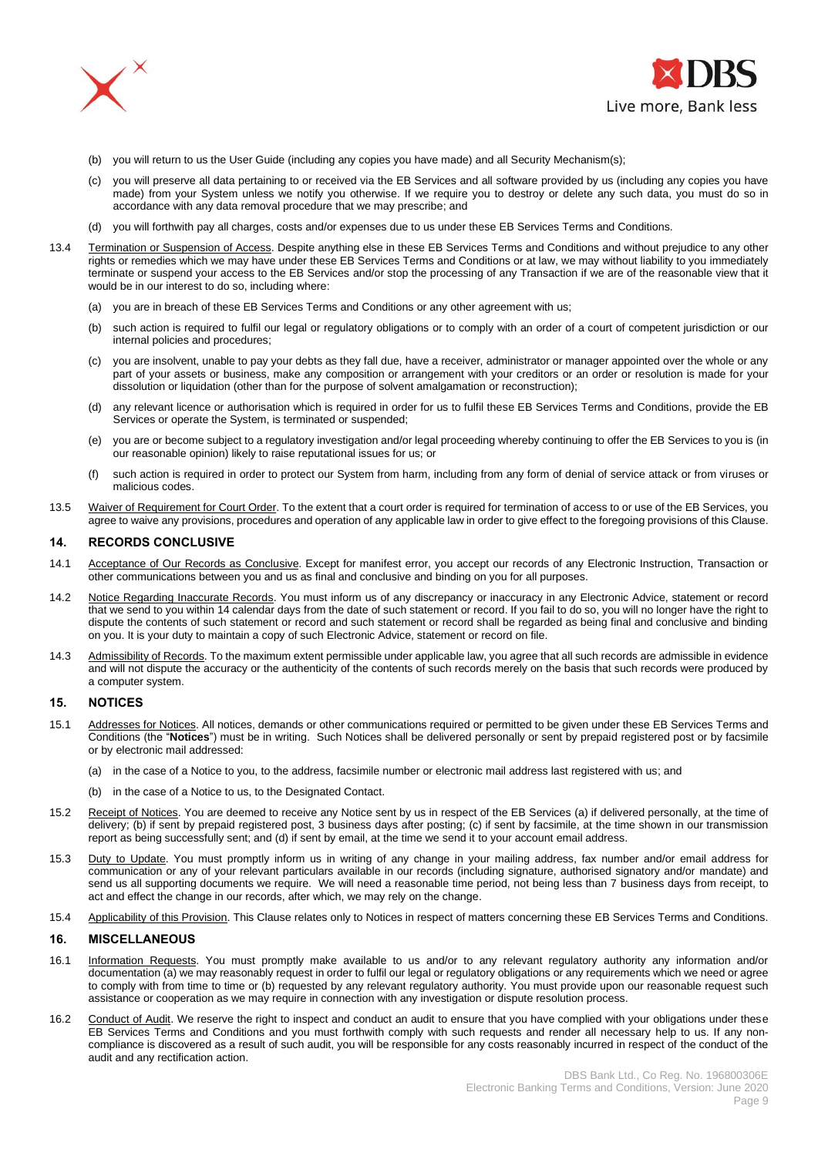



- (b) you will return to us the User Guide (including any copies you have made) and all Security Mechanism(s);
- (c) you will preserve all data pertaining to or received via the EB Services and all software provided by us (including any copies you have made) from your System unless we notify you otherwise. If we require you to destroy or delete any such data, you must do so in accordance with any data removal procedure that we may prescribe; and
- (d) you will forthwith pay all charges, costs and/or expenses due to us under these EB Services Terms and Conditions.
- 13.4 Termination or Suspension of Access. Despite anything else in these EB Services Terms and Conditions and without prejudice to any other rights or remedies which we may have under these EB Services Terms and Conditions or at law, we may without liability to you immediately terminate or suspend your access to the EB Services and/or stop the processing of any Transaction if we are of the reasonable view that it would be in our interest to do so, including where:
	- (a) you are in breach of these EB Services Terms and Conditions or any other agreement with us;
	- (b) such action is required to fulfil our legal or regulatory obligations or to comply with an order of a court of competent jurisdiction or our internal policies and procedures;
	- (c) you are insolvent, unable to pay your debts as they fall due, have a receiver, administrator or manager appointed over the whole or any part of your assets or business, make any composition or arrangement with your creditors or an order or resolution is made for your dissolution or liquidation (other than for the purpose of solvent amalgamation or reconstruction);
	- (d) any relevant licence or authorisation which is required in order for us to fulfil these EB Services Terms and Conditions, provide the EB Services or operate the System, is terminated or suspended;
	- (e) you are or become subject to a regulatory investigation and/or legal proceeding whereby continuing to offer the EB Services to you is (in our reasonable opinion) likely to raise reputational issues for us; or
	- (f) such action is required in order to protect our System from harm, including from any form of denial of service attack or from viruses or malicious codes.
- 13.5 Waiver of Requirement for Court Order. To the extent that a court order is required for termination of access to or use of the EB Services, you agree to waive any provisions, procedures and operation of any applicable law in order to give effect to the foregoing provisions of this Clause.

#### **14. RECORDS CONCLUSIVE**

- 14.1 Acceptance of Our Records as Conclusive. Except for manifest error, you accept our records of any Electronic Instruction, Transaction or other communications between you and us as final and conclusive and binding on you for all purposes.
- <span id="page-8-2"></span>14.2 Notice Regarding Inaccurate Records. You must inform us of any discrepancy or inaccuracy in any Electronic Advice, statement or record that we send to you within 14 calendar days from the date of such statement or record. If you fail to do so, you will no longer have the right to dispute the contents of such statement or record and such statement or record shall be regarded as being final and conclusive and binding on you. It is your duty to maintain a copy of such Electronic Advice, statement or record on file.
- 14.3 Admissibility of Records. To the maximum extent permissible under applicable law, you agree that all such records are admissible in evidence and will not dispute the accuracy or the authenticity of the contents of such records merely on the basis that such records were produced by a computer system.

#### <span id="page-8-1"></span>**15. NOTICES**

- <span id="page-8-0"></span>15.1 Addresses for Notices. All notices, demands or other communications required or permitted to be given under these EB Services Terms and Conditions (the "**Notices**") must be in writing. Such Notices shall be delivered personally or sent by prepaid registered post or by facsimile or by electronic mail addressed:
	- (a) in the case of a Notice to you, to the address, facsimile number or electronic mail address last registered with us; and
	- (b) in the case of a Notice to us, to the Designated Contact.
- 15.2 Receipt of Notices. You are deemed to receive any Notice sent by us in respect of the EB Services (a) if delivered personally, at the time of delivery; (b) if sent by prepaid registered post, 3 business days after posting; (c) if sent by facsimile, at the time shown in our transmission report as being successfully sent; and (d) if sent by email, at the time we send it to your account email address.
- 15.3 Duty to Update. You must promptly inform us in writing of any change in your mailing address, fax number and/or email address for communication or any of your relevant particulars available in our records (including signature, authorised signatory and/or mandate) and send us all supporting documents we require. We will need a reasonable time period, not being less than 7 business days from receipt, to act and effect the change in our records, after which, we may rely on the change.
- 15.4 Applicability of this Provision. This Clause relates only to Notices in respect of matters concerning these EB Services Terms and Conditions.

#### **16. MISCELLANEOUS**

- 16.1 Information Requests. You must promptly make available to us and/or to any relevant regulatory authority any information and/or documentation (a) we may reasonably request in order to fulfil our legal or regulatory obligations or any requirements which we need or agree to comply with from time to time or (b) requested by any relevant regulatory authority. You must provide upon our reasonable request such assistance or cooperation as we may require in connection with any investigation or dispute resolution process.
- 16.2 Conduct of Audit. We reserve the right to inspect and conduct an audit to ensure that you have complied with your obligations under these EB Services Terms and Conditions and you must forthwith comply with such requests and render all necessary help to us. If any noncompliance is discovered as a result of such audit, you will be responsible for any costs reasonably incurred in respect of the conduct of the audit and any rectification action.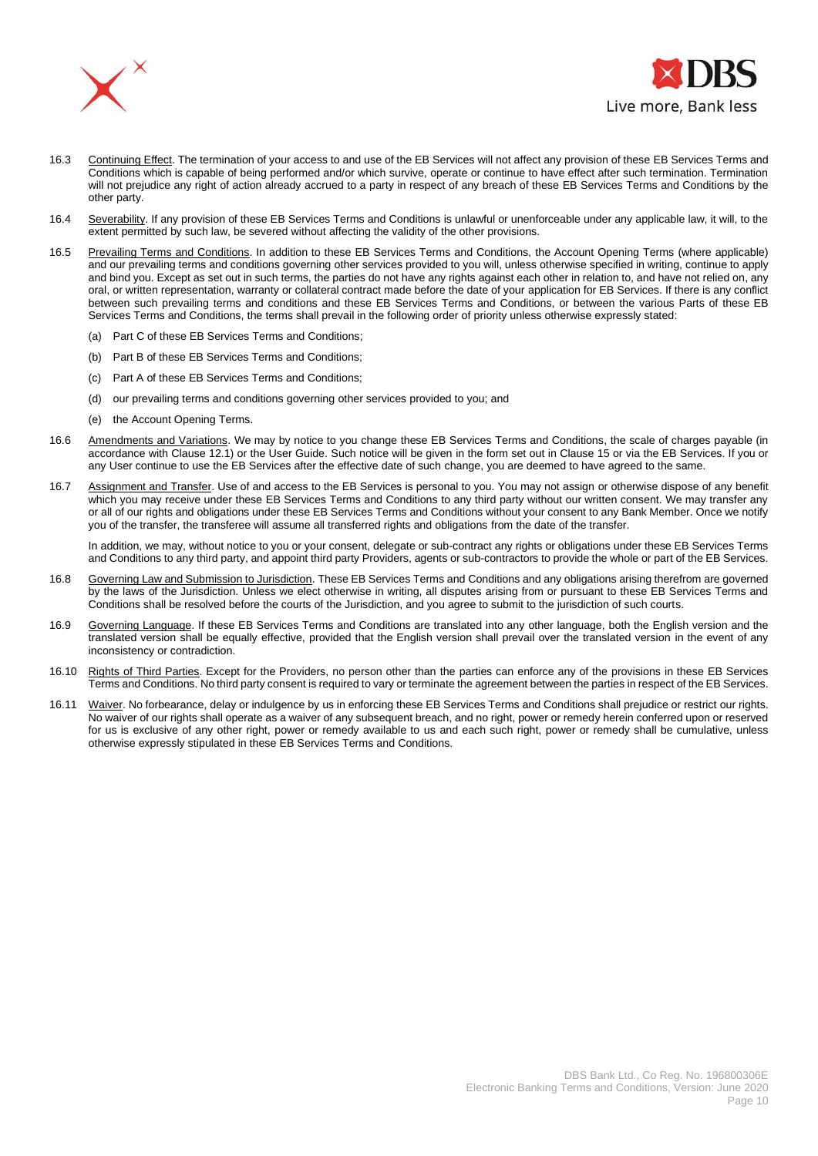



- 16.3 Continuing Effect. The termination of your access to and use of the EB Services will not affect any provision of these EB Services Terms and Conditions which is capable of being performed and/or which survive, operate or continue to have effect after such termination. Termination will not prejudice any right of action already accrued to a party in respect of any breach of these EB Services Terms and Conditions by the other party.
- 16.4 Severability. If any provision of these EB Services Terms and Conditions is unlawful or unenforceable under any applicable law, it will, to the extent permitted by such law, be severed without affecting the validity of the other provisions.
- <span id="page-9-3"></span>16.5 Prevailing Terms and Conditions. In addition to these EB Services Terms and Conditions, the Account Opening Terms (where applicable) and our prevailing terms and conditions governing other services provided to you will, unless otherwise specified in writing, continue to apply and bind you. Except as set out in such terms, the parties do not have any rights against each other in relation to, and have not relied on, any oral, or written representation, warranty or collateral contract made before the date of your application for EB Services. If there is any conflict between such prevailing terms and conditions and these EB Services Terms and Conditions, or between the various Parts of these EB Services Terms and Conditions, the terms shall prevail in the following order of priority unless otherwise expressly stated:
	- (a) Part C of these EB Services Terms and Conditions;
	- (b) Part B of these EB Services Terms and Conditions;
	- (c) Part A of these EB Services Terms and Conditions;
	- (d) our prevailing terms and conditions governing other services provided to you; and
	- (e) the Account Opening Terms.
- <span id="page-9-0"></span>16.6 Amendments and Variations. We may by notice to you change these EB Services Terms and Conditions, the scale of charges payable (in accordance with Clause [12.1\)](#page-7-0) or the User Guide. Such notice will be given in the form set out in Claus[e 15](#page-8-1) or via the EB Services. If you or any User continue to use the EB Services after the effective date of such change, you are deemed to have agreed to the same.
- 16.7 Assignment and Transfer. Use of and access to the EB Services is personal to you. You may not assign or otherwise dispose of any benefit which you may receive under these EB Services Terms and Conditions to any third party without our written consent. We may transfer any or all of our rights and obligations under these EB Services Terms and Conditions without your consent to any Bank Member. Once we notify you of the transfer, the transferee will assume all transferred rights and obligations from the date of the transfer.

In addition, we may, without notice to you or your consent, delegate or sub-contract any rights or obligations under these EB Services Terms and Conditions to any third party, and appoint third party Providers, agents or sub-contractors to provide the whole or part of the EB Services.

- <span id="page-9-2"></span>16.8 Governing Law and Submission to Jurisdiction. These EB Services Terms and Conditions and any obligations arising therefrom are governed by the laws of the Jurisdiction. Unless we elect otherwise in writing, all disputes arising from or pursuant to these EB Services Terms and Conditions shall be resolved before the courts of the Jurisdiction, and you agree to submit to the jurisdiction of such courts.
- <span id="page-9-1"></span>16.9 Governing Language. If these EB Services Terms and Conditions are translated into any other language, both the English version and the translated version shall be equally effective, provided that the English version shall prevail over the translated version in the event of any inconsistency or contradiction.
- 16.10 Rights of Third Parties. Except for the Providers, no person other than the parties can enforce any of the provisions in these EB Services Terms and Conditions. No third party consent is required to vary or terminate the agreement between the parties in respect of the EB Services.
- 16.11 Waiver. No forbearance, delay or indulgence by us in enforcing these EB Services Terms and Conditions shall prejudice or restrict our rights. No waiver of our rights shall operate as a waiver of any subsequent breach, and no right, power or remedy herein conferred upon or reserved for us is exclusive of any other right, power or remedy available to us and each such right, power or remedy shall be cumulative, unless otherwise expressly stipulated in these EB Services Terms and Conditions.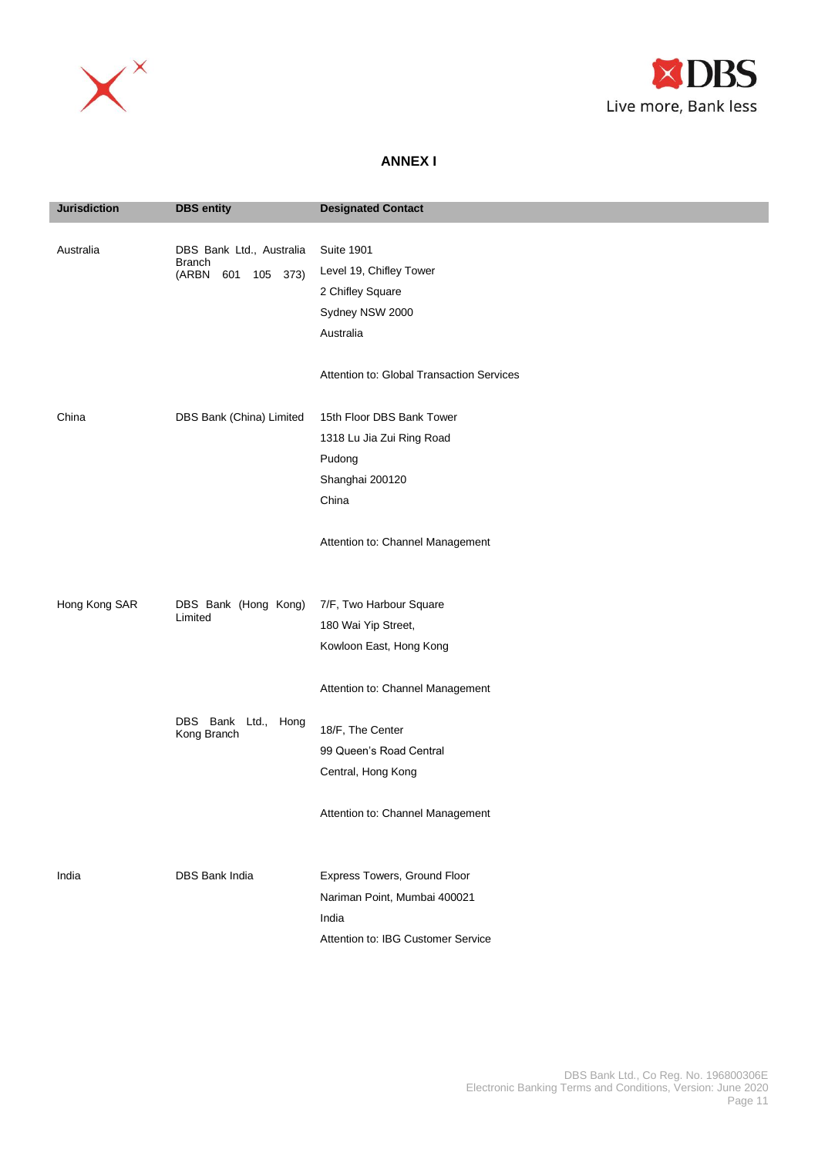



# **ANNEX I**

| <b>Jurisdiction</b> | <b>DBS</b> entity                                               | <b>Designated Contact</b>                                                                                                                 |
|---------------------|-----------------------------------------------------------------|-------------------------------------------------------------------------------------------------------------------------------------------|
| Australia           | DBS Bank Ltd., Australia<br><b>Branch</b><br>(ARBN 601 105 373) | <b>Suite 1901</b><br>Level 19, Chifley Tower<br>2 Chifley Square<br>Sydney NSW 2000<br>Australia                                          |
| China               | DBS Bank (China) Limited                                        | Attention to: Global Transaction Services<br>15th Floor DBS Bank Tower<br>1318 Lu Jia Zui Ring Road<br>Pudong<br>Shanghai 200120<br>China |
| Hong Kong SAR       | DBS Bank (Hong Kong)<br>Limited                                 | Attention to: Channel Management<br>7/F, Two Harbour Square<br>180 Wai Yip Street,<br>Kowloon East, Hong Kong                             |
|                     | DBS Bank Ltd., Hong<br>Kong Branch                              | Attention to: Channel Management<br>18/F, The Center<br>99 Queen's Road Central<br>Central, Hong Kong<br>Attention to: Channel Management |
| India               | <b>DBS</b> Bank India                                           | Express Towers, Ground Floor<br>Nariman Point, Mumbai 400021<br>India<br>Attention to: IBG Customer Service                               |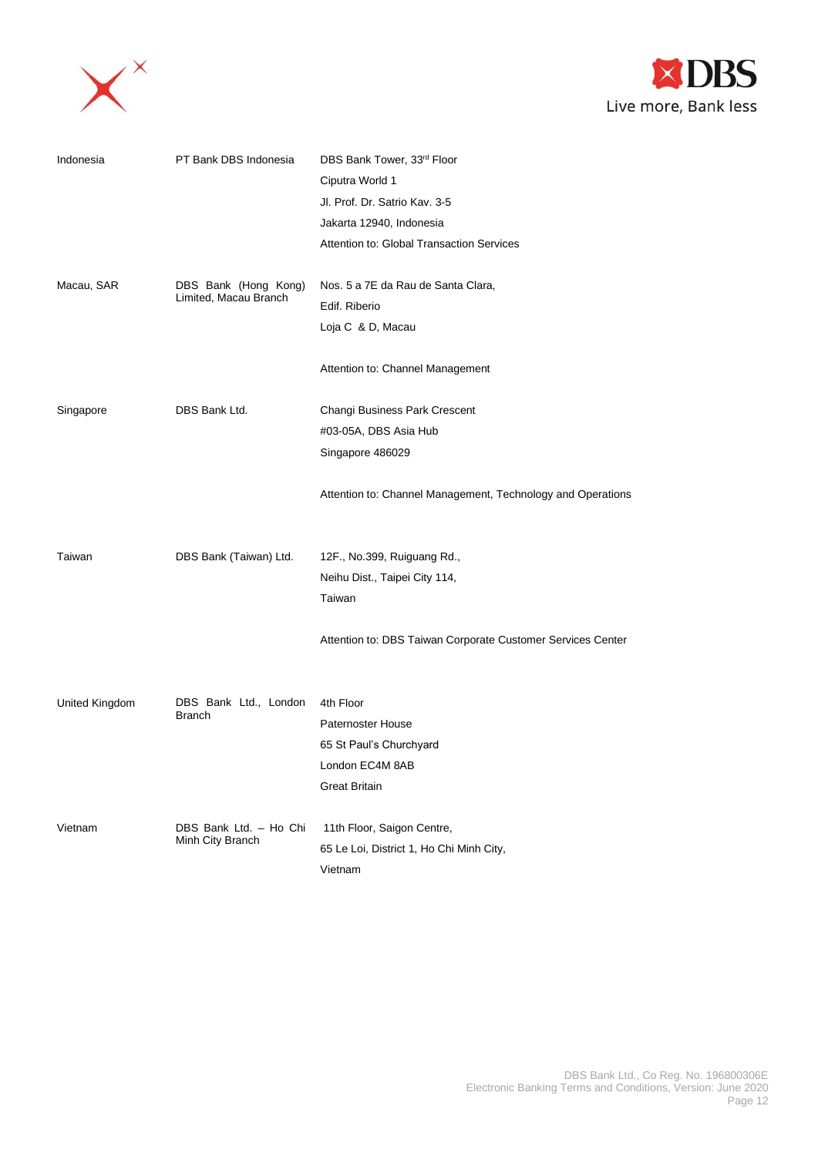



| Indonesia      | PT Bank DBS Indonesia                         | DBS Bank Tower, 33rd Floor<br>Ciputra World 1<br>Jl. Prof. Dr. Satrio Kav. 3-5<br>Jakarta 12940, Indonesia<br>Attention to: Global Transaction Services |
|----------------|-----------------------------------------------|---------------------------------------------------------------------------------------------------------------------------------------------------------|
| Macau, SAR     | DBS Bank (Hong Kong)<br>Limited, Macau Branch | Nos. 5 a 7E da Rau de Santa Clara,<br>Edif. Riberio<br>Loja C & D, Macau                                                                                |
|                |                                               | Attention to: Channel Management                                                                                                                        |
| Singapore      | DBS Bank Ltd.                                 | Changi Business Park Crescent<br>#03-05A, DBS Asia Hub<br>Singapore 486029<br>Attention to: Channel Management, Technology and Operations               |
| Taiwan         | DBS Bank (Taiwan) Ltd.                        | 12F., No.399, Ruiguang Rd.,<br>Neihu Dist., Taipei City 114,<br>Taiwan                                                                                  |
|                |                                               | Attention to: DBS Taiwan Corporate Customer Services Center                                                                                             |
| United Kingdom | DBS Bank Ltd., London<br><b>Branch</b>        | 4th Floor<br><b>Paternoster House</b><br>65 St Paul's Churchyard<br>London EC4M 8AB<br><b>Great Britain</b>                                             |
| Vietnam        | DBS Bank Ltd. - Ho Chi<br>Minh City Branch    | 11th Floor, Saigon Centre,<br>65 Le Loi, District 1, Ho Chi Minh City,<br>Vietnam                                                                       |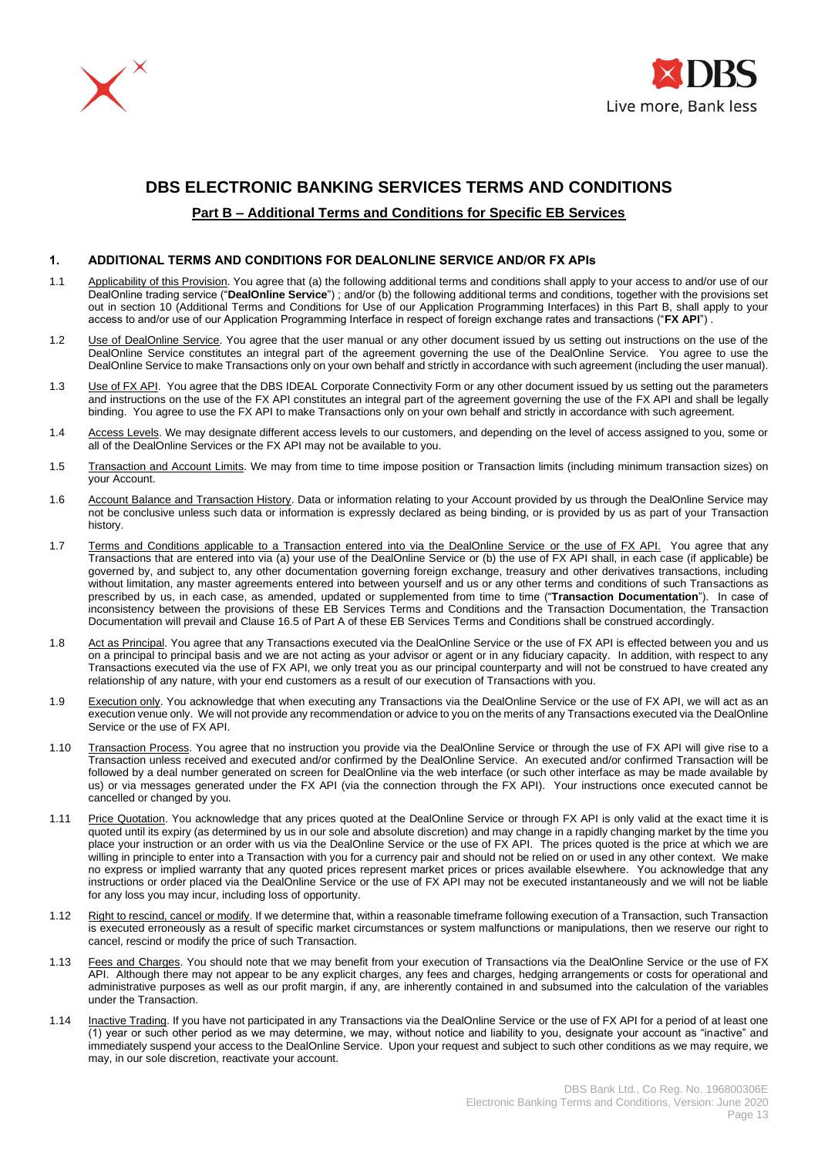



# **DBS ELECTRONIC BANKING SERVICES TERMS AND CONDITIONS**

# **Part B – Additional Terms and Conditions for Specific EB Services**

# <span id="page-12-0"></span>**1. ADDITIONAL TERMS AND CONDITIONS FOR DEALONLINE SERVICE AND/OR FX APIs**

- 1.1 Applicability of this Provision. You agree that (a) the following additional terms and conditions shall apply to your access to and/or use of our DealOnline trading service ("**DealOnline Service**") ; and/or (b) the following additional terms and conditions, together with the provisions set out in section 10 (Additional Terms and Conditions for Use of our Application Programming Interfaces) in this Part B, shall apply to your access to and/or use of our Application Programming Interface in respect of foreign exchange rates and transactions ("**FX API**") .
- 1.2 Use of DealOnline Service. You agree that the user manual or any other document issued by us setting out instructions on the use of the DealOnline Service constitutes an integral part of the agreement governing the use of the DealOnline Service. You agree to use the DealOnline Service to make Transactions only on your own behalf and strictly in accordance with such agreement (including the user manual).
- 1.3 Use of FX API. You agree that the DBS IDEAL Corporate Connectivity Form or any other document issued by us setting out the parameters and instructions on the use of the FX API constitutes an integral part of the agreement governing the use of the FX API and shall be legally binding. You agree to use the FX API to make Transactions only on your own behalf and strictly in accordance with such agreement.
- 1.4 Access Levels. We may designate different access levels to our customers, and depending on the level of access assigned to you, some or all of the DealOnline Services or the FX API may not be available to you.
- 1.5 Transaction and Account Limits. We may from time to time impose position or Transaction limits (including minimum transaction sizes) on your Account.
- 1.6 Account Balance and Transaction History. Data or information relating to your Account provided by us through the DealOnline Service may not be conclusive unless such data or information is expressly declared as being binding, or is provided by us as part of your Transaction history.
- 1.7 Terms and Conditions applicable to a Transaction entered into via the DealOnline Service or the use of FX API. You agree that any Transactions that are entered into via (a) your use of the DealOnline Service or (b) the use of FX API shall, in each case (if applicable) be governed by, and subject to, any other documentation governing foreign exchange, treasury and other derivatives transactions, including without limitation, any master agreements entered into between yourself and us or any other terms and conditions of such Transactions as prescribed by us, in each case, as amended, updated or supplemented from time to time ("**Transaction Documentation**"). In case of inconsistency between the provisions of these EB Services Terms and Conditions and the Transaction Documentation, the Transaction Documentation will prevail and Clause 16.5 of Part A of these EB Services Terms and Conditions shall be construed accordingly.
- 1.8 Act as Principal. You agree that any Transactions executed via the DealOnline Service or the use of FX API is effected between you and us  $\overline{p}$  a principal to principal basis and we are not acting as your advisor or agent or in any fiduciary capacity. In addition, with respect to any Transactions executed via the use of FX API, we only treat you as our principal counterparty and will not be construed to have created any relationship of any nature, with your end customers as a result of our execution of Transactions with you.
- 1.9 Execution only. You acknowledge that when executing any Transactions via the DealOnline Service or the use of FX API, we will act as an execution venue only. We will not provide any recommendation or advice to you on the merits of any Transactions executed via the DealOnline Service or the use of FX API.
- 1.10 Transaction Process. You agree that no instruction you provide via the DealOnline Service or through the use of FX API will give rise to a Transaction unless received and executed and/or confirmed by the DealOnline Service. An executed and/or confirmed Transaction will be followed by a deal number generated on screen for DealOnline via the web interface (or such other interface as may be made available by us) or via messages generated under the FX API (via the connection through the FX API). Your instructions once executed cannot be cancelled or changed by you.
- 1.11 Price Quotation. You acknowledge that any prices quoted at the DealOnline Service or through FX API is only valid at the exact time it is quoted until its expiry (as determined by us in our sole and absolute discretion) and may change in a rapidly changing market by the time you place your instruction or an order with us via the DealOnline Service or the use of FX API. The prices quoted is the price at which we are willing in principle to enter into a Transaction with you for a currency pair and should not be relied on or used in any other context. We make no express or implied warranty that any quoted prices represent market prices or prices available elsewhere. You acknowledge that any instructions or order placed via the DealOnline Service or the use of FX API may not be executed instantaneously and we will not be liable for any loss you may incur, including loss of opportunity.
- 1.12 Right to rescind, cancel or modify. If we determine that, within a reasonable timeframe following execution of a Transaction, such Transaction is executed erroneously as a result of specific market circumstances or system malfunctions or manipulations, then we reserve our right to cancel, rescind or modify the price of such Transaction.
- 1.13 Fees and Charges. You should note that we may benefit from your execution of Transactions via the DealOnline Service or the use of FX API. Although there may not appear to be any explicit charges, any fees and charges, hedging arrangements or costs for operational and administrative purposes as well as our profit margin, if any, are inherently contained in and subsumed into the calculation of the variables under the Transaction.
- 1.14 Inactive Trading. If you have not participated in any Transactions via the DealOnline Service or the use of FX API for a period of at least one  $(1)$  year or such other period as we may determine, we may, without notice and liability to you, designate your account as "inactive" and immediately suspend your access to the DealOnline Service. Upon your request and subject to such other conditions as we may require, we may, in our sole discretion, reactivate your account.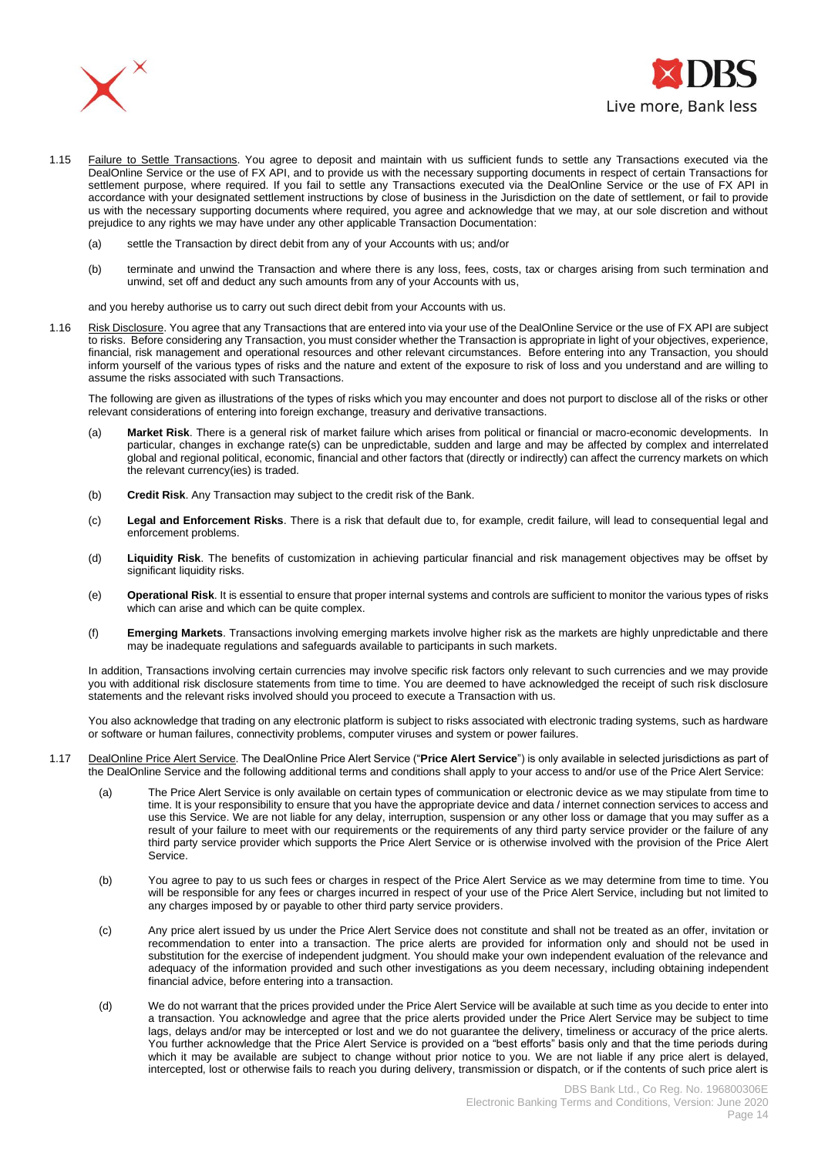



- 1.15 Failure to Settle Transactions. You agree to deposit and maintain with us sufficient funds to settle any Transactions executed via the DealOnline Service or the use of FX API, and to provide us with the necessary supporting documents in respect of certain Transactions for settlement purpose, where required. If you fail to settle any Transactions executed via the DealOnline Service or the use of FX API in accordance with your designated settlement instructions by close of business in the Jurisdiction on the date of settlement, or fail to provide us with the necessary supporting documents where required, you agree and acknowledge that we may, at our sole discretion and without prejudice to any rights we may have under any other applicable Transaction Documentation:
	- (a) settle the Transaction by direct debit from any of your Accounts with us; and/or
	- (b) terminate and unwind the Transaction and where there is any loss, fees, costs, tax or charges arising from such termination and unwind, set off and deduct any such amounts from any of your Accounts with us,

and you hereby authorise us to carry out such direct debit from your Accounts with us.

1.16 Risk Disclosure. You agree that any Transactions that are entered into via your use of the DealOnline Service or the use of FX API are subject to risks. Before considering any Transaction, you must consider whether the Transaction is appropriate in light of your objectives, experience, financial, risk management and operational resources and other relevant circumstances. Before entering into any Transaction, you should inform yourself of the various types of risks and the nature and extent of the exposure to risk of loss and you understand and are willing to assume the risks associated with such Transactions.

The following are given as illustrations of the types of risks which you may encounter and does not purport to disclose all of the risks or other relevant considerations of entering into foreign exchange, treasury and derivative transactions.

- (a) **Market Risk**. There is a general risk of market failure which arises from political or financial or macro-economic developments. In particular, changes in exchange rate(s) can be unpredictable, sudden and large and may be affected by complex and interrelated global and regional political, economic, financial and other factors that (directly or indirectly) can affect the currency markets on which the relevant currency(ies) is traded.
- (b) **Credit Risk**. Any Transaction may subject to the credit risk of the Bank.
- (c) **Legal and Enforcement Risks**. There is a risk that default due to, for example, credit failure, will lead to consequential legal and enforcement problems.
- (d) **Liquidity Risk**. The benefits of customization in achieving particular financial and risk management objectives may be offset by significant liquidity risks.
- (e) **Operational Risk**. It is essential to ensure that proper internal systems and controls are sufficient to monitor the various types of risks which can arise and which can be quite complex.
- (f) **Emerging Markets**. Transactions involving emerging markets involve higher risk as the markets are highly unpredictable and there may be inadequate regulations and safeguards available to participants in such markets.

In addition, Transactions involving certain currencies may involve specific risk factors only relevant to such currencies and we may provide you with additional risk disclosure statements from time to time. You are deemed to have acknowledged the receipt of such risk disclosure statements and the relevant risks involved should you proceed to execute a Transaction with us.

You also acknowledge that trading on any electronic platform is subject to risks associated with electronic trading systems, such as hardware or software or human failures, connectivity problems, computer viruses and system or power failures.

- 1.17 DealOnline Price Alert Service. The DealOnline Price Alert Service ("**Price Alert Service**") is only available in selected jurisdictions as part of the DealOnline Service and the following additional terms and conditions shall apply to your access to and/or use of the Price Alert Service:
	- (a) The Price Alert Service is only available on certain types of communication or electronic device as we may stipulate from time to time. It is your responsibility to ensure that you have the appropriate device and data / internet connection services to access and use this Service. We are not liable for any delay, interruption, suspension or any other loss or damage that you may suffer as a result of your failure to meet with our requirements or the requirements of any third party service provider or the failure of any third party service provider which supports the Price Alert Service or is otherwise involved with the provision of the Price Alert Service.
	- (b) You agree to pay to us such fees or charges in respect of the Price Alert Service as we may determine from time to time. You will be responsible for any fees or charges incurred in respect of your use of the Price Alert Service, including but not limited to any charges imposed by or payable to other third party service providers.
	- (c) Any price alert issued by us under the Price Alert Service does not constitute and shall not be treated as an offer, invitation or recommendation to enter into a transaction. The price alerts are provided for information only and should not be used in substitution for the exercise of independent judgment. You should make your own independent evaluation of the relevance and adequacy of the information provided and such other investigations as you deem necessary, including obtaining independent financial advice, before entering into a transaction.
	- (d) We do not warrant that the prices provided under the Price Alert Service will be available at such time as you decide to enter into a transaction. You acknowledge and agree that the price alerts provided under the Price Alert Service may be subject to time lags, delays and/or may be intercepted or lost and we do not guarantee the delivery, timeliness or accuracy of the price alerts. You further acknowledge that the Price Alert Service is provided on a "best efforts" basis only and that the time periods during which it may be available are subject to change without prior notice to you. We are not liable if any price alert is delayed, intercepted, lost or otherwise fails to reach you during delivery, transmission or dispatch, or if the contents of such price alert is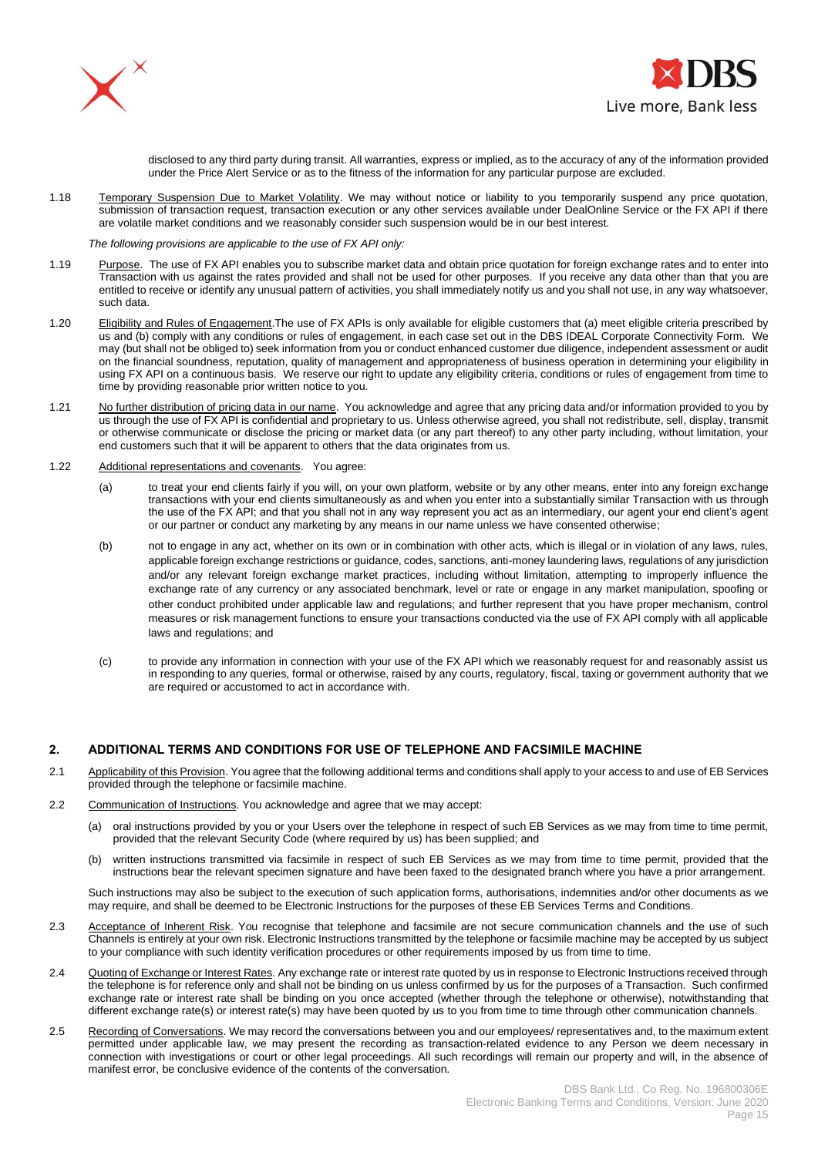



disclosed to any third party during transit. All warranties, express or implied, as to the accuracy of any of the information provided under the Price Alert Service or as to the fitness of the information for any particular purpose are excluded.

1.18 Temporary Suspension Due to Market Volatility. We may without notice or liability to you temporarily suspend any price quotation, submission of transaction request, transaction execution or any other services available under DealOnline Service or the FX API if there are volatile market conditions and we reasonably consider such suspension would be in our best interest.

# *The following provisions are applicable to the use of FX API only:*

- 1.19 Purpose. The use of FX API enables you to subscribe market data and obtain price quotation for foreign exchange rates and to enter into Transaction with us against the rates provided and shall not be used for other purposes. If you receive any data other than that you are entitled to receive or identify any unusual pattern of activities, you shall immediately notify us and you shall not use, in any way whatsoever, such data.
- 1.20 Eligibility and Rules of Engagement.The use of FX APIs is only available for eligible customers that (a) meet eligible criteria prescribed by us and (b) comply with any conditions or rules of engagement, in each case set out in the DBS IDEAL Corporate Connectivity Form. We may (but shall not be obliged to) seek information from you or conduct enhanced customer due diligence, independent assessment or audit on the financial soundness, reputation, quality of management and appropriateness of business operation in determining your eligibility in using FX API on a continuous basis. We reserve our right to update any eligibility criteria, conditions or rules of engagement from time to time by providing reasonable prior written notice to you.
- 1.21 No further distribution of pricing data in our name. You acknowledge and agree that any pricing data and/or information provided to you by us through the use of FX API is confidential and proprietary to us. Unless otherwise agreed, you shall not redistribute, sell, display, transmit or otherwise communicate or disclose the pricing or market data (or any part thereof) to any other party including, without limitation, your end customers such that it will be apparent to others that the data originates from us.
- 1.22 Additional representations and covenants. You agree:
	- (a) to treat your end clients fairly if you will, on your own platform, website or by any other means, enter into any foreign exchange transactions with your end clients simultaneously as and when you enter into a substantially similar Transaction with us through the use of the FX API; and that you shall not in any way represent you act as an intermediary, our agent your end client's agent or our partner or conduct any marketing by any means in our name unless we have consented otherwise;
	- (b) not to engage in any act, whether on its own or in combination with other acts, which is illegal or in violation of any laws, rules, applicable foreign exchange restrictions or guidance, codes, sanctions, anti-money laundering laws, regulations of any jurisdiction and/or any relevant foreign exchange market practices, including without limitation, attempting to improperly influence the exchange rate of any currency or any associated benchmark, level or rate or engage in any market manipulation, spoofing or other conduct prohibited under applicable law and regulations; and further represent that you have proper mechanism, control measures or risk management functions to ensure your transactions conducted via the use of FX API comply with all applicable laws and regulations; and
	- (c) to provide any information in connection with your use of the FX API which we reasonably request for and reasonably assist us in responding to any queries, formal or otherwise, raised by any courts, regulatory, fiscal, taxing or government authority that we are required or accustomed to act in accordance with.

### <span id="page-14-0"></span>**2. ADDITIONAL TERMS AND CONDITIONS FOR USE OF TELEPHONE AND FACSIMILE MACHINE**

- 2.1 Applicability of this Provision. You agree that the following additional terms and conditions shall apply to your access to and use of EB Services provided through the telephone or facsimile machine.
- 2.2 Communication of Instructions. You acknowledge and agree that we may accept:
	- (a) oral instructions provided by you or your Users over the telephone in respect of such EB Services as we may from time to time permit, provided that the relevant Security Code (where required by us) has been supplied; and
	- (b) written instructions transmitted via facsimile in respect of such EB Services as we may from time to time permit, provided that the instructions bear the relevant specimen signature and have been faxed to the designated branch where you have a prior arrangement.

Such instructions may also be subject to the execution of such application forms, authorisations, indemnities and/or other documents as we may require, and shall be deemed to be Electronic Instructions for the purposes of these EB Services Terms and Conditions.

- 2.3 Acceptance of Inherent Risk. You recognise that telephone and facsimile are not secure communication channels and the use of such Channels is entirely at your own risk. Electronic Instructions transmitted by the telephone or facsimile machine may be accepted by us subject to your compliance with such identity verification procedures or other requirements imposed by us from time to time.
- 2.4 Quoting of Exchange or Interest Rates. Any exchange rate or interest rate quoted by us in response to Electronic Instructions received through the telephone is for reference only and shall not be binding on us unless confirmed by us for the purposes of a Transaction. Such confirmed exchange rate or interest rate shall be binding on you once accepted (whether through the telephone or otherwise), notwithstanding that different exchange rate(s) or interest rate(s) may have been quoted by us to you from time to time through other communication channels.
- 2.5 Recording of Conversations. We may record the conversations between you and our employees/ representatives and, to the maximum extent permitted under applicable law, we may present the recording as transaction-related evidence to any Person we deem necessary in connection with investigations or court or other legal proceedings. All such recordings will remain our property and will, in the absence of manifest error, be conclusive evidence of the contents of the conversation.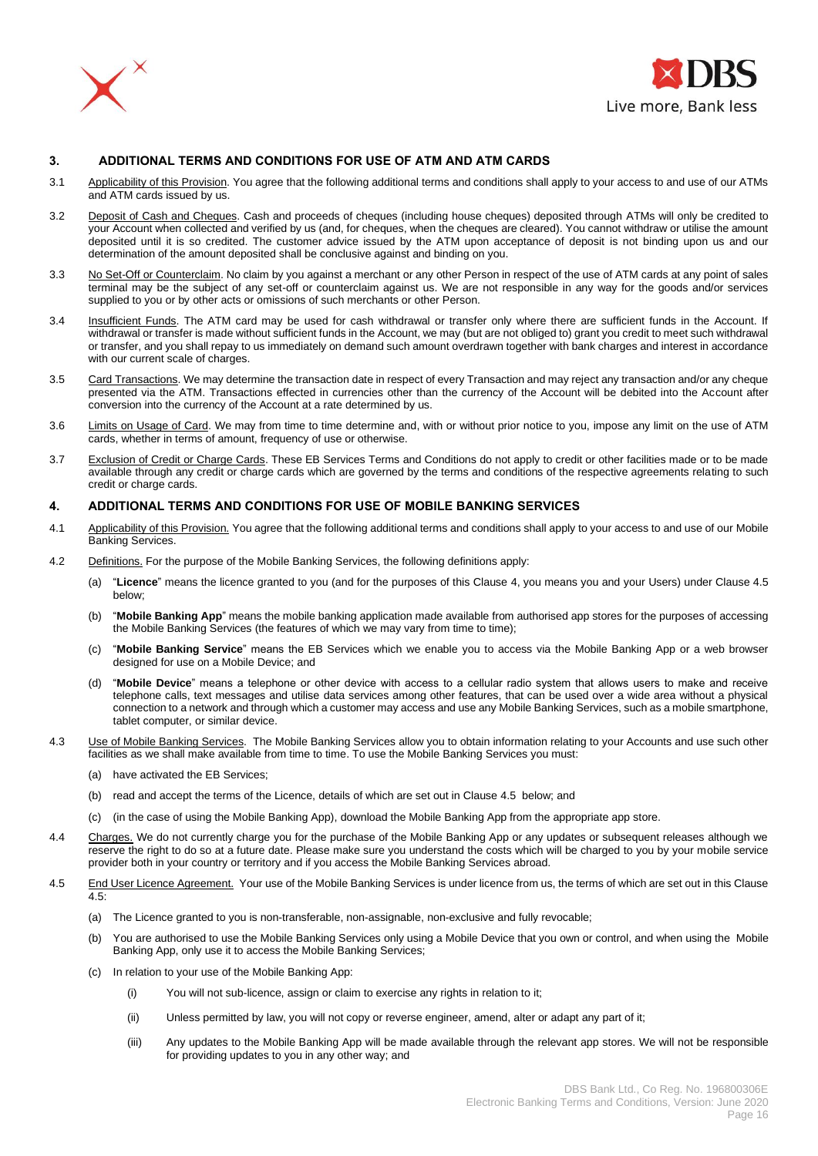



# <span id="page-15-0"></span>**3. ADDITIONAL TERMS AND CONDITIONS FOR USE OF ATM AND ATM CARDS**

- 3.1 Applicability of this Provision. You agree that the following additional terms and conditions shall apply to your access to and use of our ATMs and ATM cards issued by us.
- 3.2 Deposit of Cash and Cheques. Cash and proceeds of cheques (including house cheques) deposited through ATMs will only be credited to your Account when collected and verified by us (and, for cheques, when the cheques are cleared). You cannot withdraw or utilise the amount deposited until it is so credited. The customer advice issued by the ATM upon acceptance of deposit is not binding upon us and our determination of the amount deposited shall be conclusive against and binding on you.
- 3.3 No Set-Off or Counterclaim. No claim by you against a merchant or any other Person in respect of the use of ATM cards at any point of sales terminal may be the subject of any set-off or counterclaim against us. We are not responsible in any way for the goods and/or services supplied to you or by other acts or omissions of such merchants or other Person.
- 3.4 Insufficient Funds. The ATM card may be used for cash withdrawal or transfer only where there are sufficient funds in the Account. If withdrawal or transfer is made without sufficient funds in the Account, we may (but are not obliged to) grant you credit to meet such withdrawal or transfer, and you shall repay to us immediately on demand such amount overdrawn together with bank charges and interest in accordance with our current scale of charges.
- 3.5 Card Transactions. We may determine the transaction date in respect of every Transaction and may reject any transaction and/or any cheque presented via the ATM. Transactions effected in currencies other than the currency of the Account will be debited into the Account after conversion into the currency of the Account at a rate determined by us.
- 3.6 Limits on Usage of Card. We may from time to time determine and, with or without prior notice to you, impose any limit on the use of ATM cards, whether in terms of amount, frequency of use or otherwise.
- 3.7 Exclusion of Credit or Charge Cards. These EB Services Terms and Conditions do not apply to credit or other facilities made or to be made available through any credit or charge cards which are governed by the terms and conditions of the respective agreements relating to such credit or charge cards.

# **4. ADDITIONAL TERMS AND CONDITIONS FOR USE OF MOBILE BANKING SERVICES**

- 4.1 Applicability of this Provision. You agree that the following additional terms and conditions shall apply to your access to and use of our Mobile Banking Services.
- 4.2 Definitions. For the purpose of the Mobile Banking Services, the following definitions apply:
	- (a) "**Licence**" means the licence granted to you (and for the purposes of this Clause 4, you means you and your Users) under Clause 4.5 below;
	- (b) "**Mobile Banking App**" means the mobile banking application made available from authorised app stores for the purposes of accessing the Mobile Banking Services (the features of which we may vary from time to time);
	- (c) "**Mobile Banking Service**" means the EB Services which we enable you to access via the Mobile Banking App or a web browser designed for use on a Mobile Device; and
	- (d) "**Mobile Device**" means a telephone or other device with access to a cellular radio system that allows users to make and receive telephone calls, text messages and utilise data services among other features, that can be used over a wide area without a physical connection to a network and through which a customer may access and use any Mobile Banking Services, such as a mobile smartphone, tablet computer, or similar device.
- 4.3 Use of Mobile Banking Services. The Mobile Banking Services allow you to obtain information relating to your Accounts and use such other facilities as we shall make available from time to time. To use the Mobile Banking Services you must:
	- (a) have activated the EB Services;
	- (b) read and accept the terms of the Licence, details of which are set out in Clause 4.5 below; and
	- (c) (in the case of using the Mobile Banking App), download the Mobile Banking App from the appropriate app store.
- 4.4 Charges. We do not currently charge you for the purchase of the Mobile Banking App or any updates or subsequent releases although we reserve the right to do so at a future date. Please make sure you understand the costs which will be charged to you by your mobile service provider both in your country or territory and if you access the Mobile Banking Services abroad.
- 4.5 End User Licence Agreement. Your use of the Mobile Banking Services is under licence from us, the terms of which are set out in this Clause 4.5:
	- (a) The Licence granted to you is non-transferable, non-assignable, non-exclusive and fully revocable;
	- (b) You are authorised to use the Mobile Banking Services only using a Mobile Device that you own or control, and when using the Mobile Banking App, only use it to access the Mobile Banking Services;
	- (c) In relation to your use of the Mobile Banking App:
		- (i) You will not sub-licence, assign or claim to exercise any rights in relation to it;
		- (ii) Unless permitted by law, you will not copy or reverse engineer, amend, alter or adapt any part of it;
		- (iii) Any updates to the Mobile Banking App will be made available through the relevant app stores. We will not be responsible for providing updates to you in any other way; and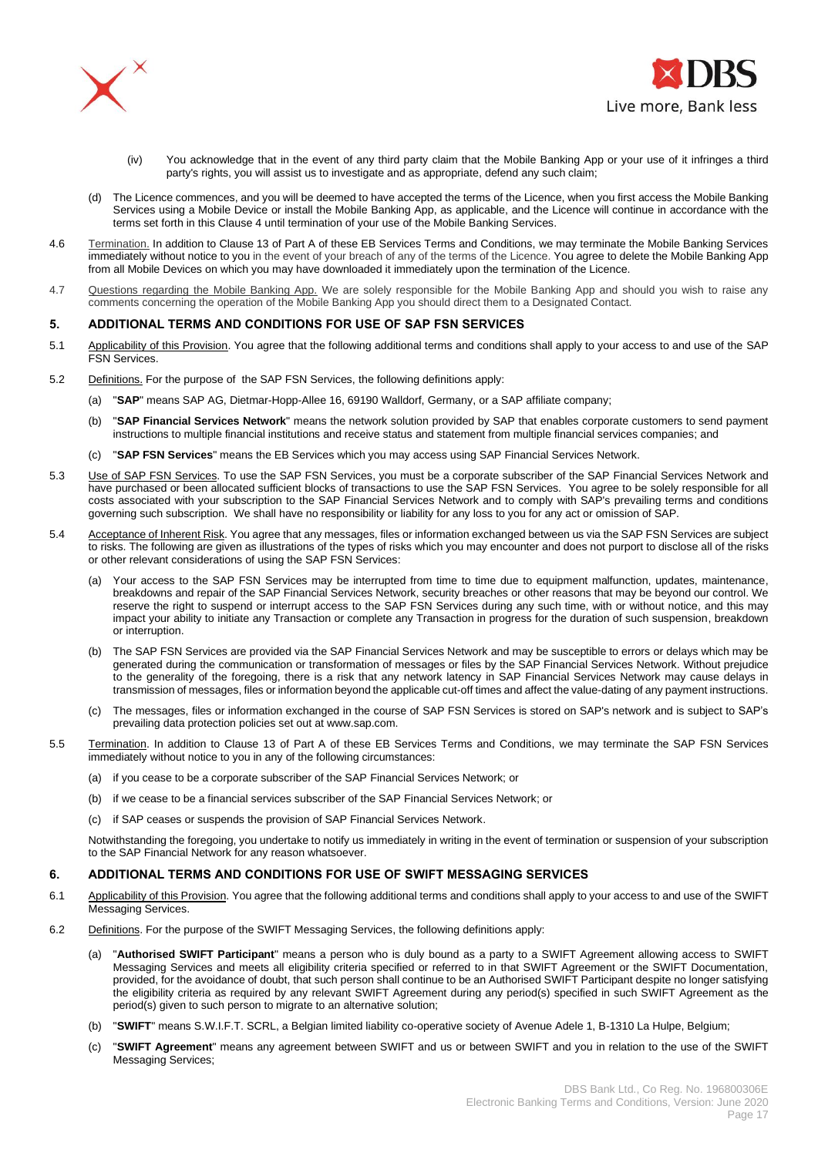



- (iv) You acknowledge that in the event of any third party claim that the Mobile Banking App or your use of it infringes a third party's rights, you will assist us to investigate and as appropriate, defend any such claim;
- (d) The Licence commences, and you will be deemed to have accepted the terms of the Licence, when you first access the Mobile Banking Services using a Mobile Device or install the Mobile Banking App, as applicable, and the Licence will continue in accordance with the terms set forth in this Clause 4 until termination of your use of the Mobile Banking Services.
- 4.6 Termination. In addition to Clause 13 of Part A of these EB Services Terms and Conditions, we may terminate the Mobile Banking Services immediately without notice to you in the event of your breach of any of the terms of the Licence. You agree to delete the Mobile Banking App from all Mobile Devices on which you may have downloaded it immediately upon the termination of the Licence.
- 4.7 Questions regarding the Mobile Banking App. We are solely responsible for the Mobile Banking App and should you wish to raise any comments concerning the operation of the Mobile Banking App you should direct them to a Designated Contact.

# **5. ADDITIONAL TERMS AND CONDITIONS FOR USE OF SAP FSN SERVICES**

- 5.1 Applicability of this Provision. You agree that the following additional terms and conditions shall apply to your access to and use of the SAP FSN Services.
- 5.2 Definitions. For the purpose of the SAP FSN Services, the following definitions apply:
	- (a) "**SAP**" means SAP AG, Dietmar-Hopp-Allee 16, 69190 Walldorf, Germany, or a SAP affiliate company;
	- (b) "**SAP Financial Services Network**" means the network solution provided by SAP that enables corporate customers to send payment instructions to multiple financial institutions and receive status and statement from multiple financial services companies; and
	- (c) "**SAP FSN Services**" means the EB Services which you may access using SAP Financial Services Network.
- 5.3 Use of SAP FSN Services. To use the SAP FSN Services, you must be a corporate subscriber of the SAP Financial Services Network and have purchased or been allocated sufficient blocks of transactions to use the SAP FSN Services. You agree to be solely responsible for all costs associated with your subscription to the SAP Financial Services Network and to comply with SAP's prevailing terms and conditions governing such subscription. We shall have no responsibility or liability for any loss to you for any act or omission of SAP.
- 5.4 Acceptance of Inherent Risk. You agree that any messages, files or information exchanged between us via the SAP FSN Services are subject to risks. The following are given as illustrations of the types of risks which you may encounter and does not purport to disclose all of the risks or other relevant considerations of using the SAP FSN Services:
	- Your access to the SAP FSN Services may be interrupted from time to time due to equipment malfunction, updates, maintenance, breakdowns and repair of the SAP Financial Services Network, security breaches or other reasons that may be beyond our control. We reserve the right to suspend or interrupt access to the SAP FSN Services during any such time, with or without notice, and this may impact your ability to initiate any Transaction or complete any Transaction in progress for the duration of such suspension, breakdown or interruption.
	- (b) The SAP FSN Services are provided via the SAP Financial Services Network and may be susceptible to errors or delays which may be generated during the communication or transformation of messages or files by the SAP Financial Services Network. Without prejudice to the generality of the foregoing, there is a risk that any network latency in SAP Financial Services Network may cause delays in transmission of messages, files or information beyond the applicable cut-off times and affect the value-dating of any payment instructions.
	- (c) The messages, files or information exchanged in the course of SAP FSN Services is stored on SAP's network and is subject to SAP's prevailing data protection policies set out at www.sap.com.
- 5.5 Termination. In addition to Clause 13 of Part A of these EB Services Terms and Conditions, we may terminate the SAP FSN Services immediately without notice to you in any of the following circumstances:
	- (a) if you cease to be a corporate subscriber of the SAP Financial Services Network; or
	- (b) if we cease to be a financial services subscriber of the SAP Financial Services Network; or
	- (c) if SAP ceases or suspends the provision of SAP Financial Services Network.

Notwithstanding the foregoing, you undertake to notify us immediately in writing in the event of termination or suspension of your subscription to the SAP Financial Network for any reason whatsoever.

# **6. ADDITIONAL TERMS AND CONDITIONS FOR USE OF SWIFT MESSAGING SERVICES**

- 6.1 Applicability of this Provision. You agree that the following additional terms and conditions shall apply to your access to and use of the SWIFT Messaging Services.
- 6.2 Definitions. For the purpose of the SWIFT Messaging Services, the following definitions apply:
	- (a) "**Authorised SWIFT Participant**" means a person who is duly bound as a party to a SWIFT Agreement allowing access to SWIFT Messaging Services and meets all eligibility criteria specified or referred to in that SWIFT Agreement or the SWIFT Documentation, provided, for the avoidance of doubt, that such person shall continue to be an Authorised SWIFT Participant despite no longer satisfying the eligibility criteria as required by any relevant SWIFT Agreement during any period(s) specified in such SWIFT Agreement as the period(s) given to such person to migrate to an alternative solution;
	- (b) "**SWIFT**" means S.W.I.F.T. SCRL, a Belgian limited liability co-operative society of Avenue Adele 1, B-1310 La Hulpe, Belgium;
	- (c) "**SWIFT Agreement**" means any agreement between SWIFT and us or between SWIFT and you in relation to the use of the SWIFT Messaging Services;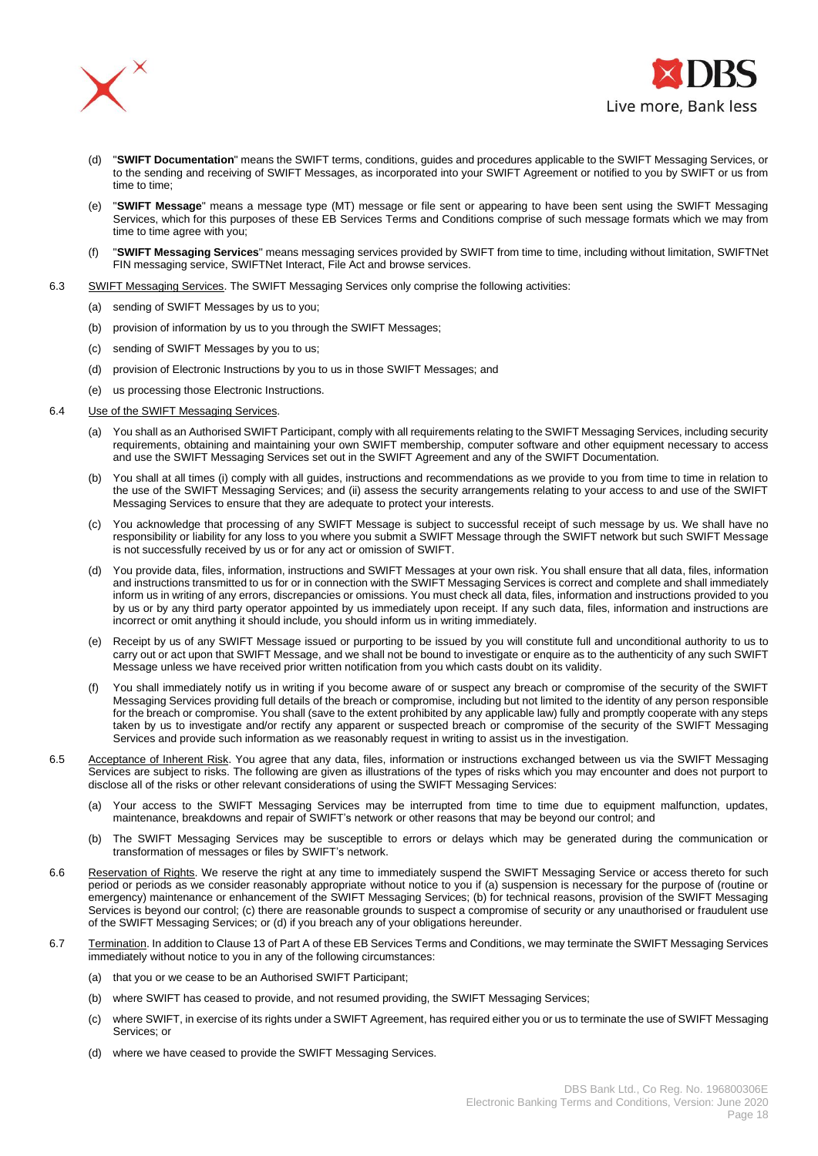



- (d) "**SWIFT Documentation**" means the SWIFT terms, conditions, guides and procedures applicable to the SWIFT Messaging Services, or to the sending and receiving of SWIFT Messages, as incorporated into your SWIFT Agreement or notified to you by SWIFT or us from time to time;
- (e) "**SWIFT Message**" means a message type (MT) message or file sent or appearing to have been sent using the SWIFT Messaging Services, which for this purposes of these EB Services Terms and Conditions comprise of such message formats which we may from time to time agree with you;
- (f) "**SWIFT Messaging Services**" means messaging services provided by SWIFT from time to time, including without limitation, SWIFTNet FIN messaging service, SWIFTNet Interact, File Act and browse services.
- 6.3 SWIFT Messaging Services. The SWIFT Messaging Services only comprise the following activities:
	- (a) sending of SWIFT Messages by us to you;
	- (b) provision of information by us to you through the SWIFT Messages;
	- (c) sending of SWIFT Messages by you to us;
	- (d) provision of Electronic Instructions by you to us in those SWIFT Messages; and
	- (e) us processing those Electronic Instructions.
- 6.4 Use of the SWIFT Messaging Services.
	- (a) You shall as an Authorised SWIFT Participant, comply with all requirements relating to the SWIFT Messaging Services, including security requirements, obtaining and maintaining your own SWIFT membership, computer software and other equipment necessary to access and use the SWIFT Messaging Services set out in the SWIFT Agreement and any of the SWIFT Documentation.
	- (b) You shall at all times (i) comply with all guides, instructions and recommendations as we provide to you from time to time in relation to the use of the SWIFT Messaging Services; and (ii) assess the security arrangements relating to your access to and use of the SWIFT Messaging Services to ensure that they are adequate to protect your interests.
	- (c) You acknowledge that processing of any SWIFT Message is subject to successful receipt of such message by us. We shall have no responsibility or liability for any loss to you where you submit a SWIFT Message through the SWIFT network but such SWIFT Message is not successfully received by us or for any act or omission of SWIFT.
	- (d) You provide data, files, information, instructions and SWIFT Messages at your own risk. You shall ensure that all data, files, information and instructions transmitted to us for or in connection with the SWIFT Messaging Services is correct and complete and shall immediately inform us in writing of any errors, discrepancies or omissions. You must check all data, files, information and instructions provided to you by us or by any third party operator appointed by us immediately upon receipt. If any such data, files, information and instructions are incorrect or omit anything it should include, you should inform us in writing immediately.
	- (e) Receipt by us of any SWIFT Message issued or purporting to be issued by you will constitute full and unconditional authority to us to carry out or act upon that SWIFT Message, and we shall not be bound to investigate or enquire as to the authenticity of any such SWIFT Message unless we have received prior written notification from you which casts doubt on its validity.
	- You shall immediately notify us in writing if you become aware of or suspect any breach or compromise of the security of the SWIFT Messaging Services providing full details of the breach or compromise, including but not limited to the identity of any person responsible for the breach or compromise. You shall (save to the extent prohibited by any applicable law) fully and promptly cooperate with any steps taken by us to investigate and/or rectify any apparent or suspected breach or compromise of the security of the SWIFT Messaging Services and provide such information as we reasonably request in writing to assist us in the investigation.
- 6.5 Acceptance of Inherent Risk. You agree that any data, files, information or instructions exchanged between us via the SWIFT Messaging Services are subject to risks. The following are given as illustrations of the types of risks which you may encounter and does not purport to disclose all of the risks or other relevant considerations of using the SWIFT Messaging Services:
	- (a) Your access to the SWIFT Messaging Services may be interrupted from time to time due to equipment malfunction, updates, maintenance, breakdowns and repair of SWIFT's network or other reasons that may be beyond our control; and
	- (b) The SWIFT Messaging Services may be susceptible to errors or delays which may be generated during the communication or transformation of messages or files by SWIFT's network.
- 6.6 Reservation of Rights. We reserve the right at any time to immediately suspend the SWIFT Messaging Service or access thereto for such period or periods as we consider reasonably appropriate without notice to you if (a) suspension is necessary for the purpose of (routine or emergency) maintenance or enhancement of the SWIFT Messaging Services; (b) for technical reasons, provision of the SWIFT Messaging Services is beyond our control; (c) there are reasonable grounds to suspect a compromise of security or any unauthorised or fraudulent use of the SWIFT Messaging Services; or (d) if you breach any of your obligations hereunder.
- 6.7 Termination. In addition to Clause 13 of Part A of these EB Services Terms and Conditions, we may terminate the SWIFT Messaging Services immediately without notice to you in any of the following circumstances:
	- (a) that you or we cease to be an Authorised SWIFT Participant;
	- (b) where SWIFT has ceased to provide, and not resumed providing, the SWIFT Messaging Services;
	- (c) where SWIFT, in exercise of its rights under a SWIFT Agreement, has required either you or us to terminate the use of SWIFT Messaging Services; or
	- (d) where we have ceased to provide the SWIFT Messaging Services.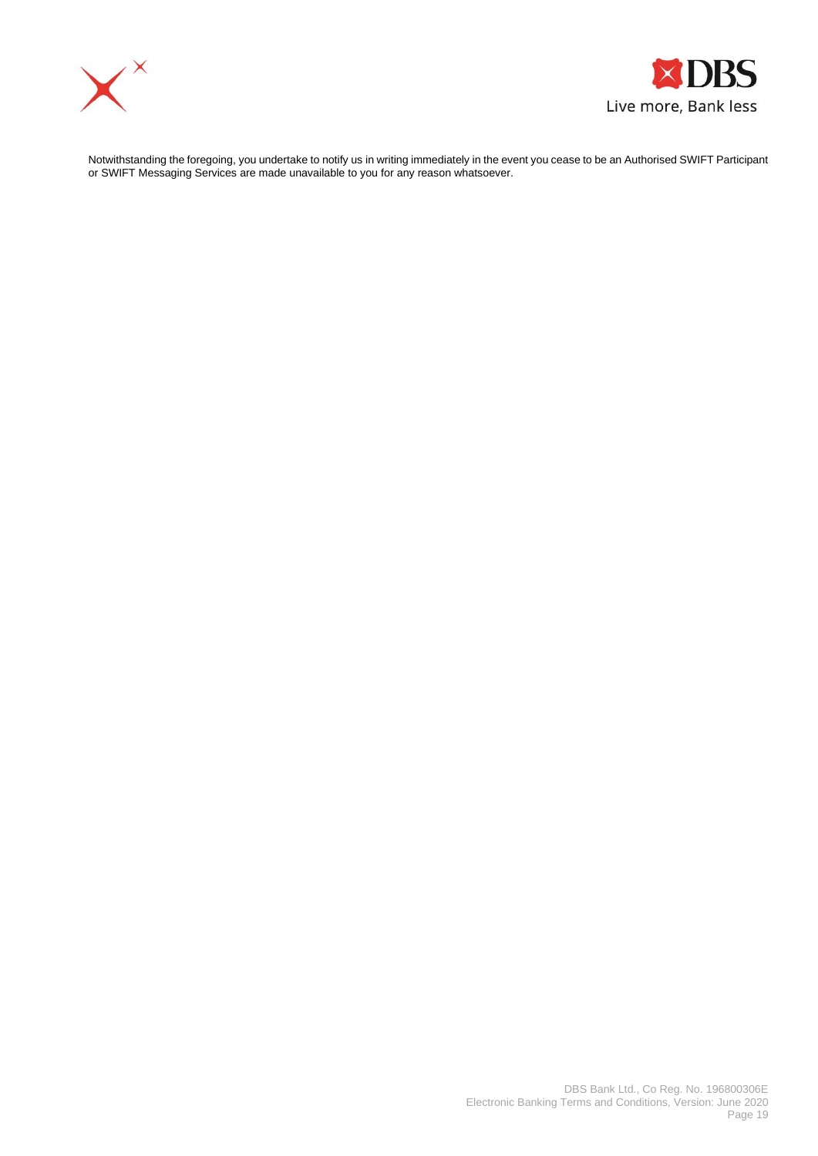



Notwithstanding the foregoing, you undertake to notify us in writing immediately in the event you cease to be an Authorised SWIFT Participant or SWIFT Messaging Services are made unavailable to you for any reason whatsoever.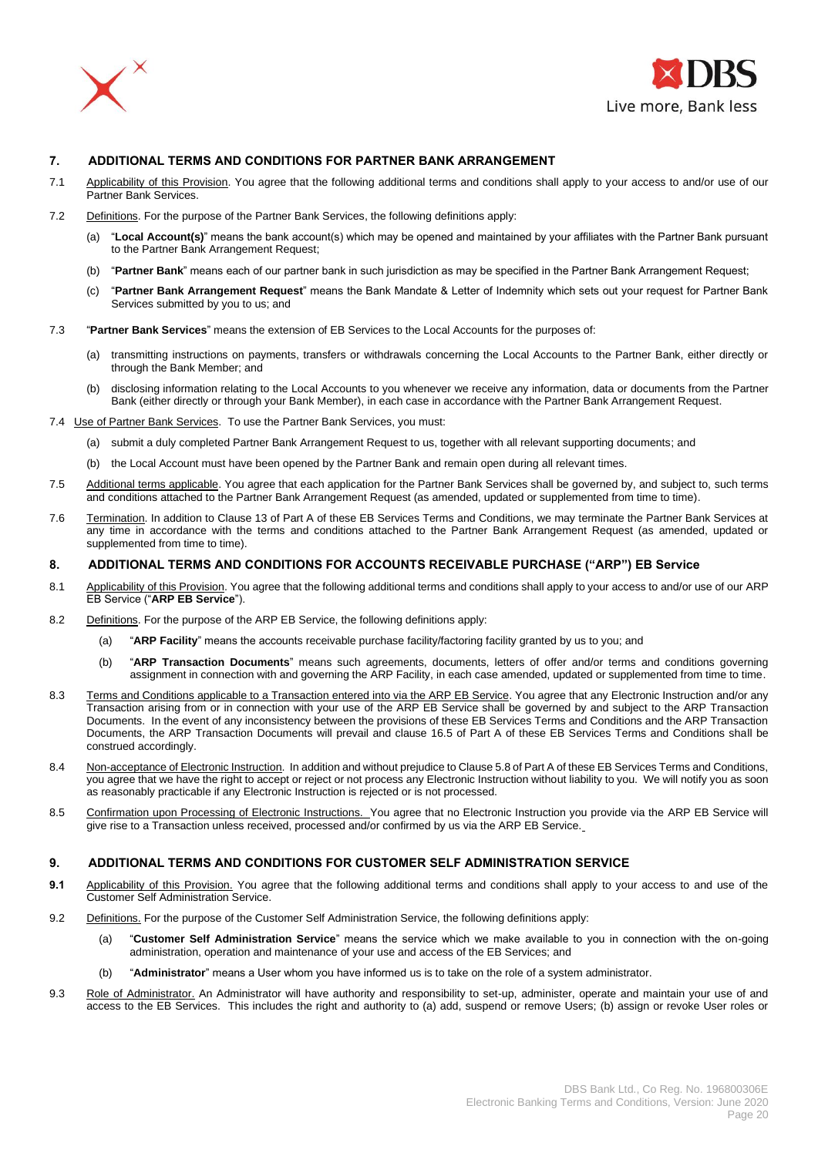



# **7. ADDITIONAL TERMS AND CONDITIONS FOR PARTNER BANK ARRANGEMENT**

- 7.1 Applicability of this Provision. You agree that the following additional terms and conditions shall apply to your access to and/or use of our Partner Bank Services.
- 7.2 Definitions. For the purpose of the Partner Bank Services, the following definitions apply:
	- (a) "**Local Account(s)**" means the bank account(s) which may be opened and maintained by your affiliates with the Partner Bank pursuant to the Partner Bank Arrangement Request;
	- (b) "**Partner Bank**" means each of our partner bank in such jurisdiction as may be specified in the Partner Bank Arrangement Request;
	- (c) "**Partner Bank Arrangement Request**" means the Bank Mandate & Letter of Indemnity which sets out your request for Partner Bank Services submitted by you to us; and
- 7.3 "**Partner Bank Services**" means the extension of EB Services to the Local Accounts for the purposes of:
	- (a) transmitting instructions on payments, transfers or withdrawals concerning the Local Accounts to the Partner Bank, either directly or through the Bank Member; and
	- (b) disclosing information relating to the Local Accounts to you whenever we receive any information, data or documents from the Partner Bank (either directly or through your Bank Member), in each case in accordance with the Partner Bank Arrangement Request.
- 7.4 Use of Partner Bank Services. To use the Partner Bank Services, you must:
	- (a) submit a duly completed Partner Bank Arrangement Request to us, together with all relevant supporting documents; and
	- (b) the Local Account must have been opened by the Partner Bank and remain open during all relevant times.
- 7.5 Additional terms applicable. You agree that each application for the Partner Bank Services shall be governed by, and subject to, such terms and conditions attached to the Partner Bank Arrangement Request (as amended, updated or supplemented from time to time).
- 7.6 Termination. In addition to Clause 13 of Part A of these EB Services Terms and Conditions, we may terminate the Partner Bank Services at any time in accordance with the terms and conditions attached to the Partner Bank Arrangement Request (as amended, updated or supplemented from time to time).

#### **8. ADDITIONAL TERMS AND CONDITIONS FOR ACCOUNTS RECEIVABLE PURCHASE ("ARP") EB Service**

- 8.1 Applicability of this Provision. You agree that the following additional terms and conditions shall apply to your access to and/or use of our ARP EB Service ("**ARP EB Service**").
- 8.2 Definitions. For the purpose of the ARP EB Service, the following definitions apply:
	- (a) "**ARP Facility**" means the accounts receivable purchase facility/factoring facility granted by us to you; and
	- (b) "**ARP Transaction Documents**" means such agreements, documents, letters of offer and/or terms and conditions governing assignment in connection with and governing the ARP Facility, in each case amended, updated or supplemented from time to time.
- 8.3 Terms and Conditions applicable to a Transaction entered into via the ARP EB Service. You agree that any Electronic Instruction and/or any Transaction arising from or in connection with your use of the ARP EB Service shall be governed by and subject to the ARP Transaction Documents. In the event of any inconsistency between the provisions of these EB Services Terms and Conditions and the ARP Transaction Documents, the ARP Transaction Documents will prevail and clause 16.5 of Part A of these EB Services Terms and Conditions shall be construed accordingly.
- 8.4 Non-acceptance of Electronic Instruction. In addition and without prejudice to Clause 5.8 of Part A of these EB Services Terms and Conditions, you agree that we have the right to accept or reject or not process any Electronic Instruction without liability to you. We will notify you as soon as reasonably practicable if any Electronic Instruction is rejected or is not processed.
- 8.5 Confirmation upon Processing of Electronic Instructions. You agree that no Electronic Instruction you provide via the ARP EB Service will give rise to a Transaction unless received, processed and/or confirmed by us via the ARP EB Service.

# **9. ADDITIONAL TERMS AND CONDITIONS FOR CUSTOMER SELF ADMINISTRATION SERVICE**

- **9.1** Applicability of this Provision. You agree that the following additional terms and conditions shall apply to your access to and use of the Customer Self Administration Service.
- 9.2 Definitions. For the purpose of the Customer Self Administration Service, the following definitions apply:
	- (a) "**Customer Self Administration Service**" means the service which we make available to you in connection with the on-going administration, operation and maintenance of your use and access of the EB Services; and
	- (b) "**Administrator**" means a User whom you have informed us is to take on the role of a system administrator.
- 9.3 Role of Administrator. An Administrator will have authority and responsibility to set-up, administer, operate and maintain your use of and access to the EB Services. This includes the right and authority to (a) add, suspend or remove Users; (b) assign or revoke User roles or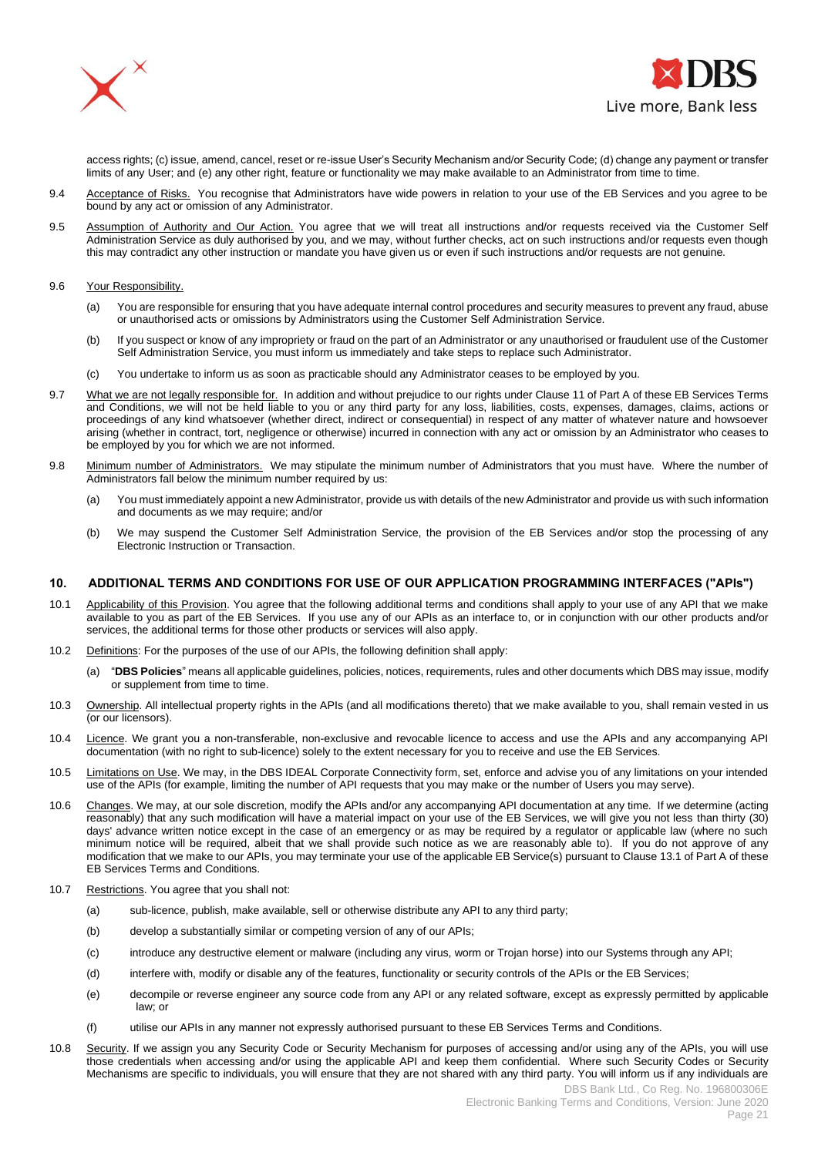



access rights; (c) issue, amend, cancel, reset or re-issue User's Security Mechanism and/or Security Code; (d) change any payment or transfer limits of any User; and (e) any other right, feature or functionality we may make available to an Administrator from time to time.

- 9.4 Acceptance of Risks. You recognise that Administrators have wide powers in relation to your use of the EB Services and you agree to be bound by any act or omission of any Administrator.
- 9.5 Assumption of Authority and Our Action. You agree that we will treat all instructions and/or requests received via the Customer Self Administration Service as duly authorised by you, and we may, without further checks, act on such instructions and/or requests even though this may contradict any other instruction or mandate you have given us or even if such instructions and/or requests are not genuine.
- 9.6 Your Responsibility.
	- (a) You are responsible for ensuring that you have adequate internal control procedures and security measures to prevent any fraud, abuse or unauthorised acts or omissions by Administrators using the Customer Self Administration Service.
	- (b) If you suspect or know of any impropriety or fraud on the part of an Administrator or any unauthorised or fraudulent use of the Customer Self Administration Service, you must inform us immediately and take steps to replace such Administrator.
	- (c) You undertake to inform us as soon as practicable should any Administrator ceases to be employed by you.
- 9.7 What we are not legally responsible for. In addition and without prejudice to our rights under Clause 11 of Part A of these EB Services Terms and Conditions, we will not be held liable to you or any third party for any loss, liabilities, costs, expenses, damages, claims, actions or proceedings of any kind whatsoever (whether direct, indirect or consequential) in respect of any matter of whatever nature and howsoever arising (whether in contract, tort, negligence or otherwise) incurred in connection with any act or omission by an Administrator who ceases to be employed by you for which we are not informed.
- 9.8 Minimum number of Administrators. We may stipulate the minimum number of Administrators that you must have. Where the number of Administrators fall below the minimum number required by us:
	- (a) You must immediately appoint a new Administrator, provide us with details of the new Administrator and provide us with such information and documents as we may require; and/or
	- (b) We may suspend the Customer Self Administration Service, the provision of the EB Services and/or stop the processing of any Electronic Instruction or Transaction.

# **10. ADDITIONAL TERMS AND CONDITIONS FOR USE OF OUR APPLICATION PROGRAMMING INTERFACES ("APIs")**

- 10.1 Applicability of this Provision. You agree that the following additional terms and conditions shall apply to your use of any API that we make available to you as part of the EB Services. If you use any of our APIs as an interface to, or in conjunction with our other products and/or services, the additional terms for those other products or services will also apply.
- 10.2 Definitions: For the purposes of the use of our APIs, the following definition shall apply:
	- (a) "**DBS Policies**" means all applicable guidelines, policies, notices, requirements, rules and other documents which DBS may issue, modify or supplement from time to time.
- 10.3 Ownership. All intellectual property rights in the APIs (and all modifications thereto) that we make available to you, shall remain vested in us (or our licensors).
- 10.4 Licence. We grant you a non-transferable, non-exclusive and revocable licence to access and use the APIs and any accompanying API documentation (with no right to sub-licence) solely to the extent necessary for you to receive and use the EB Services.
- 10.5 Limitations on Use. We may, in the DBS IDEAL Corporate Connectivity form, set, enforce and advise you of any limitations on your intended use of the APIs (for example, limiting the number of API requests that you may make or the number of Users you may serve).
- 10.6 Changes. We may, at our sole discretion, modify the APIs and/or any accompanying API documentation at any time. If we determine (acting reasonably) that any such modification will have a material impact on your use of the EB Services, we will give you not less than thirty (30) days' advance written notice except in the case of an emergency or as may be required by a regulator or applicable law (where no such minimum notice will be required, albeit that we shall provide such notice as we are reasonably able to). If you do not approve of any modification that we make to our APIs, you may terminate your use of the applicable EB Service(s) pursuant to Clause 13.1 of Part A of these EB Services Terms and Conditions.
- 10.7 Restrictions. You agree that you shall not:
	- (a) sub-licence, publish, make available, sell or otherwise distribute any API to any third party;
	- (b) develop a substantially similar or competing version of any of our APIs;
	- (c) introduce any destructive element or malware (including any virus, worm or Trojan horse) into our Systems through any API;
	- (d) interfere with, modify or disable any of the features, functionality or security controls of the APIs or the EB Services;
	- (e) decompile or reverse engineer any source code from any API or any related software, except as expressly permitted by applicable law; or
	- (f) utilise our APIs in any manner not expressly authorised pursuant to these EB Services Terms and Conditions.
- 10.8 Security. If we assign you any Security Code or Security Mechanism for purposes of accessing and/or using any of the APIs, you will use those credentials when accessing and/or using the applicable API and keep them confidential. Where such Security Codes or Security Mechanisms are specific to individuals, you will ensure that they are not shared with any third party. You will inform us if any individuals are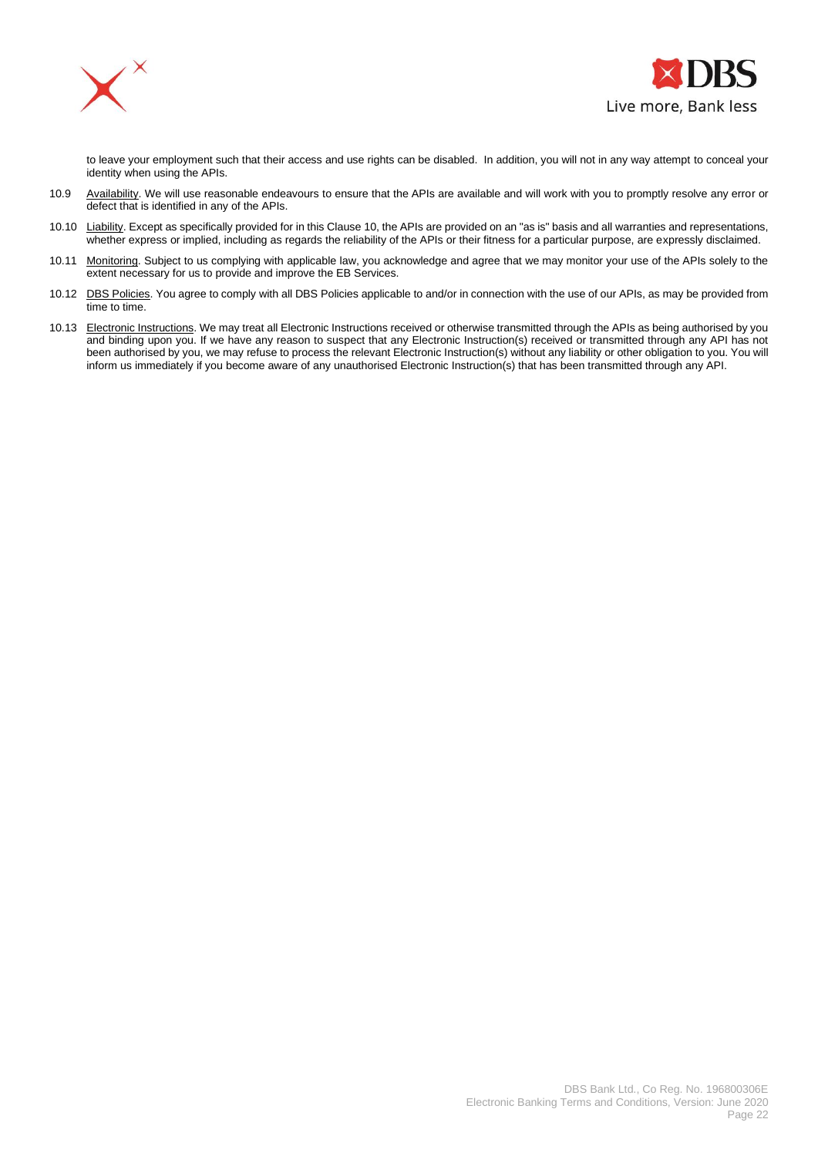



to leave your employment such that their access and use rights can be disabled. In addition, you will not in any way attempt to conceal your identity when using the APIs.

- 10.9 Availability. We will use reasonable endeavours to ensure that the APIs are available and will work with you to promptly resolve any error or defect that is identified in any of the APIs.
- 10.10 Liability. Except as specifically provided for in this Clause 10, the APIs are provided on an "as is" basis and all warranties and representations, whether express or implied, including as regards the reliability of the APIs or their fitness for a particular purpose, are expressly disclaimed.
- 10.11 Monitoring. Subject to us complying with applicable law, you acknowledge and agree that we may monitor your use of the APIs solely to the extent necessary for us to provide and improve the EB Services.
- 10.12 DBS Policies. You agree to comply with all DBS Policies applicable to and/or in connection with the use of our APIs, as may be provided from time to time.
- 10.13 Electronic Instructions. We may treat all Electronic Instructions received or otherwise transmitted through the APIs as being authorised by you and binding upon you. If we have any reason to suspect that any Electronic Instruction(s) received or transmitted through any API has not been authorised by you, we may refuse to process the relevant Electronic Instruction(s) without any liability or other obligation to you. You will inform us immediately if you become aware of any unauthorised Electronic Instruction(s) that has been transmitted through any API.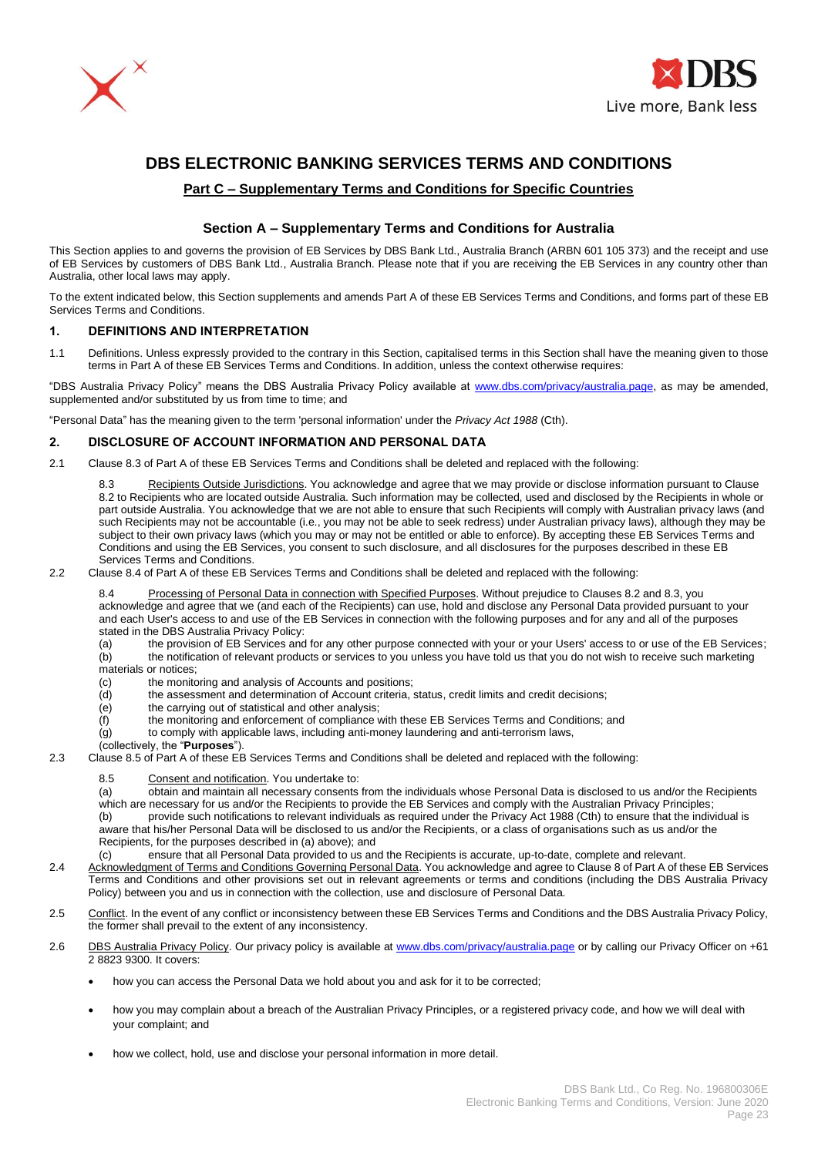



# **DBS ELECTRONIC BANKING SERVICES TERMS AND CONDITIONS**

# **Part C – Supplementary Terms and Conditions for Specific Countries**

# **Section A – Supplementary Terms and Conditions for Australia**

This Section applies to and governs the provision of EB Services by DBS Bank Ltd., Australia Branch (ARBN 601 105 373) and the receipt and use of EB Services by customers of DBS Bank Ltd., Australia Branch. Please note that if you are receiving the EB Services in any country other than Australia, other local laws may apply.

To the extent indicated below, this Section supplements and amends Part A of these EB Services Terms and Conditions, and forms part of these EB Services Terms and Conditions.

# **1. DEFINITIONS AND INTERPRETATION**

1.1 Definitions. Unless expressly provided to the contrary in this Section, capitalised terms in this Section shall have the meaning given to those terms in Part A of these EB Services Terms and Conditions. In addition, unless the context otherwise requires:

"DBS Australia Privacy Policy" means the DBS Australia Privacy Policy available at [www.dbs.com/privacy/australia.page,](http://www.dbs.com/privacy/australia.page) as may be amended, supplemented and/or substituted by us from time to time; and

"Personal Data" has the meaning given to the term 'personal information' under the *Privacy Act 1988* (Cth).

# **2. DISCLOSURE OF ACCOUNT INFORMATION AND PERSONAL DATA**

2.1 Clause 8.3 of Part A of these EB Services Terms and Conditions shall be deleted and replaced with the following:

Recipients Outside Jurisdictions. You acknowledge and agree that we may provide or disclose information pursuant to Clause 8.2 to Recipients who are located outside Australia. Such information may be collected, used and disclosed by the Recipients in whole or part outside Australia. You acknowledge that we are not able to ensure that such Recipients will comply with Australian privacy laws (and such Recipients may not be accountable (i.e., you may not be able to seek redress) under Australian privacy laws), although they may be subject to their own privacy laws (which you may or may not be entitled or able to enforce). By accepting these EB Services Terms and Conditions and using the EB Services, you consent to such disclosure, and all disclosures for the purposes described in these EB Services Terms and Conditions.

2.2 Clause 8.4 of Part A of these EB Services Terms and Conditions shall be deleted and replaced with the following:

8.4 Processing of Personal Data in connection with Specified Purposes. Without prejudice to Clauses 8.2 and 8.3, you acknowledge and agree that we (and each of the Recipients) can use, hold and disclose any Personal Data provided pursuant to your and each User's access to and use of the EB Services in connection with the following purposes and for any and all of the purposes stated in the DBS Australia Privacy Policy:

(a) the provision of EB Services and for any other purpose connected with your or your Users' access to or use of the EB Services; (b) the notification of relevant products or services to you unless you have told us that you do not wish to receive such marketing

- materials or notices;<br>(c) the monito
- (c) the monitoring and analysis of Accounts and positions;<br>(d) the assessment and determination of Account criteria, the assessment and determination of Account criteria, status, credit limits and credit decisions;
- $(e)$  the carrying out of statistical and other analysis;<br>(f) the monitoring and enforcement of compliance  $\mathbf{v}$ 
	- the monitoring and enforcement of compliance with these EB Services Terms and Conditions; and
- (g) to comply with applicable laws, including anti-money laundering and anti-terrorism laws,
- (collectively, the "**Purposes**").

2.3 Clause 8.5 of Part A of these EB Services Terms and Conditions shall be deleted and replaced with the following:

8.5 Consent and notification. You undertake to:

(a) obtain and maintain all necessary consents from the individuals whose Personal Data is disclosed to us and/or the Recipients which are necessary for us and/or the Recipients to provide the EB Services and comply with the Australian Privacy Principles;

(b) provide such notifications to relevant individuals as required under the Privacy Act 1988 (Cth) to ensure that the individual is aware that his/her Personal Data will be disclosed to us and/or the Recipients, or a class of organisations such as us and/or the Recipients, for the purposes described in (a) above); and

(c) ensure that all Personal Data provided to us and the Recipients is accurate, up-to-date, complete and relevant.

- 2.4 Acknowledgment of Terms and Conditions Governing Personal Data. You acknowledge and agree to Clause 8 of Part A of these EB Services Terms and Conditions and other provisions set out in relevant agreements or terms and conditions (including the DBS Australia Privacy Policy) between you and us in connection with the collection, use and disclosure of Personal Data.
- 2.5 Conflict. In the event of any conflict or inconsistency between these EB Services Terms and Conditions and the DBS Australia Privacy Policy, the former shall prevail to the extent of any inconsistency.
- 2.6 DBS Australia Privacy Policy. Our privacy policy is available a[t www.dbs.com/privacy/australia.page](http://www.dbs.com/privacy/australia.page) or by calling our Privacy Officer on +61 2 8823 9300. It covers:
	- how you can access the Personal Data we hold about you and ask for it to be corrected;
	- how you may complain about a breach of the Australian Privacy Principles, or a registered privacy code, and how we will deal with your complaint; and
	- how we collect, hold, use and disclose your personal information in more detail.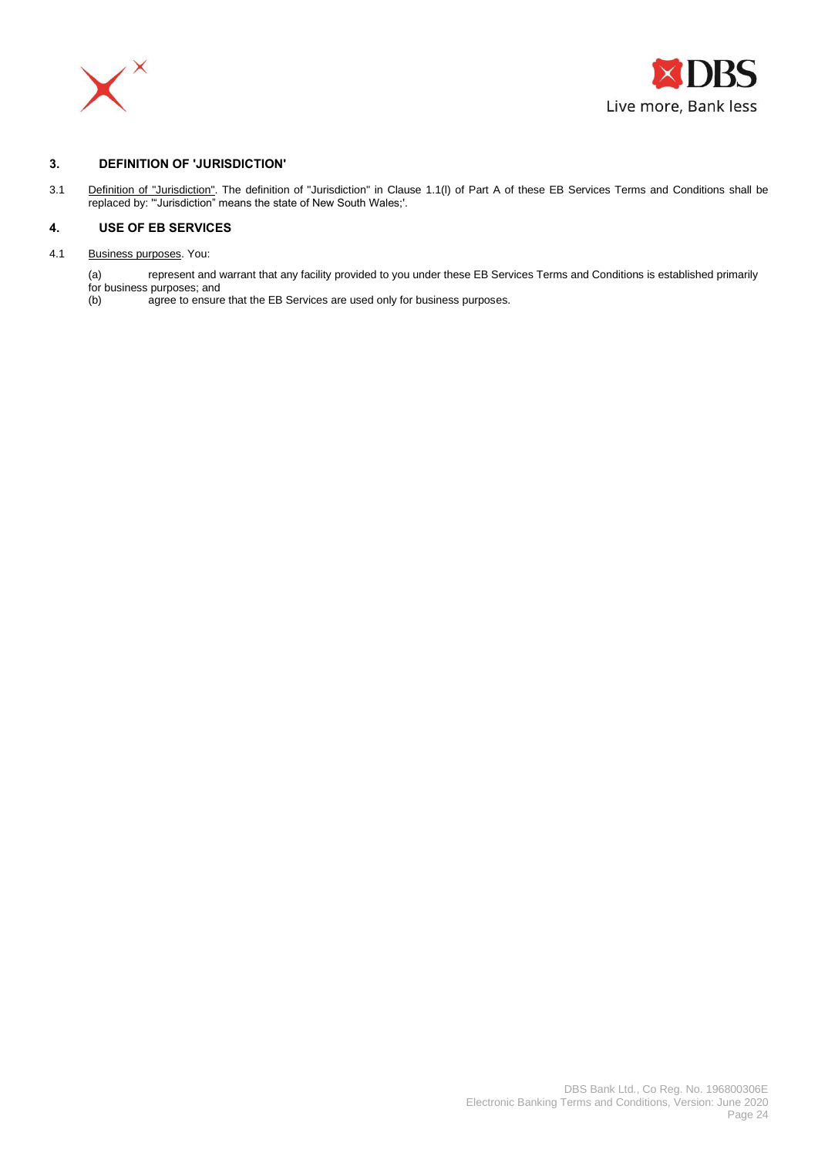



# **3. DEFINITION OF 'JURISDICTION'**

3.1 Definition of "Jurisdiction". The definition of "Jurisdiction" in Clause 1.1(I) of Part A of these EB Services Terms and Conditions shall be replaced by: '"Jurisdiction" means the state of New South Wales;'.

# **4. USE OF EB SERVICES**

- 4.1 Business purposes. You:
	- (a) represent and warrant that any facility provided to you under these EB Services Terms and Conditions is established primarily
	- for business purposes; and<br>(b) agree to ensure agree to ensure that the EB Services are used only for business purposes.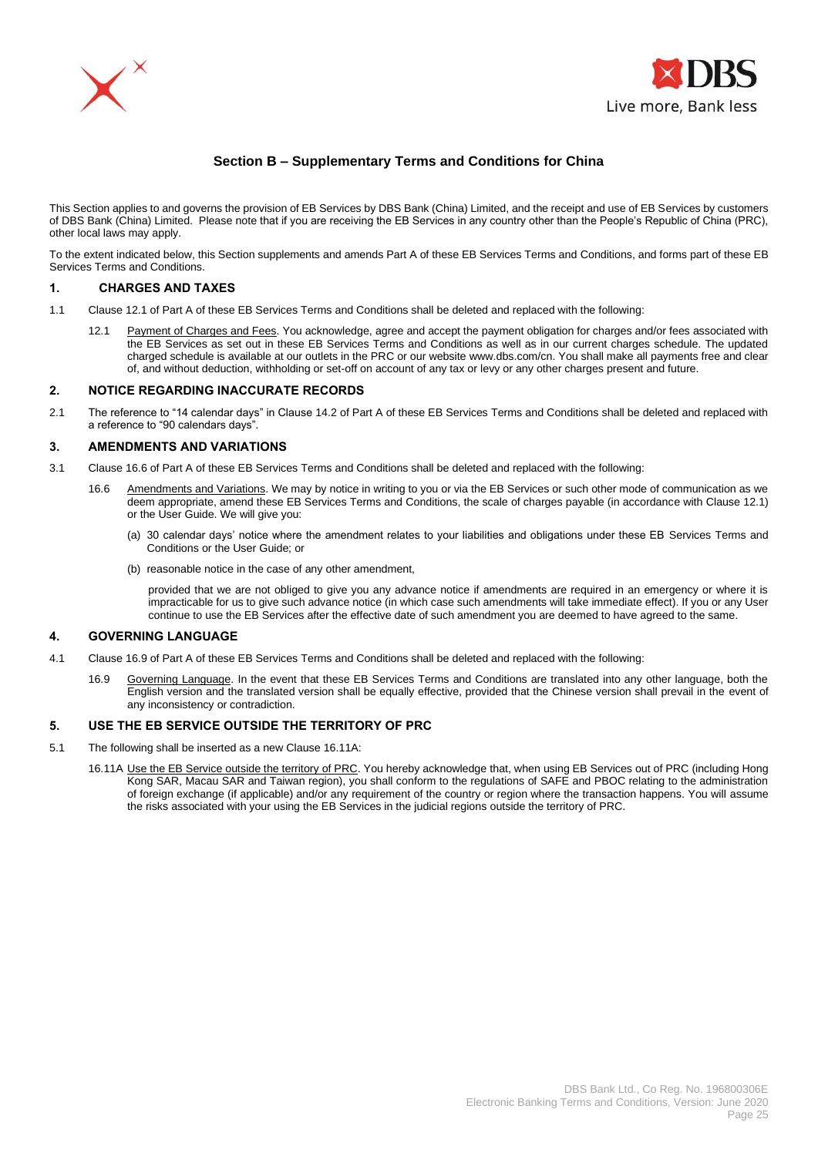



# **Section B – Supplementary Terms and Conditions for China**

This Section applies to and governs the provision of EB Services by DBS Bank (China) Limited, and the receipt and use of EB Services by customers of DBS Bank (China) Limited. Please note that if you are receiving the EB Services in any country other than the People's Republic of China (PRC), other local laws may apply.

To the extent indicated below, this Section supplements and amends Part A of these EB Services Terms and Conditions, and forms part of these EB Services Terms and Conditions.

### **1. CHARGES AND TAXES**

- 1.1 Clause 12.1 of Part A of these EB Services Terms and Conditions shall be deleted and replaced with the following:
	- 12.1 Payment of Charges and Fees. You acknowledge, agree and accept the payment obligation for charges and/or fees associated with the EB Services as set out in these EB Services Terms and Conditions as well as in our current charges schedule. The updated charged schedule is available at our outlets in the PRC or our websit[e www.dbs.com/cn.](http://www.dbs.com/cn) You shall make all payments free and clear of, and without deduction, withholding or set-off on account of any tax or levy or any other charges present and future.

#### **2. NOTICE REGARDING INACCURATE RECORDS**

2.1 The reference to "14 calendar days" in Claus[e 14.2](#page-8-2) of Part A of these EB Services Terms and Conditions shall be deleted and replaced with a reference to "90 calendars days".

### **3. AMENDMENTS AND VARIATIONS**

- 3.1 Claus[e 16.6](#page-9-0) of Part A of these EB Services Terms and Conditions shall be deleted and replaced with the following:
	- [16.6](#page-9-0) Amendments and Variations. We may by notice in writing to you or via the EB Services or such other mode of communication as we deem appropriate, amend these EB Services Terms and Conditions, the scale of charges payable (in accordance with Clause [12.1\)](#page-7-0) or the User Guide. We will give you:
		- (a) 30 calendar days' notice where the amendment relates to your liabilities and obligations under these EB Services Terms and Conditions or the User Guide; or
		- (b) reasonable notice in the case of any other amendment,

provided that we are not obliged to give you any advance notice if amendments are required in an emergency or where it is impracticable for us to give such advance notice (in which case such amendments will take immediate effect). If you or any User continue to use the EB Services after the effective date of such amendment you are deemed to have agreed to the same.

# **4. GOVERNING LANGUAGE**

- 4.1 Claus[e 16.9](#page-9-1) of Part A of these EB Services Terms and Conditions shall be deleted and replaced with the following:
	- 16.9 Governing Language. In the event that these EB Services Terms and Conditions are translated into any other language, both the English version and the translated version shall be equally effective, provided that the Chinese version shall prevail in the event of any inconsistency or contradiction.

#### **5. USE THE EB SERVICE OUTSIDE THE TERRITORY OF PRC**

- 5.1 The following shall be inserted as a new Clause 16.11A:
	- 16.11A Use the EB Service outside the territory of PRC. You hereby acknowledge that, when using EB Services out of PRC (including Hong Kong SAR, Macau SAR and Taiwan region), you shall conform to the regulations of SAFE and PBOC relating to the administration of foreign exchange (if applicable) and/or any requirement of the country or region where the transaction happens. You will assume the risks associated with your using the EB Services in the judicial regions outside the territory of PRC.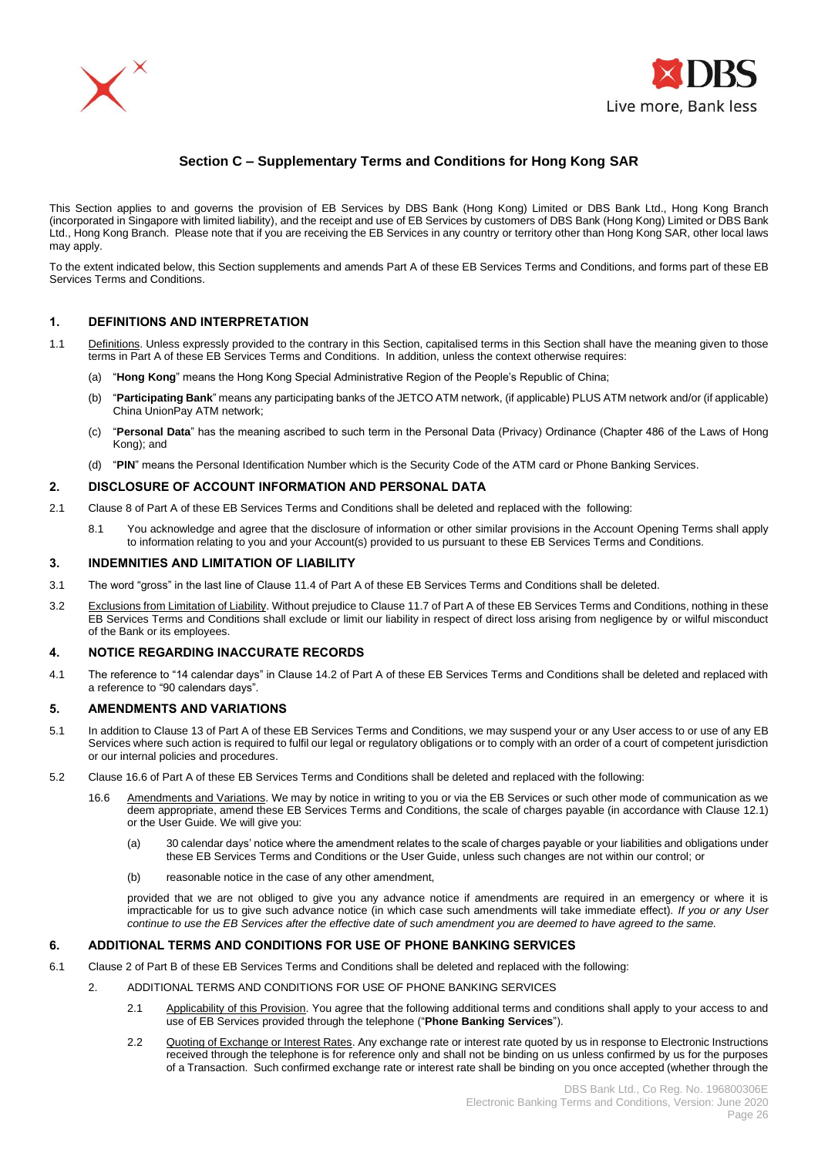



# **Section C – Supplementary Terms and Conditions for Hong Kong SAR**

This Section applies to and governs the provision of EB Services by DBS Bank (Hong Kong) Limited or DBS Bank Ltd., Hong Kong Branch (incorporated in Singapore with limited liability), and the receipt and use of EB Services by customers of DBS Bank (Hong Kong) Limited or DBS Bank Ltd., Hong Kong Branch. Please note that if you are receiving the EB Services in any country or territory other than Hong Kong SAR, other local laws may apply.

To the extent indicated below, this Section supplements and amends Part A of these EB Services Terms and Conditions, and forms part of these EB Services Terms and Conditions.

# **1. DEFINITIONS AND INTERPRETATION**

- 1.1 Definitions. Unless expressly provided to the contrary in this Section, capitalised terms in this Section shall have the meaning given to those terms in Part A of these EB Services Terms and Conditions. In addition, unless the context otherwise requires:
	- (a) "**Hong Kong**" means the Hong Kong Special Administrative Region of the People's Republic of China;
	- (b) "**Participating Bank**" means any participating banks of the JETCO ATM network, (if applicable) PLUS ATM network and/or (if applicable) China UnionPay ATM network;
	- (c) "**Personal Data**" has the meaning ascribed to such term in the Personal Data (Privacy) Ordinance (Chapter 486 of the Laws of Hong Kong); and
	- (d) "**PIN**" means the Personal Identification Number which is the Security Code of the ATM card or Phone Banking Services.

# **2. DISCLOSURE OF ACCOUNT INFORMATION AND PERSONAL DATA**

- 2.1 Clause 8 of Part A of these EB Services Terms and Conditions shall be deleted and replaced with the following:
	- 8.1 You acknowledge and agree that the disclosure of information or other similar provisions in the Account Opening Terms shall apply to information relating to you and your Account(s) provided to us pursuant to these EB Services Terms and Conditions.

# **3. INDEMNITIES AND LIMITATION OF LIABILITY**

- 3.1 The word "gross" in the last line of Clause [11.4](#page-7-1) of Part A of these EB Services Terms and Conditions shall be deleted.
- 3.2 Exclusions from Limitation of Liability. Without prejudice to Claus[e 11.7](#page-7-2) of Part A of these EB Services Terms and Conditions, nothing in these EB Services Terms and Conditions shall exclude or limit our liability in respect of direct loss arising from negligence by or wilful misconduct of the Bank or its employees.

# **4. NOTICE REGARDING INACCURATE RECORDS**

4.1 The reference to "14 calendar days" in Claus[e 14.2](#page-8-2) of Part A of these EB Services Terms and Conditions shall be deleted and replaced with a reference to "90 calendars days".

#### **5. AMENDMENTS AND VARIATIONS**

- 5.1 In addition to Clause 13 of Part A of these EB Services Terms and Conditions, we may suspend your or any User access to or use of any EB Services where such action is required to fulfil our legal or regulatory obligations or to comply with an order of a court of competent jurisdiction or our internal policies and procedures.
- 5.2 Claus[e 16.6](#page-9-0) of Part A of these EB Services Terms and Conditions shall be deleted and replaced with the following:
	- [16.6](#page-9-0) Amendments and Variations. We may by notice in writing to you or via the EB Services or such other mode of communication as we deem appropriate, amend these EB Services Terms and Conditions, the scale of charges payable (in accordance with Clause [12.1\)](#page-7-0) or the User Guide. We will give you:
		- (a) 30 calendar days' notice where the amendment relates to the scale of charges payable or your liabilities and obligations under these EB Services Terms and Conditions or the User Guide, unless such changes are not within our control; or
		- (b) reasonable notice in the case of any other amendment,

provided that we are not obliged to give you any advance notice if amendments are required in an emergency or where it is impracticable for us to give such advance notice (in which case such amendments will take immediate effect). *If you or any User continue to use the EB Services after the effective date of such amendment you are deemed to have agreed to the same.*

# **6. ADDITIONAL TERMS AND CONDITIONS FOR USE OF PHONE BANKING SERVICES**

- 6.1 Claus[e 2](#page-14-0) of Part B of these EB Services Terms and Conditions shall be deleted and replaced with the following:
	- 2. ADDITIONAL TERMS AND CONDITIONS FOR USE OF PHONE BANKING SERVICES
		- 2.1 Applicability of this Provision. You agree that the following additional terms and conditions shall apply to your access to and use of EB Services provided through the telephone ("**Phone Banking Services**").
		- 2.2 Quoting of Exchange or Interest Rates. Any exchange rate or interest rate quoted by us in response to Electronic Instructions received through the telephone is for reference only and shall not be binding on us unless confirmed by us for the purposes of a Transaction. Such confirmed exchange rate or interest rate shall be binding on you once accepted (whether through the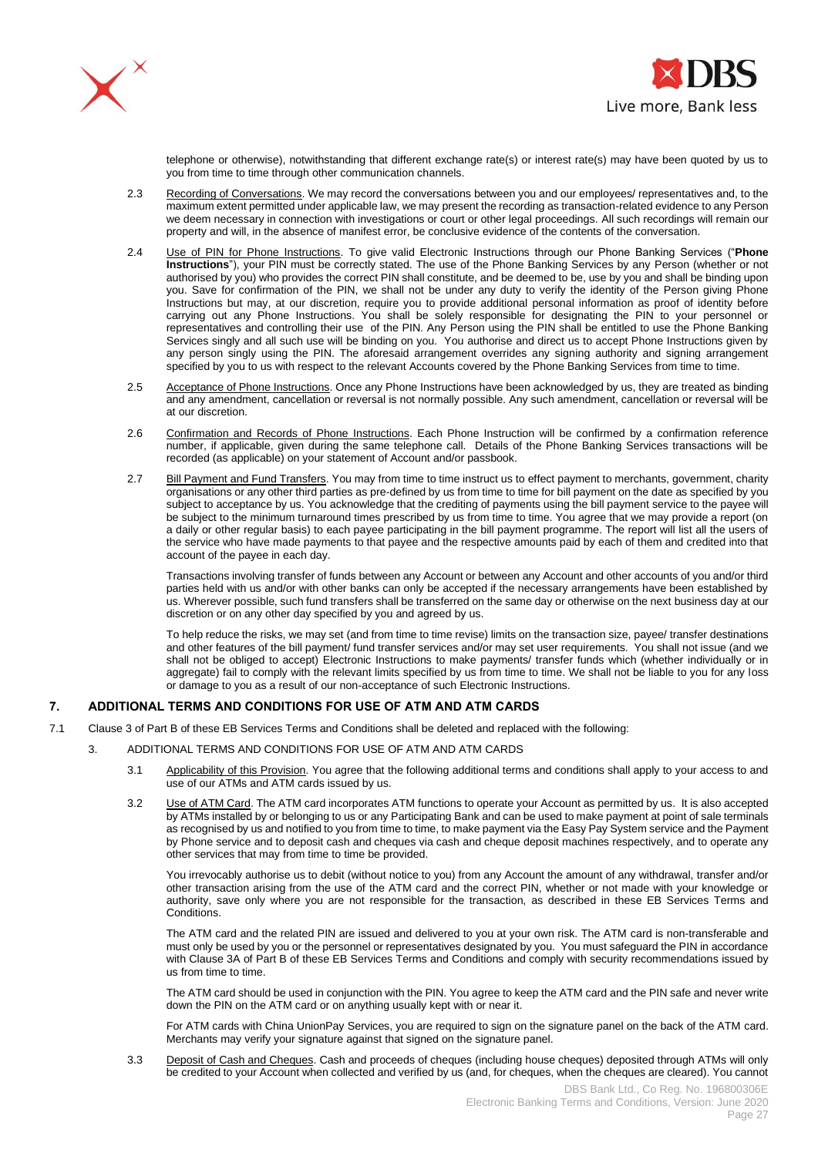



telephone or otherwise), notwithstanding that different exchange rate(s) or interest rate(s) may have been quoted by us to you from time to time through other communication channels.

- 2.3 Recording of Conversations. We may record the conversations between you and our employees/ representatives and, to the maximum extent permitted under applicable law, we may present the recording as transaction-related evidence to any Person we deem necessary in connection with investigations or court or other legal proceedings. All such recordings will remain our property and will, in the absence of manifest error, be conclusive evidence of the contents of the conversation.
- 2.4 Use of PIN for Phone Instructions. To give valid Electronic Instructions through our Phone Banking Services ("**Phone Instructions**"), your PIN must be correctly stated. The use of the Phone Banking Services by any Person (whether or not authorised by you) who provides the correct PIN shall constitute, and be deemed to be, use by you and shall be binding upon you. Save for confirmation of the PIN, we shall not be under any duty to verify the identity of the Person giving Phone Instructions but may, at our discretion, require you to provide additional personal information as proof of identity before carrying out any Phone Instructions. You shall be solely responsible for designating the PIN to your personnel or representatives and controlling their use of the PIN. Any Person using the PIN shall be entitled to use the Phone Banking Services singly and all such use will be binding on you. You authorise and direct us to accept Phone Instructions given by any person singly using the PIN. The aforesaid arrangement overrides any signing authority and signing arrangement specified by you to us with respect to the relevant Accounts covered by the Phone Banking Services from time to time.
- 2.5 Acceptance of Phone Instructions. Once any Phone Instructions have been acknowledged by us, they are treated as binding and any amendment, cancellation or reversal is not normally possible. Any such amendment, cancellation or reversal will be at our discretion.
- 2.6 Confirmation and Records of Phone Instructions. Each Phone Instruction will be confirmed by a confirmation reference number, if applicable, given during the same telephone call. Details of the Phone Banking Services transactions will be recorded (as applicable) on your statement of Account and/or passbook.
- 2.7 Bill Payment and Fund Transfers. You may from time to time instruct us to effect payment to merchants, government, charity organisations or any other third parties as pre-defined by us from time to time for bill payment on the date as specified by you subject to acceptance by us. You acknowledge that the crediting of payments using the bill payment service to the payee will be subject to the minimum turnaround times prescribed by us from time to time. You agree that we may provide a report (on a daily or other regular basis) to each payee participating in the bill payment programme. The report will list all the users of the service who have made payments to that payee and the respective amounts paid by each of them and credited into that account of the payee in each day.

Transactions involving transfer of funds between any Account or between any Account and other accounts of you and/or third parties held with us and/or with other banks can only be accepted if the necessary arrangements have been established by us. Wherever possible, such fund transfers shall be transferred on the same day or otherwise on the next business day at our discretion or on any other day specified by you and agreed by us.

To help reduce the risks, we may set (and from time to time revise) limits on the transaction size, payee/ transfer destinations and other features of the bill payment/ fund transfer services and/or may set user requirements. You shall not issue (and we shall not be obliged to accept) Electronic Instructions to make payments/ transfer funds which (whether individually or in aggregate) fail to comply with the relevant limits specified by us from time to time. We shall not be liable to you for any loss or damage to you as a result of our non-acceptance of such Electronic Instructions.

# **7. ADDITIONAL TERMS AND CONDITIONS FOR USE OF ATM AND ATM CARDS**

- 7.1 Claus[e 3](#page-15-0) of Part B of these EB Services Terms and Conditions shall be deleted and replaced with the following:
	- 3. ADDITIONAL TERMS AND CONDITIONS FOR USE OF ATM AND ATM CARDS
		- 3.1 Applicability of this Provision. You agree that the following additional terms and conditions shall apply to your access to and use of our ATMs and ATM cards issued by us.
		- 3.2 Use of ATM Card. The ATM card incorporates ATM functions to operate your Account as permitted by us. It is also accepted by ATMs installed by or belonging to us or any Participating Bank and can be used to make payment at point of sale terminals as recognised by us and notified to you from time to time, to make payment via the Easy Pay System service and the Payment by Phone service and to deposit cash and cheques via cash and cheque deposit machines respectively, and to operate any other services that may from time to time be provided.

You irrevocably authorise us to debit (without notice to you) from any Account the amount of any withdrawal, transfer and/or other transaction arising from the use of the ATM card and the correct PIN, whether or not made with your knowledge or authority, save only where you are not responsible for the transaction, as described in these EB Services Terms and **Conditions** 

The ATM card and the related PIN are issued and delivered to you at your own risk. The ATM card is non-transferable and must only be used by you or the personnel or representatives designated by you. You must safeguard the PIN in accordance with Clause 3A of Part B of these EB Services Terms and Conditions and comply with security recommendations issued by us from time to time.

The ATM card should be used in conjunction with the PIN. You agree to keep the ATM card and the PIN safe and never write down the PIN on the ATM card or on anything usually kept with or near it.

For ATM cards with China UnionPay Services, you are required to sign on the signature panel on the back of the ATM card. Merchants may verify your signature against that signed on the signature panel.

3.3 Deposit of Cash and Cheques. Cash and proceeds of cheques (including house cheques) deposited through ATMs will only be credited to your Account when collected and verified by us (and, for cheques, when the cheques are cleared). You cannot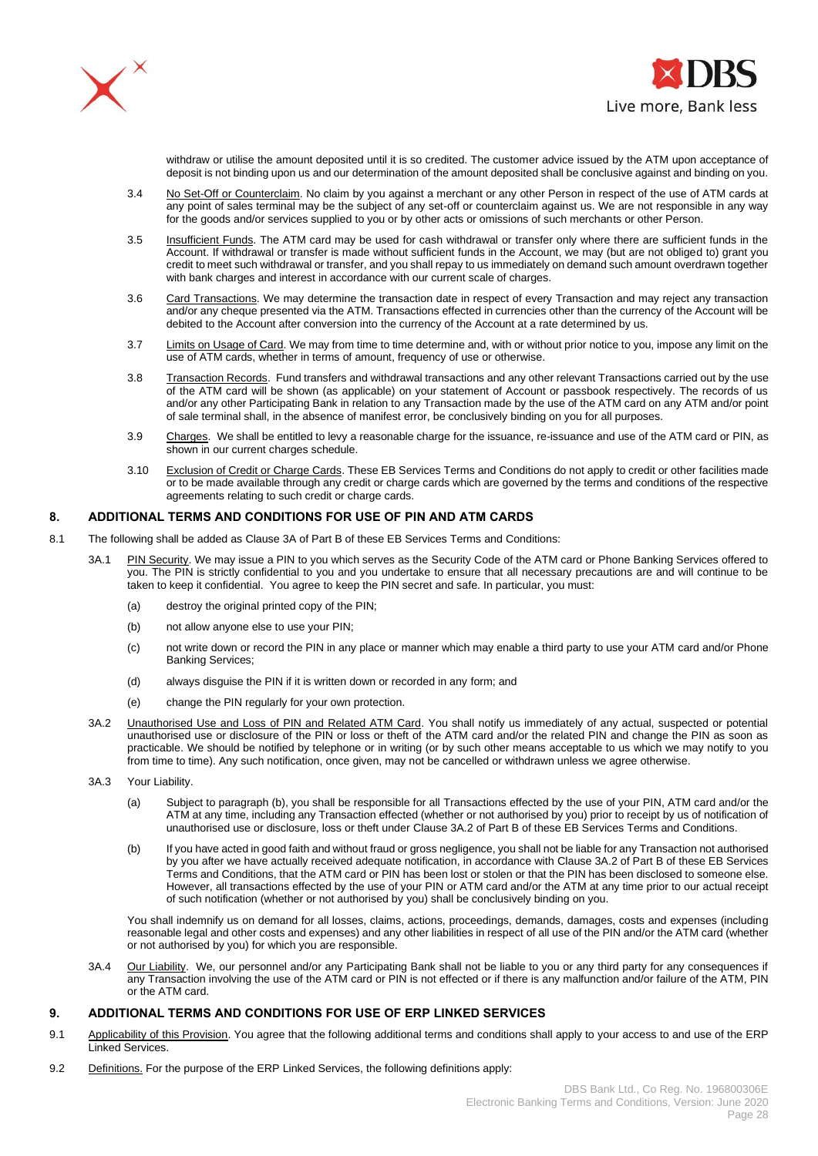



withdraw or utilise the amount deposited until it is so credited. The customer advice issued by the ATM upon acceptance of deposit is not binding upon us and our determination of the amount deposited shall be conclusive against and binding on you.

- 3.4 No Set-Off or Counterclaim. No claim by you against a merchant or any other Person in respect of the use of ATM cards at any point of sales terminal may be the subject of any set-off or counterclaim against us. We are not responsible in any way for the goods and/or services supplied to you or by other acts or omissions of such merchants or other Person.
- 3.5 Insufficient Funds. The ATM card may be used for cash withdrawal or transfer only where there are sufficient funds in the Account. If withdrawal or transfer is made without sufficient funds in the Account, we may (but are not obliged to) grant you credit to meet such withdrawal or transfer, and you shall repay to us immediately on demand such amount overdrawn together with bank charges and interest in accordance with our current scale of charges.
- 3.6 Card Transactions. We may determine the transaction date in respect of every Transaction and may reject any transaction and/or any cheque presented via the ATM. Transactions effected in currencies other than the currency of the Account will be debited to the Account after conversion into the currency of the Account at a rate determined by us.
- 3.7 Limits on Usage of Card. We may from time to time determine and, with or without prior notice to you, impose any limit on the use of ATM cards, whether in terms of amount, frequency of use or otherwise.
- 3.8 Transaction Records. Fund transfers and withdrawal transactions and any other relevant Transactions carried out by the use of the ATM card will be shown (as applicable) on your statement of Account or passbook respectively. The records of us and/or any other Participating Bank in relation to any Transaction made by the use of the ATM card on any ATM and/or point of sale terminal shall, in the absence of manifest error, be conclusively binding on you for all purposes.
- 3.9 Charges. We shall be entitled to levy a reasonable charge for the issuance, re-issuance and use of the ATM card or PIN, as shown in our current charges schedule.
- 3.10 Exclusion of Credit or Charge Cards. These EB Services Terms and Conditions do not apply to credit or other facilities made or to be made available through any credit or charge cards which are governed by the terms and conditions of the respective agreements relating to such credit or charge cards.

# **8. ADDITIONAL TERMS AND CONDITIONS FOR USE OF PIN AND ATM CARDS**

- 8.1 The following shall be added as Clause 3A of Part B of these EB Services Terms and Conditions:
	- 3A.1 PIN Security. We may issue a PIN to you which serves as the Security Code of the ATM card or Phone Banking Services offered to you. The PIN is strictly confidential to you and you undertake to ensure that all necessary precautions are and will continue to be taken to keep it confidential. You agree to keep the PIN secret and safe. In particular, you must:
		- (a) destroy the original printed copy of the PIN;
		- (b) not allow anyone else to use your PIN;
		- (c) not write down or record the PIN in any place or manner which may enable a third party to use your ATM card and/or Phone Banking Services;
		- (d) always disguise the PIN if it is written down or recorded in any form; and
		- (e) change the PIN regularly for your own protection.
	- 3A.2 Unauthorised Use and Loss of PIN and Related ATM Card. You shall notify us immediately of any actual, suspected or potential unauthorised use or disclosure of the PIN or loss or theft of the ATM card and/or the related PIN and change the PIN as soon as practicable. We should be notified by telephone or in writing (or by such other means acceptable to us which we may notify to you from time to time). Any such notification, once given, may not be cancelled or withdrawn unless we agree otherwise.
	- 3A.3 Your Liability.
		- (a) Subject to paragraph (b), you shall be responsible for all Transactions effected by the use of your PIN, ATM card and/or the ATM at any time, including any Transaction effected (whether or not authorised by you) prior to receipt by us of notification of unauthorised use or disclosure, loss or theft under Clause 3A.2 of Part B of these EB Services Terms and Conditions.
		- (b) If you have acted in good faith and without fraud or gross negligence, you shall not be liable for any Transaction not authorised by you after we have actually received adequate notification, in accordance with Clause 3A.2 of Part B of these EB Services Terms and Conditions, that the ATM card or PIN has been lost or stolen or that the PIN has been disclosed to someone else. However, all transactions effected by the use of your PIN or ATM card and/or the ATM at any time prior to our actual receipt of such notification (whether or not authorised by you) shall be conclusively binding on you.

You shall indemnify us on demand for all losses, claims, actions, proceedings, demands, damages, costs and expenses (including reasonable legal and other costs and expenses) and any other liabilities in respect of all use of the PIN and/or the ATM card (whether or not authorised by you) for which you are responsible.

3A.4 Our Liability. We, our personnel and/or any Participating Bank shall not be liable to you or any third party for any consequences if any Transaction involving the use of the ATM card or PIN is not effected or if there is any malfunction and/or failure of the ATM, PIN or the ATM card.

# **9. ADDITIONAL TERMS AND CONDITIONS FOR USE OF ERP LINKED SERVICES**

- 9.1 Applicability of this Provision. You agree that the following additional terms and conditions shall apply to your access to and use of the ERP Linked Services.
- 9.2 Definitions. For the purpose of the ERP Linked Services, the following definitions apply: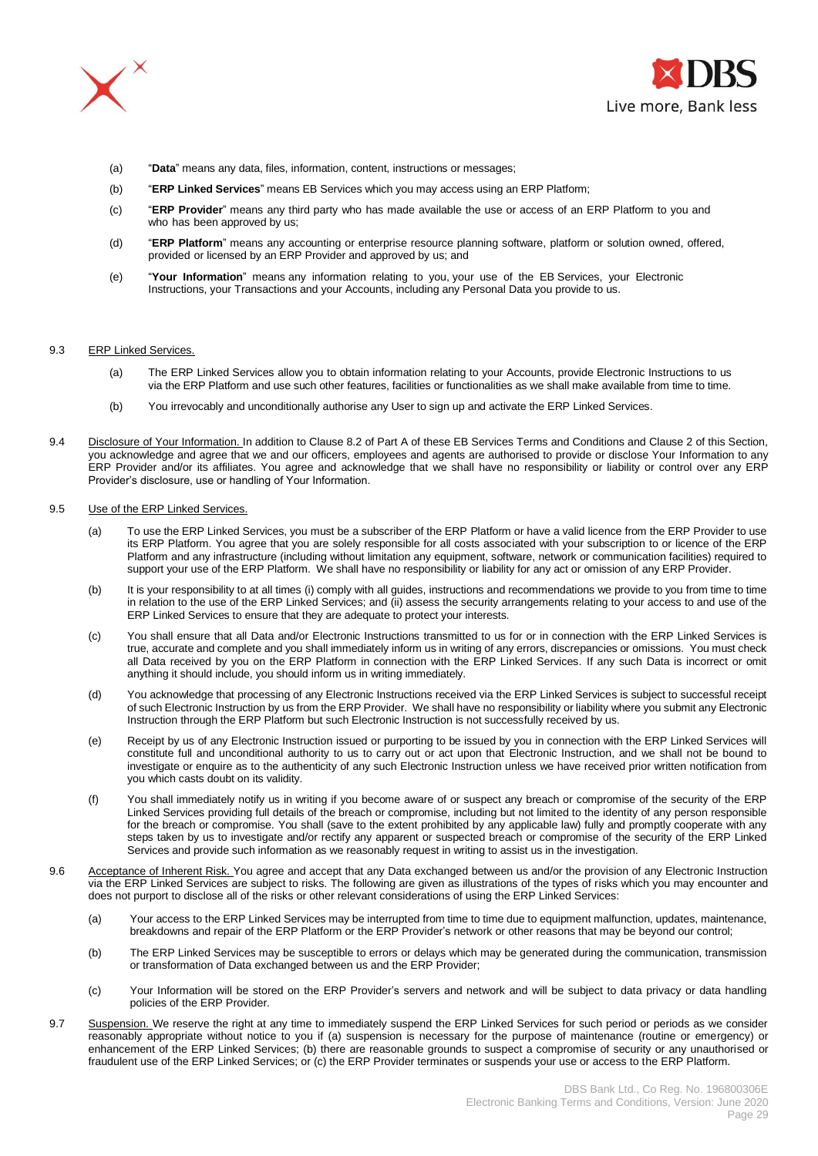



- (a) "**Data**" means any data, files, information, content, instructions or messages;
- (b) "**ERP Linked Services**" means EB Services which you may access using an ERP Platform;
- (c) "**ERP Provider**" means any third party who has made available the use or access of an ERP Platform to you and who has been approved by us;
- (d) "**ERP Platform**" means any accounting or enterprise resource planning software, platform or solution owned, offered, provided or licensed by an ERP Provider and approved by us; and
- (e) "**Your Information**" means any information relating to you, your use of the EB Services, your Electronic Instructions, your Transactions and your Accounts, including any Personal Data you provide to us.

#### 9.3 ERP Linked Services.

- (a) The ERP Linked Services allow you to obtain information relating to your Accounts, provide Electronic Instructions to us via the ERP Platform and use such other features, facilities or functionalities as we shall make available from time to time.
- (b) You irrevocably and unconditionally authorise any User to sign up and activate the ERP Linked Services.
- 9.4 Disclosure of Your Information. In addition to Clause 8.2 of Part A of these EB Services Terms and Conditions and Clause 2 of this Section, you acknowledge and agree that we and our officers, employees and agents are authorised to provide or disclose Your Information to any ERP Provider and/or its affiliates. You agree and acknowledge that we shall have no responsibility or liability or control over any ERP Provider's disclosure, use or handling of Your Information.

#### 9.5 Use of the ERP Linked Services.

- (a) To use the ERP Linked Services, you must be a subscriber of the ERP Platform or have a valid licence from the ERP Provider to use its ERP Platform. You agree that you are solely responsible for all costs associated with your subscription to or licence of the ERP Platform and any infrastructure (including without limitation any equipment, software, network or communication facilities) required to support your use of the ERP Platform. We shall have no responsibility or liability for any act or omission of any ERP Provider.
- (b) It is your responsibility to at all times (i) comply with all guides, instructions and recommendations we provide to you from time to time in relation to the use of the ERP Linked Services; and (ii) assess the security arrangements relating to your access to and use of the ERP Linked Services to ensure that they are adequate to protect your interests.
- (c) You shall ensure that all Data and/or Electronic Instructions transmitted to us for or in connection with the ERP Linked Services is true, accurate and complete and you shall immediately inform us in writing of any errors, discrepancies or omissions. You must check all Data received by you on the ERP Platform in connection with the ERP Linked Services. If any such Data is incorrect or omit anything it should include, you should inform us in writing immediately.
- (d) You acknowledge that processing of any Electronic Instructions received via the ERP Linked Services is subject to successful receipt of such Electronic Instruction by us from the ERP Provider. We shall have no responsibility or liability where you submit any Electronic Instruction through the ERP Platform but such Electronic Instruction is not successfully received by us.
- (e) Receipt by us of any Electronic Instruction issued or purporting to be issued by you in connection with the ERP Linked Services will constitute full and unconditional authority to us to carry out or act upon that Electronic Instruction, and we shall not be bound to investigate or enquire as to the authenticity of any such Electronic Instruction unless we have received prior written notification from you which casts doubt on its validity.
- (f) You shall immediately notify us in writing if you become aware of or suspect any breach or compromise of the security of the ERP Linked Services providing full details of the breach or compromise, including but not limited to the identity of any person responsible for the breach or compromise. You shall (save to the extent prohibited by any applicable law) fully and promptly cooperate with any steps taken by us to investigate and/or rectify any apparent or suspected breach or compromise of the security of the ERP Linked Services and provide such information as we reasonably request in writing to assist us in the investigation.
- 9.6 Acceptance of Inherent Risk. You agree and accept that any Data exchanged between us and/or the provision of any Electronic Instruction via the ERP Linked Services are subject to risks. The following are given as illustrations of the types of risks which you may encounter and does not purport to disclose all of the risks or other relevant considerations of using the ERP Linked Services:
	- (a) Your access to the ERP Linked Services may be interrupted from time to time due to equipment malfunction, updates, maintenance, breakdowns and repair of the ERP Platform or the ERP Provider's network or other reasons that may be beyond our control;
	- (b) The ERP Linked Services may be susceptible to errors or delays which may be generated during the communication, transmission or transformation of Data exchanged between us and the ERP Provider;
	- (c) Your Information will be stored on the ERP Provider's servers and network and will be subject to data privacy or data handling policies of the ERP Provider.
- 9.7 Suspension. We reserve the right at any time to immediately suspend the ERP Linked Services for such period or periods as we consider reasonably appropriate without notice to you if (a) suspension is necessary for the purpose of maintenance (routine or emergency) or enhancement of the ERP Linked Services; (b) there are reasonable grounds to suspect a compromise of security or any unauthorised or fraudulent use of the ERP Linked Services; or (c) the ERP Provider terminates or suspends your use or access to the ERP Platform.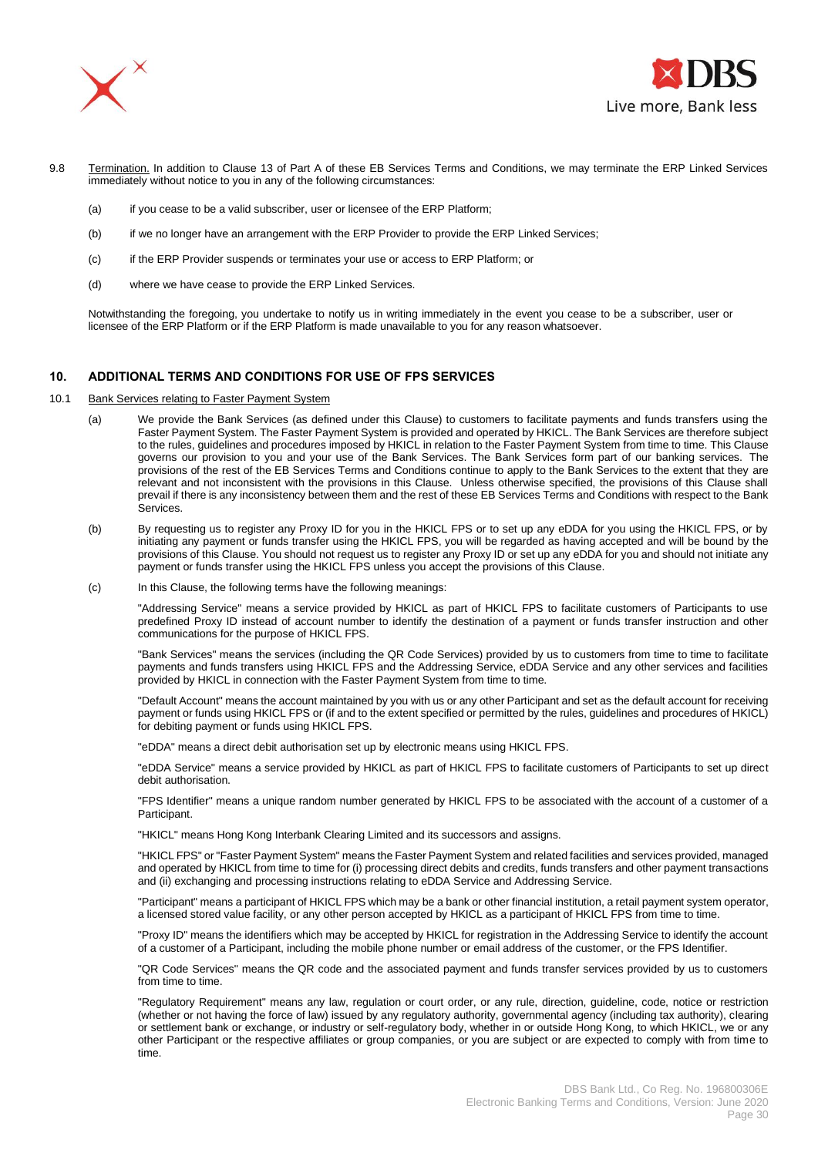



- 9.8 Termination. In addition to Clause 13 of Part A of these EB Services Terms and Conditions, we may terminate the ERP Linked Services immediately without notice to you in any of the following circumstances:
	- (a) if you cease to be a valid subscriber, user or licensee of the ERP Platform;
	- (b) if we no longer have an arrangement with the ERP Provider to provide the ERP Linked Services;
	- (c) if the ERP Provider suspends or terminates your use or access to ERP Platform; or
	- (d) where we have cease to provide the ERP Linked Services.

Notwithstanding the foregoing, you undertake to notify us in writing immediately in the event you cease to be a subscriber, user or licensee of the ERP Platform or if the ERP Platform is made unavailable to you for any reason whatsoever.

### **10. ADDITIONAL TERMS AND CONDITIONS FOR USE OF FPS SERVICES**

#### 10.1 Bank Services relating to Faster Payment System

- (a) We provide the Bank Services (as defined under this Clause) to customers to facilitate payments and funds transfers using the Faster Payment System. The Faster Payment System is provided and operated by HKICL. The Bank Services are therefore subject to the rules, guidelines and procedures imposed by HKICL in relation to the Faster Payment System from time to time. This Clause governs our provision to you and your use of the Bank Services. The Bank Services form part of our banking services. The provisions of the rest of the EB Services Terms and Conditions continue to apply to the Bank Services to the extent that they are relevant and not inconsistent with the provisions in this Clause. Unless otherwise specified, the provisions of this Clause shall prevail if there is any inconsistency between them and the rest of these EB Services Terms and Conditions with respect to the Bank Services.
- (b) By requesting us to register any Proxy ID for you in the HKICL FPS or to set up any eDDA for you using the HKICL FPS, or by initiating any payment or funds transfer using the HKICL FPS, you will be regarded as having accepted and will be bound by the provisions of this Clause. You should not request us to register any Proxy ID or set up any eDDA for you and should not initiate any payment or funds transfer using the HKICL FPS unless you accept the provisions of this Clause.
- (c) In this Clause, the following terms have the following meanings:

"Addressing Service" means a service provided by HKICL as part of HKICL FPS to facilitate customers of Participants to use predefined Proxy ID instead of account number to identify the destination of a payment or funds transfer instruction and other communications for the purpose of HKICL FPS.

"Bank Services" means the services (including the QR Code Services) provided by us to customers from time to time to facilitate payments and funds transfers using HKICL FPS and the Addressing Service, eDDA Service and any other services and facilities provided by HKICL in connection with the Faster Payment System from time to time.

"Default Account" means the account maintained by you with us or any other Participant and set as the default account for receiving payment or funds using HKICL FPS or (if and to the extent specified or permitted by the rules, guidelines and procedures of HKICL) for debiting payment or funds using HKICL FPS.

"eDDA" means a direct debit authorisation set up by electronic means using HKICL FPS.

"eDDA Service" means a service provided by HKICL as part of HKICL FPS to facilitate customers of Participants to set up direct debit authorisation.

"FPS Identifier" means a unique random number generated by HKICL FPS to be associated with the account of a customer of a Participant.

"HKICL" means Hong Kong Interbank Clearing Limited and its successors and assigns.

"HKICL FPS" or "Faster Payment System" means the Faster Payment System and related facilities and services provided, managed and operated by HKICL from time to time for (i) processing direct debits and credits, funds transfers and other payment transactions and (ii) exchanging and processing instructions relating to eDDA Service and Addressing Service.

"Participant" means a participant of HKICL FPS which may be a bank or other financial institution, a retail payment system operator, a licensed stored value facility, or any other person accepted by HKICL as a participant of HKICL FPS from time to time.

"Proxy ID" means the identifiers which may be accepted by HKICL for registration in the Addressing Service to identify the account of a customer of a Participant, including the mobile phone number or email address of the customer, or the FPS Identifier.

"QR Code Services" means the QR code and the associated payment and funds transfer services provided by us to customers from time to time.

"Regulatory Requirement" means any law, regulation or court order, or any rule, direction, guideline, code, notice or restriction (whether or not having the force of law) issued by any regulatory authority, governmental agency (including tax authority), clearing or settlement bank or exchange, or industry or self-regulatory body, whether in or outside Hong Kong, to which HKICL, we or any other Participant or the respective affiliates or group companies, or you are subject or are expected to comply with from time to time.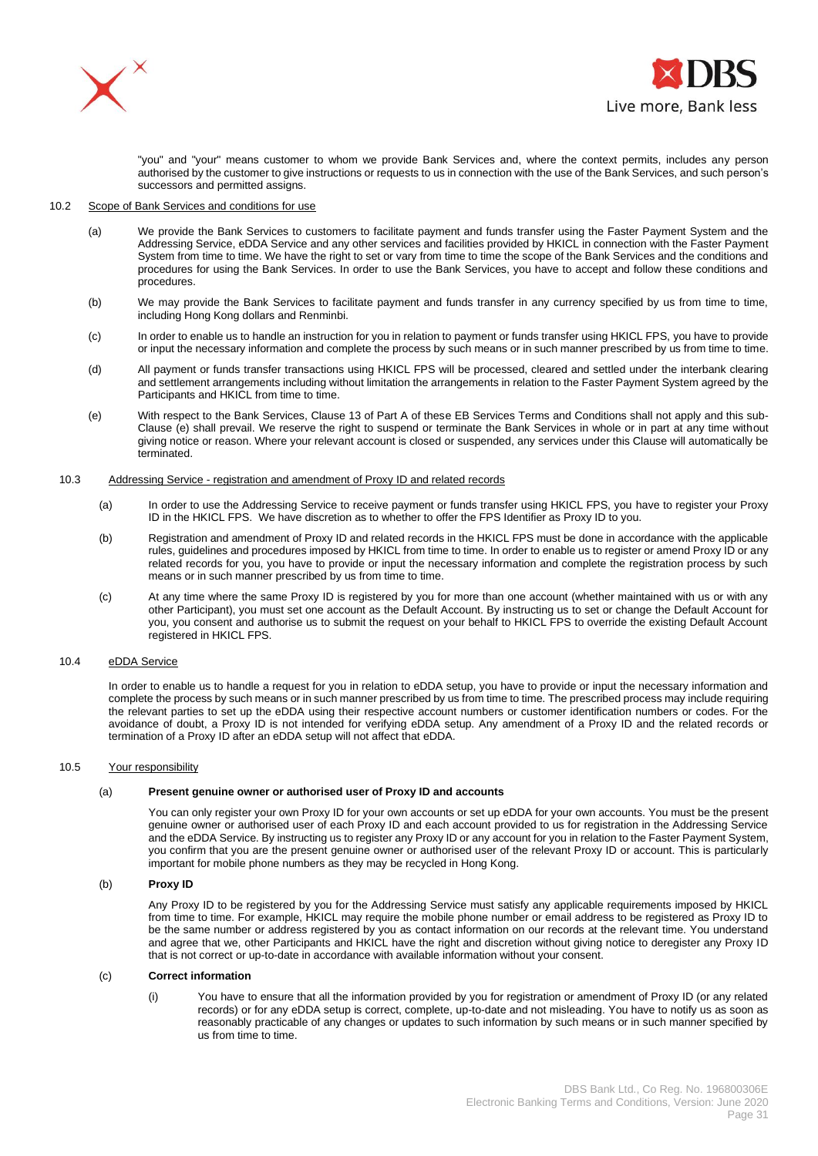



"you" and "your" means customer to whom we provide Bank Services and, where the context permits, includes any person authorised by the customer to give instructions or requests to us in connection with the use of the Bank Services, and such person's successors and permitted assigns.

#### 10.2 Scope of Bank Services and conditions for use

- (a) We provide the Bank Services to customers to facilitate payment and funds transfer using the Faster Payment System and the Addressing Service, eDDA Service and any other services and facilities provided by HKICL in connection with the Faster Payment System from time to time. We have the right to set or vary from time to time the scope of the Bank Services and the conditions and procedures for using the Bank Services. In order to use the Bank Services, you have to accept and follow these conditions and procedures.
- (b) We may provide the Bank Services to facilitate payment and funds transfer in any currency specified by us from time to time, including Hong Kong dollars and Renminbi.
- (c) In order to enable us to handle an instruction for you in relation to payment or funds transfer using HKICL FPS, you have to provide or input the necessary information and complete the process by such means or in such manner prescribed by us from time to time.
- (d) All payment or funds transfer transactions using HKICL FPS will be processed, cleared and settled under the interbank clearing and settlement arrangements including without limitation the arrangements in relation to the Faster Payment System agreed by the Participants and HKICL from time to time.
- (e) With respect to the Bank Services, Clause 13 of Part A of these EB Services Terms and Conditions shall not apply and this sub-Clause (e) shall prevail. We reserve the right to suspend or terminate the Bank Services in whole or in part at any time without giving notice or reason. Where your relevant account is closed or suspended, any services under this Clause will automatically be terminated.

#### 10.3 Addressing Service - registration and amendment of Proxy ID and related records

- (a) In order to use the Addressing Service to receive payment or funds transfer using HKICL FPS, you have to register your Proxy ID in the HKICL FPS. We have discretion as to whether to offer the FPS Identifier as Proxy ID to you.
- (b) Registration and amendment of Proxy ID and related records in the HKICL FPS must be done in accordance with the applicable rules, guidelines and procedures imposed by HKICL from time to time. In order to enable us to register or amend Proxy ID or any related records for you, you have to provide or input the necessary information and complete the registration process by such means or in such manner prescribed by us from time to time.
- (c) At any time where the same Proxy ID is registered by you for more than one account (whether maintained with us or with any other Participant), you must set one account as the Default Account. By instructing us to set or change the Default Account for you, you consent and authorise us to submit the request on your behalf to HKICL FPS to override the existing Default Account registered in HKICL FPS.

#### 10.4 eDDA Service

In order to enable us to handle a request for you in relation to eDDA setup, you have to provide or input the necessary information and complete the process by such means or in such manner prescribed by us from time to time. The prescribed process may include requiring the relevant parties to set up the eDDA using their respective account numbers or customer identification numbers or codes. For the avoidance of doubt, a Proxy ID is not intended for verifying eDDA setup. Any amendment of a Proxy ID and the related records or termination of a Proxy ID after an eDDA setup will not affect that eDDA.

#### 10.5 Your responsibility

#### (a) **Present genuine owner or authorised user of Proxy ID and accounts**

You can only register your own Proxy ID for your own accounts or set up eDDA for your own accounts. You must be the present genuine owner or authorised user of each Proxy ID and each account provided to us for registration in the Addressing Service and the eDDA Service. By instructing us to register any Proxy ID or any account for you in relation to the Faster Payment System, you confirm that you are the present genuine owner or authorised user of the relevant Proxy ID or account. This is particularly important for mobile phone numbers as they may be recycled in Hong Kong.

#### (b) **Proxy ID**

Any Proxy ID to be registered by you for the Addressing Service must satisfy any applicable requirements imposed by HKICL from time to time. For example, HKICL may require the mobile phone number or email address to be registered as Proxy ID to be the same number or address registered by you as contact information on our records at the relevant time. You understand and agree that we, other Participants and HKICL have the right and discretion without giving notice to deregister any Proxy ID that is not correct or up-to-date in accordance with available information without your consent.

#### (c) **Correct information**

(i) You have to ensure that all the information provided by you for registration or amendment of Proxy ID (or any related records) or for any eDDA setup is correct, complete, up-to-date and not misleading. You have to notify us as soon as reasonably practicable of any changes or updates to such information by such means or in such manner specified by us from time to time.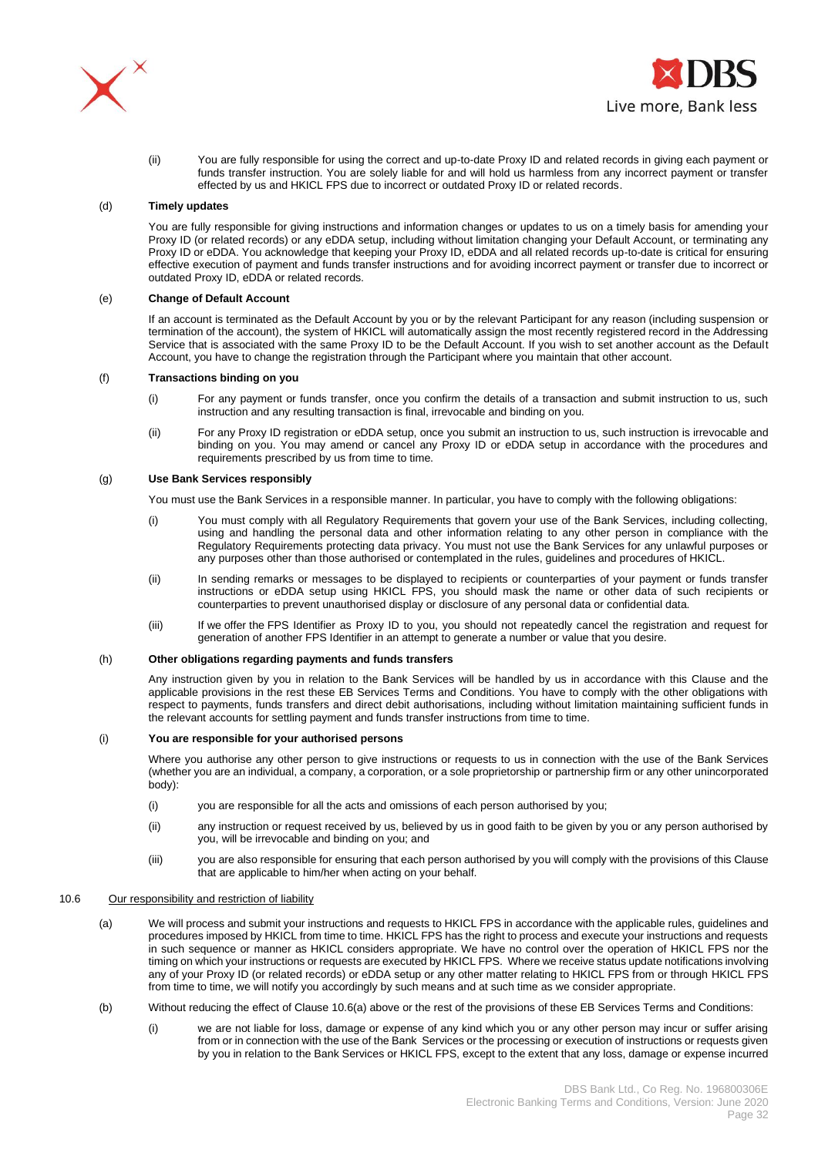



(ii) You are fully responsible for using the correct and up-to-date Proxy ID and related records in giving each payment or funds transfer instruction. You are solely liable for and will hold us harmless from any incorrect payment or transfer effected by us and HKICL FPS due to incorrect or outdated Proxy ID or related records.

#### (d) **Timely updates**

You are fully responsible for giving instructions and information changes or updates to us on a timely basis for amending your Proxy ID (or related records) or any eDDA setup, including without limitation changing your Default Account, or terminating any Proxy ID or eDDA. You acknowledge that keeping your Proxy ID, eDDA and all related records up-to-date is critical for ensuring effective execution of payment and funds transfer instructions and for avoiding incorrect payment or transfer due to incorrect or outdated Proxy ID, eDDA or related records.

#### (e) **Change of Default Account**

If an account is terminated as the Default Account by you or by the relevant Participant for any reason (including suspension or termination of the account), the system of HKICL will automatically assign the most recently registered record in the Addressing Service that is associated with the same Proxy ID to be the Default Account. If you wish to set another account as the Default Account, you have to change the registration through the Participant where you maintain that other account.

#### (f) **Transactions binding on you**

- (i) For any payment or funds transfer, once you confirm the details of a transaction and submit instruction to us, such instruction and any resulting transaction is final, irrevocable and binding on you.
- (ii) For any Proxy ID registration or eDDA setup, once you submit an instruction to us, such instruction is irrevocable and binding on you. You may amend or cancel any Proxy ID or eDDA setup in accordance with the procedures and requirements prescribed by us from time to time.

#### (g) **Use Bank Services responsibly**

You must use the Bank Services in a responsible manner. In particular, you have to comply with the following obligations:

- (i) You must comply with all Regulatory Requirements that govern your use of the Bank Services, including collecting, using and handling the personal data and other information relating to any other person in compliance with the Regulatory Requirements protecting data privacy. You must not use the Bank Services for any unlawful purposes or any purposes other than those authorised or contemplated in the rules, guidelines and procedures of HKICL.
- (ii) In sending remarks or messages to be displayed to recipients or counterparties of your payment or funds transfer instructions or eDDA setup using HKICL FPS, you should mask the name or other data of such recipients or counterparties to prevent unauthorised display or disclosure of any personal data or confidential data.
- (iii) If we offer the FPS Identifier as Proxy ID to you, you should not repeatedly cancel the registration and request for generation of another FPS Identifier in an attempt to generate a number or value that you desire.

#### (h) **Other obligations regarding payments and funds transfers**

Any instruction given by you in relation to the Bank Services will be handled by us in accordance with this Clause and the applicable provisions in the rest these EB Services Terms and Conditions. You have to comply with the other obligations with respect to payments, funds transfers and direct debit authorisations, including without limitation maintaining sufficient funds in the relevant accounts for settling payment and funds transfer instructions from time to time.

#### (i) **You are responsible for your authorised persons**

Where you authorise any other person to give instructions or requests to us in connection with the use of the Bank Services (whether you are an individual, a company, a corporation, or a sole proprietorship or partnership firm or any other unincorporated body):

- (i) you are responsible for all the acts and omissions of each person authorised by you;
- (ii) any instruction or request received by us, believed by us in good faith to be given by you or any person authorised by you, will be irrevocable and binding on you; and
- (iii) you are also responsible for ensuring that each person authorised by you will comply with the provisions of this Clause that are applicable to him/her when acting on your behalf.

# 10.6 Our responsibility and restriction of liability

- (a) We will process and submit your instructions and requests to HKICL FPS in accordance with the applicable rules, guidelines and procedures imposed by HKICL from time to time. HKICL FPS has the right to process and execute your instructions and requests in such sequence or manner as HKICL considers appropriate. We have no control over the operation of HKICL FPS nor the timing on which your instructions or requests are executed by HKICL FPS. Where we receive status update notifications involving any of your Proxy ID (or related records) or eDDA setup or any other matter relating to HKICL FPS from or through HKICL FPS from time to time, we will notify you accordingly by such means and at such time as we consider appropriate.
- (b) Without reducing the effect of Clause 10.6(a) above or the rest of the provisions of these EB Services Terms and Conditions:
	- (i) we are not liable for loss, damage or expense of any kind which you or any other person may incur or suffer arising from or in connection with the use of the Bank Services or the processing or execution of instructions or requests given by you in relation to the Bank Services or HKICL FPS, except to the extent that any loss, damage or expense incurred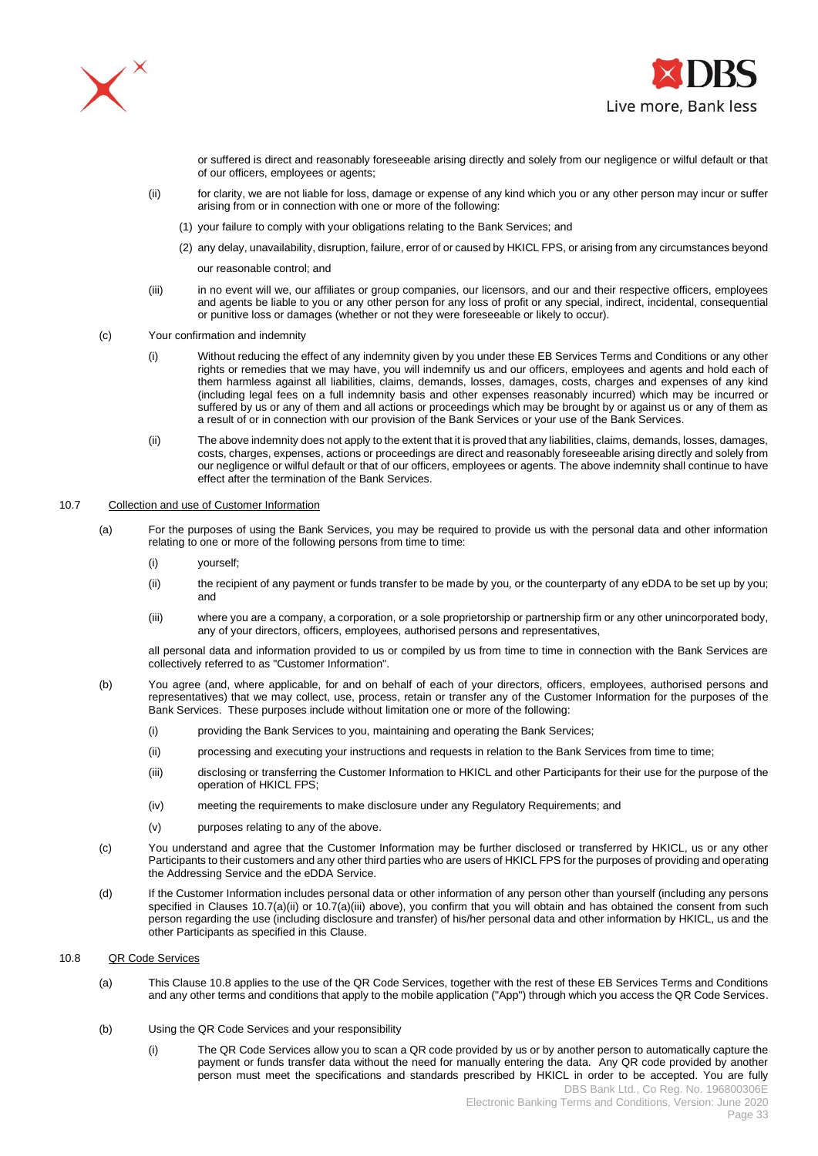



or suffered is direct and reasonably foreseeable arising directly and solely from our negligence or wilful default or that of our officers, employees or agents;

- (ii) for clarity, we are not liable for loss, damage or expense of any kind which you or any other person may incur or suffer arising from or in connection with one or more of the following:
	- (1) your failure to comply with your obligations relating to the Bank Services; and
	- (2) any delay, unavailability, disruption, failure, error of or caused by HKICL FPS, or arising from any circumstances beyond

our reasonable control; and

- (iii) in no event will we, our affiliates or group companies, our licensors, and our and their respective officers, employees and agents be liable to you or any other person for any loss of profit or any special, indirect, incidental, consequential or punitive loss or damages (whether or not they were foreseeable or likely to occur).
- (c) Your confirmation and indemnity
	- (i) Without reducing the effect of any indemnity given by you under these EB Services Terms and Conditions or any other rights or remedies that we may have, you will indemnify us and our officers, employees and agents and hold each of them harmless against all liabilities, claims, demands, losses, damages, costs, charges and expenses of any kind (including legal fees on a full indemnity basis and other expenses reasonably incurred) which may be incurred or suffered by us or any of them and all actions or proceedings which may be brought by or against us or any of them as a result of or in connection with our provision of the Bank Services or your use of the Bank Services.
	- (ii) The above indemnity does not apply to the extent that it is proved that any liabilities, claims, demands, losses, damages, costs, charges, expenses, actions or proceedings are direct and reasonably foreseeable arising directly and solely from our negligence or wilful default or that of our officers, employees or agents. The above indemnity shall continue to have effect after the termination of the Bank Services.

#### 10.7 Collection and use of Customer Information

- (a) For the purposes of using the Bank Services, you may be required to provide us with the personal data and other information relating to one or more of the following persons from time to time:
	- (i) yourself;
	- (ii) the recipient of any payment or funds transfer to be made by you, or the counterparty of any eDDA to be set up by you; and
	- (iii) where you are a company, a corporation, or a sole proprietorship or partnership firm or any other unincorporated body, any of your directors, officers, employees, authorised persons and representatives,

all personal data and information provided to us or compiled by us from time to time in connection with the Bank Services are collectively referred to as "Customer Information".

- (b) You agree (and, where applicable, for and on behalf of each of your directors, officers, employees, authorised persons and representatives) that we may collect, use, process, retain or transfer any of the Customer Information for the purposes of the Bank Services. These purposes include without limitation one or more of the following:
	- (i) providing the Bank Services to you, maintaining and operating the Bank Services;
	- (ii) processing and executing your instructions and requests in relation to the Bank Services from time to time;
	- (iii) disclosing or transferring the Customer Information to HKICL and other Participants for their use for the purpose of the operation of HKICL FPS;
	- (iv) meeting the requirements to make disclosure under any Regulatory Requirements; and
	- (v) purposes relating to any of the above.
- (c) You understand and agree that the Customer Information may be further disclosed or transferred by HKICL, us or any other Participants to their customers and any other third parties who are users of HKICL FPS for the purposes of providing and operating the Addressing Service and the eDDA Service.
- (d) If the Customer Information includes personal data or other information of any person other than yourself (including any persons specified in Clauses 10.7(a)(ii) or 10.7(a)(iii) above), you confirm that you will obtain and has obtained the consent from such person regarding the use (including disclosure and transfer) of his/her personal data and other information by HKICL, us and the other Participants as specified in this Clause.

# 10.8 QR Code Services

- (a) This Clause 10.8 applies to the use of the QR Code Services, together with the rest of these EB Services Terms and Conditions and any other terms and conditions that apply to the mobile application ("App") through which you access the QR Code Services.
- (b) Using the QR Code Services and your responsibility
	- (i) The QR Code Services allow you to scan a QR code provided by us or by another person to automatically capture the payment or funds transfer data without the need for manually entering the data. Any QR code provided by another person must meet the specifications and standards prescribed by HKICL in order to be accepted. You are fully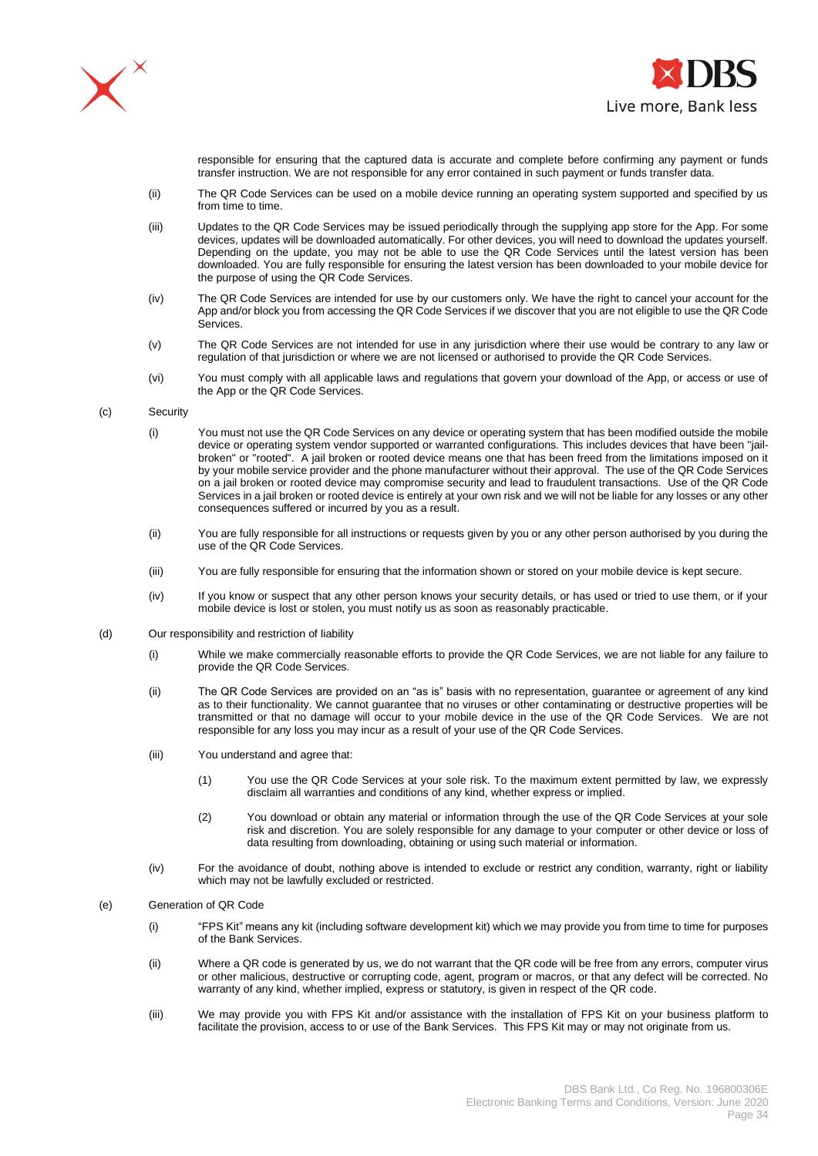



responsible for ensuring that the captured data is accurate and complete before confirming any payment or funds transfer instruction. We are not responsible for any error contained in such payment or funds transfer data.

- (ii) The QR Code Services can be used on a mobile device running an operating system supported and specified by us from time to time.
- (iii) Updates to the QR Code Services may be issued periodically through the supplying app store for the App. For some devices, updates will be downloaded automatically. For other devices, you will need to download the updates yourself. Depending on the update, you may not be able to use the QR Code Services until the latest version has been downloaded. You are fully responsible for ensuring the latest version has been downloaded to your mobile device for the purpose of using the QR Code Services.
- (iv) The QR Code Services are intended for use by our customers only. We have the right to cancel your account for the App and/or block you from accessing the QR Code Services if we discover that you are not eligible to use the QR Code Services.
- (v) The QR Code Services are not intended for use in any jurisdiction where their use would be contrary to any law or regulation of that jurisdiction or where we are not licensed or authorised to provide the QR Code Services.
- (vi) You must comply with all applicable laws and regulations that govern your download of the App, or access or use of the App or the QR Code Services.

#### (c) Security

- (i) You must not use the QR Code Services on any device or operating system that has been modified outside the mobile device or operating system vendor supported or warranted configurations. This includes devices that have been "jailbroken" or "rooted". A jail broken or rooted device means one that has been freed from the limitations imposed on it by your mobile service provider and the phone manufacturer without their approval. The use of the QR Code Services on a jail broken or rooted device may compromise security and lead to fraudulent transactions. Use of the QR Code Services in a jail broken or rooted device is entirely at your own risk and we will not be liable for any losses or any other consequences suffered or incurred by you as a result.
- (ii) You are fully responsible for all instructions or requests given by you or any other person authorised by you during the use of the QR Code Services.
- (iii) You are fully responsible for ensuring that the information shown or stored on your mobile device is kept secure.
- (iv) If you know or suspect that any other person knows your security details, or has used or tried to use them, or if your mobile device is lost or stolen, you must notify us as soon as reasonably practicable.
- (d) Our responsibility and restriction of liability
	- (i) While we make commercially reasonable efforts to provide the QR Code Services, we are not liable for any failure to provide the QR Code Services.
	- (ii) The QR Code Services are provided on an "as is" basis with no representation, guarantee or agreement of any kind as to their functionality. We cannot guarantee that no viruses or other contaminating or destructive properties will be transmitted or that no damage will occur to your mobile device in the use of the QR Code Services. We are not responsible for any loss you may incur as a result of your use of the QR Code Services.
	- (iii) You understand and agree that:
		- (1) You use the QR Code Services at your sole risk. To the maximum extent permitted by law, we expressly disclaim all warranties and conditions of any kind, whether express or implied.
		- (2) You download or obtain any material or information through the use of the QR Code Services at your sole risk and discretion. You are solely responsible for any damage to your computer or other device or loss of data resulting from downloading, obtaining or using such material or information.
	- (iv) For the avoidance of doubt, nothing above is intended to exclude or restrict any condition, warranty, right or liability which may not be lawfully excluded or restricted.

#### (e) Generation of QR Code

- (i) "FPS Kit" means any kit (including software development kit) which we may provide you from time to time for purposes of the Bank Services.
- (ii) Where a QR code is generated by us, we do not warrant that the QR code will be free from any errors, computer virus or other malicious, destructive or corrupting code, agent, program or macros, or that any defect will be corrected. No warranty of any kind, whether implied, express or statutory, is given in respect of the QR code.
- (iii) We may provide you with FPS Kit and/or assistance with the installation of FPS Kit on your business platform to facilitate the provision, access to or use of the Bank Services. This FPS Kit may or may not originate from us.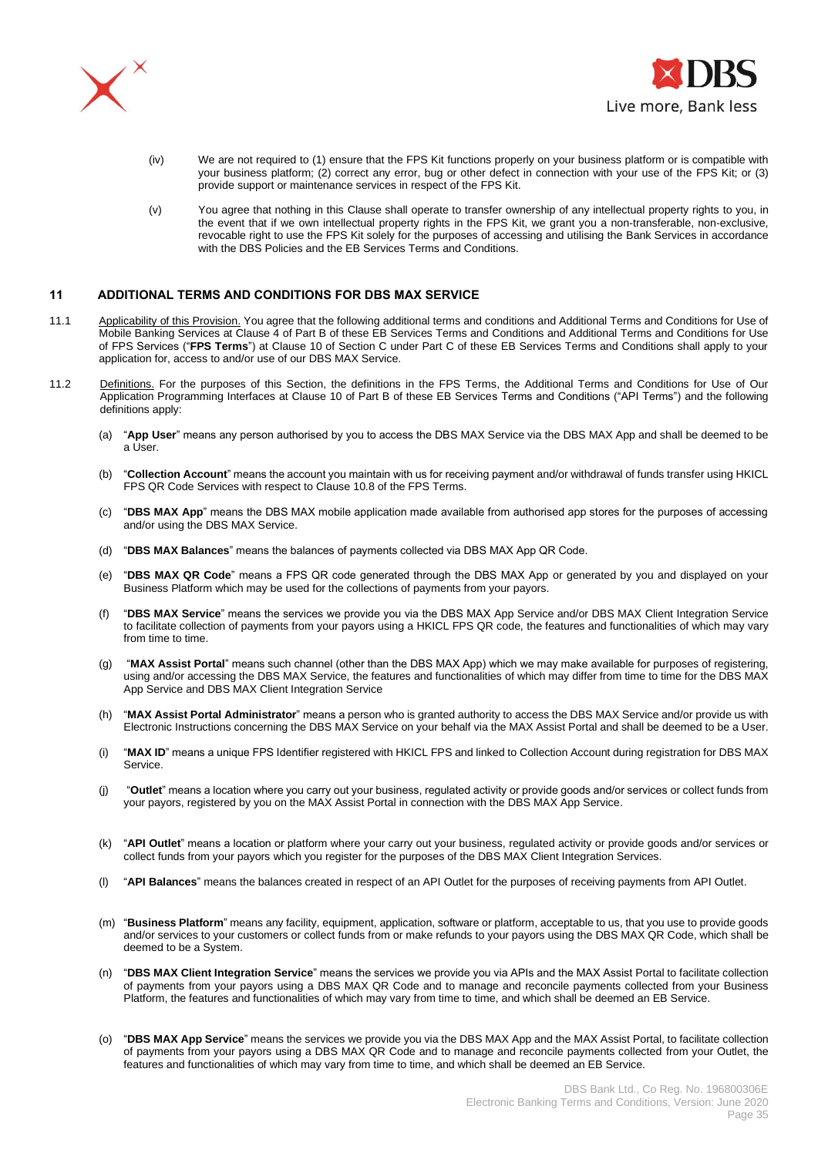



- (iv) We are not required to (1) ensure that the FPS Kit functions properly on your business platform or is compatible with your business platform; (2) correct any error, bug or other defect in connection with your use of the FPS Kit; or (3) provide support or maintenance services in respect of the FPS Kit.
- (v) You agree that nothing in this Clause shall operate to transfer ownership of any intellectual property rights to you, in the event that if we own intellectual property rights in the FPS Kit, we grant you a non-transferable, non-exclusive, revocable right to use the FPS Kit solely for the purposes of accessing and utilising the Bank Services in accordance with the DBS Policies and the EB Services Terms and Conditions.

# **11 ADDITIONAL TERMS AND CONDITIONS FOR DBS MAX SERVICE**

- 11.1 Applicability of this Provision. You agree that the following additional terms and conditions and Additional Terms and Conditions for Use of Mobile Banking Services at Clause 4 of Part B of these EB Services Terms and Conditions and Additional Terms and Conditions for Use of FPS Services ("**FPS Terms**") at Clause 10 of Section C under Part C of these EB Services Terms and Conditions shall apply to your application for, access to and/or use of our DBS MAX Service.
- 11.2 Definitions. For the purposes of this Section, the definitions in the FPS Terms, the Additional Terms and Conditions for Use of Our Application Programming Interfaces at Clause 10 of Part B of these EB Services Terms and Conditions ("API Terms") and the following definitions apply:
	- (a) "**App User**" means any person authorised by you to access the DBS MAX Service via the DBS MAX App and shall be deemed to be a User.
	- (b) "**Collection Account**" means the account you maintain with us for receiving payment and/or withdrawal of funds transfer using HKICL FPS QR Code Services with respect to Clause 10.8 of the FPS Terms.
	- (c) "**DBS MAX App**" means the DBS MAX mobile application made available from authorised app stores for the purposes of accessing and/or using the DBS MAX Service.
	- (d) "**DBS MAX Balances**" means the balances of payments collected via DBS MAX App QR Code.
	- (e) "**DBS MAX QR Code**" means a FPS QR code generated through the DBS MAX App or generated by you and displayed on your Business Platform which may be used for the collections of payments from your payors.
	- (f) "**DBS MAX Service**" means the services we provide you via the DBS MAX App Service and/or DBS MAX Client Integration Service to facilitate collection of payments from your payors using a HKICL FPS QR code, the features and functionalities of which may vary from time to time.
	- (g) "**MAX Assist Portal**" means such channel (other than the DBS MAX App) which we may make available for purposes of registering, using and/or accessing the DBS MAX Service, the features and functionalities of which may differ from time to time for the DBS MAX App Service and DBS MAX Client Integration Service
	- (h) "**MAX Assist Portal Administrator**" means a person who is granted authority to access the DBS MAX Service and/or provide us with Electronic Instructions concerning the DBS MAX Service on your behalf via the MAX Assist Portal and shall be deemed to be a User.
	- (i) "**MAX ID**" means a unique FPS Identifier registered with HKICL FPS and linked to Collection Account during registration for DBS MAX Service.
	- (j) "**Outlet**" means a location where you carry out your business, regulated activity or provide goods and/or services or collect funds from your payors, registered by you on the MAX Assist Portal in connection with the DBS MAX App Service.
	- (k) "**API Outlet**" means a location or platform where your carry out your business, regulated activity or provide goods and/or services or collect funds from your payors which you register for the purposes of the DBS MAX Client Integration Services.
	- (l) "**API Balances**" means the balances created in respect of an API Outlet for the purposes of receiving payments from API Outlet.
	- (m) "**Business Platform**" means any facility, equipment, application, software or platform, acceptable to us, that you use to provide goods and/or services to your customers or collect funds from or make refunds to your payors using the DBS MAX QR Code, which shall be deemed to be a System.
	- (n) "**DBS MAX Client Integration Service**" means the services we provide you via APIs and the MAX Assist Portal to facilitate collection of payments from your payors using a DBS MAX QR Code and to manage and reconcile payments collected from your Business Platform, the features and functionalities of which may vary from time to time, and which shall be deemed an EB Service.
	- (o) "**DBS MAX App Service**" means the services we provide you via the DBS MAX App and the MAX Assist Portal, to facilitate collection of payments from your payors using a DBS MAX QR Code and to manage and reconcile payments collected from your Outlet, the features and functionalities of which may vary from time to time, and which shall be deemed an EB Service.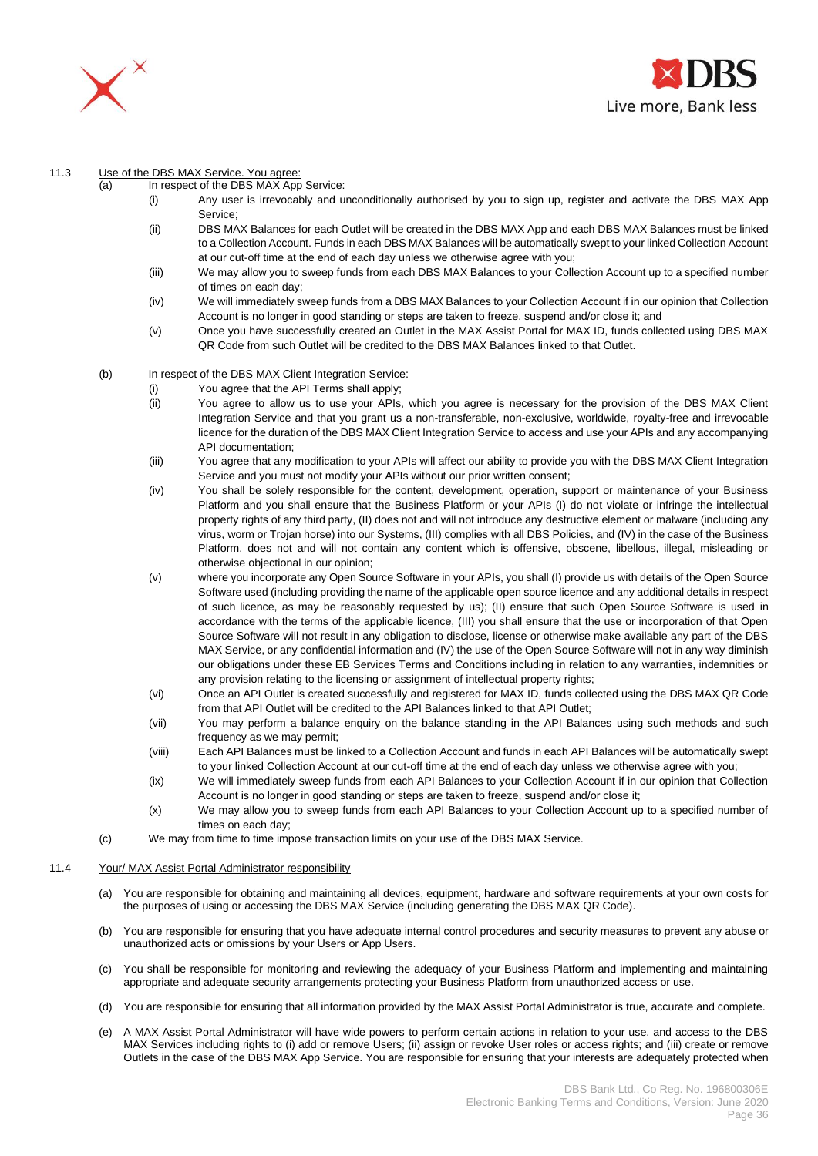

#### 11.3 Use of the DBS MAX Service. You agree:

(a) In respect of the DBS MAX App Service:

- Any user is irrevocably and unconditionally authorised by you to sign up, register and activate the DBS MAX App Service;
- (ii) DBS MAX Balances for each Outlet will be created in the DBS MAX App and each DBS MAX Balances must be linked to a Collection Account. Funds in each DBS MAX Balances will be automatically swept to your linked Collection Account at our cut-off time at the end of each day unless we otherwise agree with you;
- (iii) We may allow you to sweep funds from each DBS MAX Balances to your Collection Account up to a specified number of times on each day;
- (iv) We will immediately sweep funds from a DBS MAX Balances to your Collection Account if in our opinion that Collection Account is no longer in good standing or steps are taken to freeze, suspend and/or close it; and
- (v) Once you have successfully created an Outlet in the MAX Assist Portal for MAX ID, funds collected using DBS MAX QR Code from such Outlet will be credited to the DBS MAX Balances linked to that Outlet.

(b) In respect of the DBS MAX Client Integration Service:

- (i) You agree that the API Terms shall apply;
- (ii) You agree to allow us to use your APIs, which you agree is necessary for the provision of the DBS MAX Client Integration Service and that you grant us a non-transferable, non-exclusive, worldwide, royalty-free and irrevocable licence for the duration of the DBS MAX Client Integration Service to access and use your APIs and any accompanying API documentation;
- (iii) You agree that any modification to your APIs will affect our ability to provide you with the DBS MAX Client Integration Service and you must not modify your APIs without our prior written consent;
- (iv) You shall be solely responsible for the content, development, operation, support or maintenance of your Business Platform and you shall ensure that the Business Platform or your APIs (I) do not violate or infringe the intellectual property rights of any third party, (II) does not and will not introduce any destructive element or malware (including any virus, worm or Trojan horse) into our Systems, (III) complies with all DBS Policies, and (IV) in the case of the Business Platform, does not and will not contain any content which is offensive, obscene, libellous, illegal, misleading or otherwise objectional in our opinion;
- (v) where you incorporate any Open Source Software in your APIs, you shall (I) provide us with details of the Open Source Software used (including providing the name of the applicable open source licence and any additional details in respect of such licence, as may be reasonably requested by us); (II) ensure that such Open Source Software is used in accordance with the terms of the applicable licence, (III) you shall ensure that the use or incorporation of that Open Source Software will not result in any obligation to disclose, license or otherwise make available any part of the DBS MAX Service, or any confidential information and (IV) the use of the Open Source Software will not in any way diminish our obligations under these EB Services Terms and Conditions including in relation to any warranties, indemnities or any provision relating to the licensing or assignment of intellectual property rights;
- (vi) Once an API Outlet is created successfully and registered for MAX ID, funds collected using the DBS MAX QR Code from that API Outlet will be credited to the API Balances linked to that API Outlet;
- (vii) You may perform a balance enquiry on the balance standing in the API Balances using such methods and such frequency as we may permit;
- (viii) Each API Balances must be linked to a Collection Account and funds in each API Balances will be automatically swept to your linked Collection Account at our cut-off time at the end of each day unless we otherwise agree with you;
- (ix) We will immediately sweep funds from each API Balances to your Collection Account if in our opinion that Collection Account is no longer in good standing or steps are taken to freeze, suspend and/or close it;
- (x) We may allow you to sweep funds from each API Balances to your Collection Account up to a specified number of times on each day;
- (c) We may from time to time impose transaction limits on your use of the DBS MAX Service.

# 11.4 Your/ MAX Assist Portal Administrator responsibility

- (a) You are responsible for obtaining and maintaining all devices, equipment, hardware and software requirements at your own costs for the purposes of using or accessing the DBS MAX Service (including generating the DBS MAX QR Code).
- (b) You are responsible for ensuring that you have adequate internal control procedures and security measures to prevent any abuse or unauthorized acts or omissions by your Users or App Users.
- (c) You shall be responsible for monitoring and reviewing the adequacy of your Business Platform and implementing and maintaining appropriate and adequate security arrangements protecting your Business Platform from unauthorized access or use.
- (d) You are responsible for ensuring that all information provided by the MAX Assist Portal Administrator is true, accurate and complete.
- (e) A MAX Assist Portal Administrator will have wide powers to perform certain actions in relation to your use, and access to the DBS MAX Services including rights to (i) add or remove Users; (ii) assign or revoke User roles or access rights; and (iii) create or remove Outlets in the case of the DBS MAX App Service. You are responsible for ensuring that your interests are adequately protected when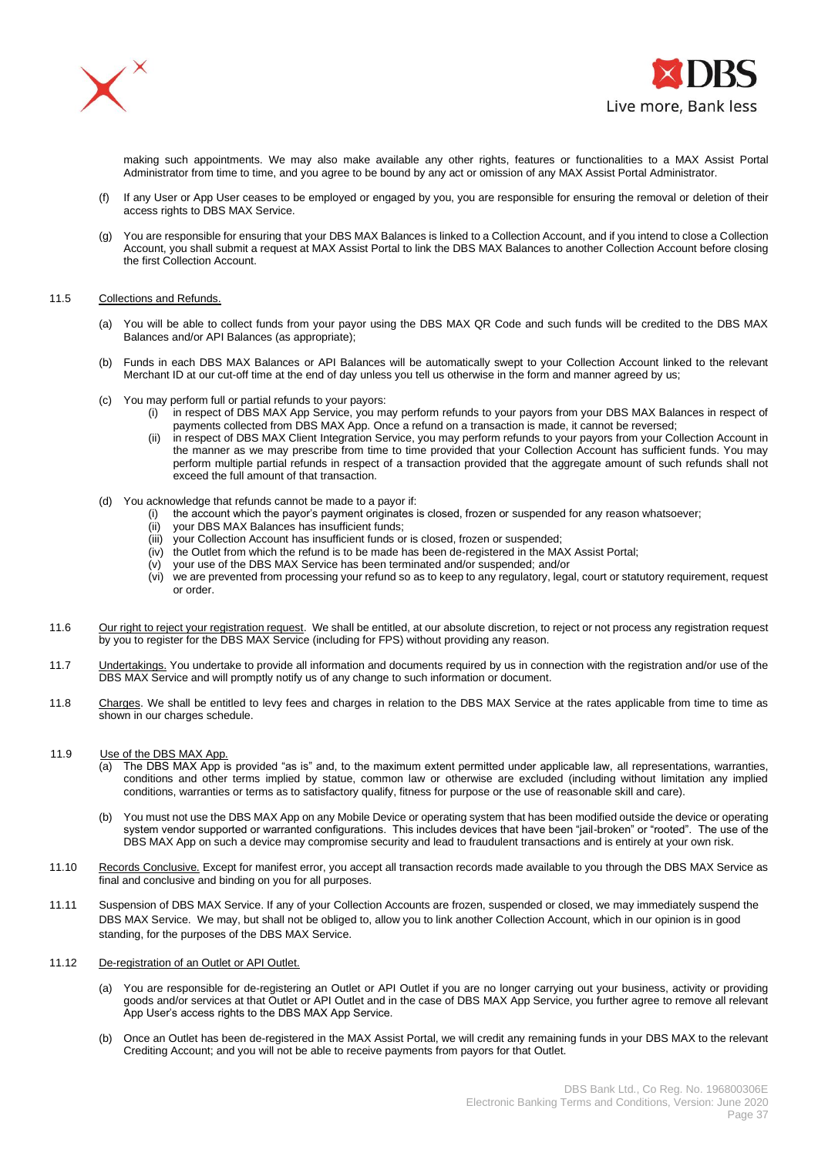



making such appointments. We may also make available any other rights, features or functionalities to a MAX Assist Portal Administrator from time to time, and you agree to be bound by any act or omission of any MAX Assist Portal Administrator.

- (f) If any User or App User ceases to be employed or engaged by you, you are responsible for ensuring the removal or deletion of their access rights to DBS MAX Service.
- (g) You are responsible for ensuring that your DBS MAX Balances is linked to a Collection Account, and if you intend to close a Collection Account, you shall submit a request at MAX Assist Portal to link the DBS MAX Balances to another Collection Account before closing the first Collection Account.

#### 11.5 Collections and Refunds.

- (a) You will be able to collect funds from your payor using the DBS MAX QR Code and such funds will be credited to the DBS MAX Balances and/or API Balances (as appropriate);
- (b) Funds in each DBS MAX Balances or API Balances will be automatically swept to your Collection Account linked to the relevant Merchant ID at our cut-off time at the end of day unless you tell us otherwise in the form and manner agreed by us;
- (c) You may perform full or partial refunds to your payors:
	- (i) in respect of DBS MAX App Service, you may perform refunds to your payors from your DBS MAX Balances in respect of payments collected from DBS MAX App. Once a refund on a transaction is made, it cannot be reversed;
	- (ii) in respect of DBS MAX Client Integration Service, you may perform refunds to your payors from your Collection Account in the manner as we may prescribe from time to time provided that your Collection Account has sufficient funds. You may perform multiple partial refunds in respect of a transaction provided that the aggregate amount of such refunds shall not exceed the full amount of that transaction.
- (d) You acknowledge that refunds cannot be made to a payor if:
	- the account which the payor's payment originates is closed, frozen or suspended for any reason whatsoever;
	- your DBS MAX Balances has insufficient funds;
	- (iii) your Collection Account has insufficient funds or is closed, frozen or suspended;
	- $(iv)$  the Outlet from which the refund is to be made has been de-registered in the MAX Assist Portal;
	- $(v)$  your use of the DBS MAX Service has been terminated and/or suspended; and/or
	- (vi) we are prevented from processing your refund so as to keep to any regulatory, legal, court or statutory requirement, request or order.
- 11.6 Our right to reject your registration request. We shall be entitled, at our absolute discretion, to reject or not process any registration request by you to register for the DBS MAX Service (including for FPS) without providing any reason.
- 11.7 Undertakings. You undertake to provide all information and documents required by us in connection with the registration and/or use of the DBS MAX Service and will promptly notify us of any change to such information or document.
- 11.8 Charges. We shall be entitled to levy fees and charges in relation to the DBS MAX Service at the rates applicable from time to time as shown in our charges schedule.
- 11.9 Use of the DBS MAX App.
	- (a) The DBS MAX App is provided "as is" and, to the maximum extent permitted under applicable law, all representations, warranties, conditions and other terms implied by statue, common law or otherwise are excluded (including without limitation any implied conditions, warranties or terms as to satisfactory qualify, fitness for purpose or the use of reasonable skill and care).
	- (b) You must not use the DBS MAX App on any Mobile Device or operating system that has been modified outside the device or operating system vendor supported or warranted configurations. This includes devices that have been "jail-broken" or "rooted". The use of the DBS MAX App on such a device may compromise security and lead to fraudulent transactions and is entirely at your own risk.
- 11.10 Records Conclusive. Except for manifest error, you accept all transaction records made available to you through the DBS MAX Service as final and conclusive and binding on you for all purposes.
- 11.11 Suspension of DBS MAX Service. If any of your Collection Accounts are frozen, suspended or closed, we may immediately suspend the DBS MAX Service. We may, but shall not be obliged to, allow you to link another Collection Account, which in our opinion is in good standing, for the purposes of the DBS MAX Service.
- 11.12 De-registration of an Outlet or API Outlet.
	- (a) You are responsible for de-registering an Outlet or API Outlet if you are no longer carrying out your business, activity or providing goods and/or services at that Outlet or API Outlet and in the case of DBS MAX App Service, you further agree to remove all relevant App User's access rights to the DBS MAX App Service.
	- (b) Once an Outlet has been de-registered in the MAX Assist Portal, we will credit any remaining funds in your DBS MAX to the relevant Crediting Account; and you will not be able to receive payments from payors for that Outlet.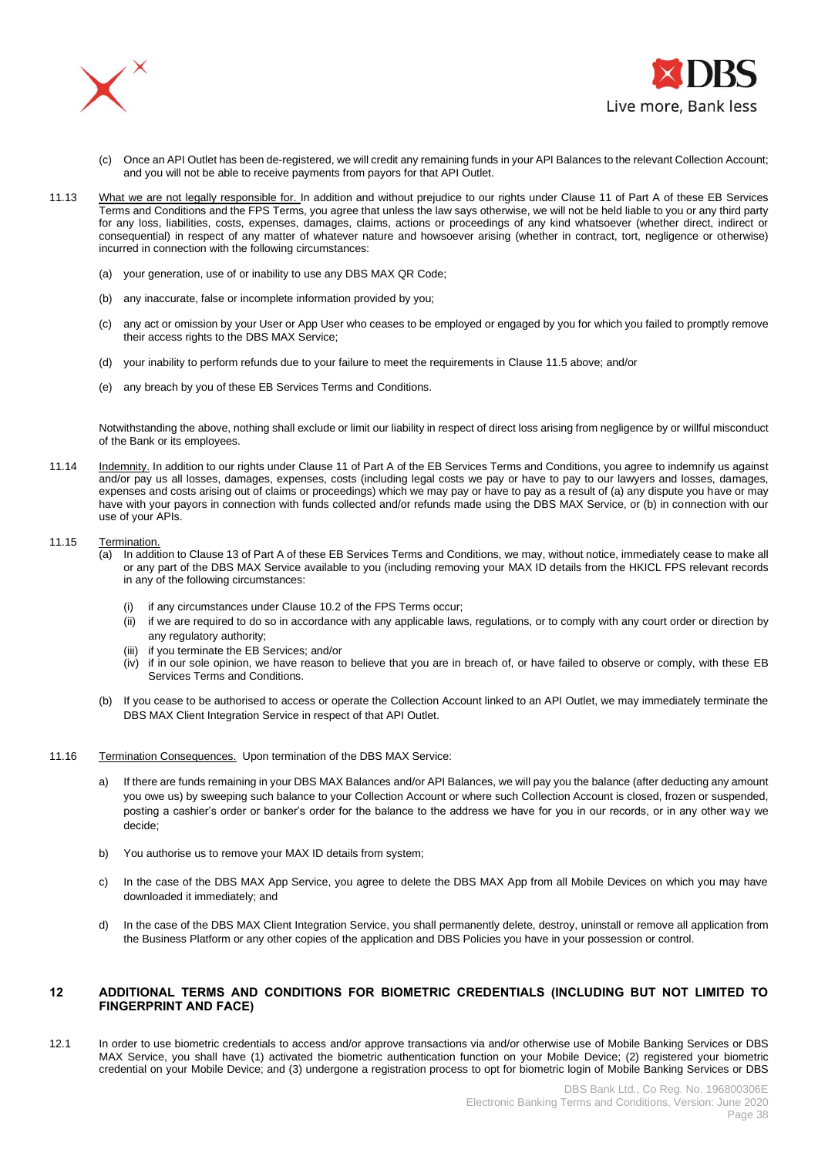



- (c) Once an API Outlet has been de-registered, we will credit any remaining funds in your API Balances to the relevant Collection Account; and you will not be able to receive payments from payors for that API Outlet.
- 11.13 What we are not legally responsible for. In addition and without prejudice to our rights under Clause 11 of Part A of these EB Services Terms and Conditions and the FPS Terms, you agree that unless the law says otherwise, we will not be held liable to you or any third party for any loss, liabilities, costs, expenses, damages, claims, actions or proceedings of any kind whatsoever (whether direct, indirect or consequential) in respect of any matter of whatever nature and howsoever arising (whether in contract, tort, negligence or otherwise) incurred in connection with the following circumstances:
	- (a) your generation, use of or inability to use any DBS MAX QR Code;
	- (b) any inaccurate, false or incomplete information provided by you;
	- (c) any act or omission by your User or App User who ceases to be employed or engaged by you for which you failed to promptly remove their access rights to the DBS MAX Service;
	- (d) your inability to perform refunds due to your failure to meet the requirements in Clause 11.5 above; and/or
	- (e) any breach by you of these EB Services Terms and Conditions.

Notwithstanding the above, nothing shall exclude or limit our liability in respect of direct loss arising from negligence by or willful misconduct of the Bank or its employees.

- 11.14 Indemnity. In addition to our rights under Clause 11 of Part A of the EB Services Terms and Conditions, you agree to indemnify us against and/or pay us all losses, damages, expenses, costs (including legal costs we pay or have to pay to our lawyers and losses, damages, expenses and costs arising out of claims or proceedings) which we may pay or have to pay as a result of (a) any dispute you have or may have with your payors in connection with funds collected and/or refunds made using the DBS MAX Service, or (b) in connection with our use of your APIs.
- 11.15 Termination.
	- (a) In addition to Clause 13 of Part A of these EB Services Terms and Conditions, we may, without notice, immediately cease to make all or any part of the DBS MAX Service available to you (including removing your MAX ID details from the HKICL FPS relevant records in any of the following circumstances:
		- (i) if any circumstances under Clause 10.2 of the FPS Terms occur;
		- (ii) if we are required to do so in accordance with any applicable laws, regulations, or to comply with any court order or direction by any regulatory authority;
		- (iii) if you terminate the EB Services; and/or
		- (iv) if in our sole opinion, we have reason to believe that you are in breach of, or have failed to observe or comply, with these EB Services Terms and Conditions.
	- (b) If you cease to be authorised to access or operate the Collection Account linked to an API Outlet, we may immediately terminate the DBS MAX Client Integration Service in respect of that API Outlet.
- 11.16 Termination Consequences. Upon termination of the DBS MAX Service:
	- a) If there are funds remaining in your DBS MAX Balances and/or API Balances, we will pay you the balance (after deducting any amount you owe us) by sweeping such balance to your Collection Account or where such Collection Account is closed, frozen or suspended, posting a cashier's order or banker's order for the balance to the address we have for you in our records, or in any other way we decide;
	- b) You authorise us to remove your MAX ID details from system;
	- c) In the case of the DBS MAX App Service, you agree to delete the DBS MAX App from all Mobile Devices on which you may have downloaded it immediately; and
	- d) In the case of the DBS MAX Client Integration Service, you shall permanently delete, destroy, uninstall or remove all application from the Business Platform or any other copies of the application and DBS Policies you have in your possession or control.

# **12 ADDITIONAL TERMS AND CONDITIONS FOR BIOMETRIC CREDENTIALS (INCLUDING BUT NOT LIMITED TO FINGERPRINT AND FACE)**

12.1 In order to use biometric credentials to access and/or approve transactions via and/or otherwise use of Mobile Banking Services or DBS MAX Service, you shall have (1) activated the biometric authentication function on your Mobile Device; (2) registered your biometric credential on your Mobile Device; and (3) undergone a registration process to opt for biometric login of Mobile Banking Services or DBS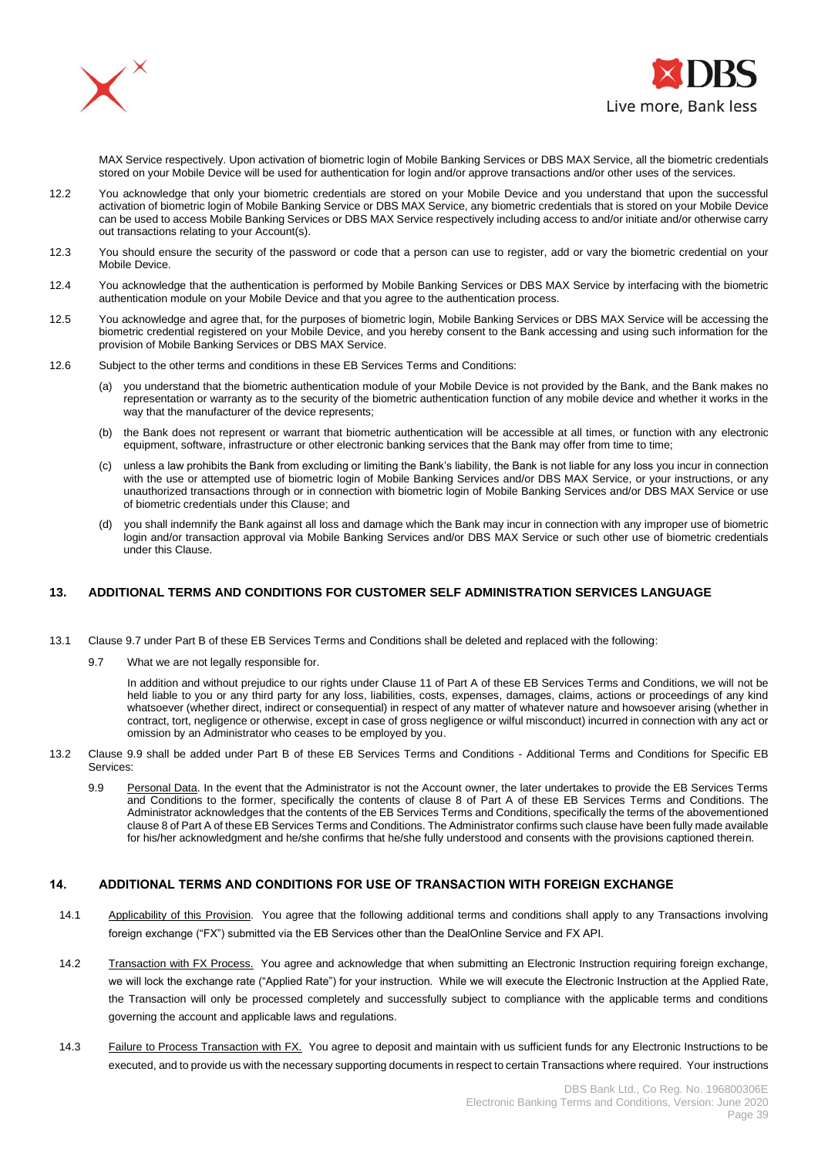



MAX Service respectively. Upon activation of biometric login of Mobile Banking Services or DBS MAX Service, all the biometric credentials stored on your Mobile Device will be used for authentication for login and/or approve transactions and/or other uses of the services.

- 12.2 You acknowledge that only your biometric credentials are stored on your Mobile Device and you understand that upon the successful activation of biometric login of Mobile Banking Service or DBS MAX Service, any biometric credentials that is stored on your Mobile Device can be used to access Mobile Banking Services or DBS MAX Service respectively including access to and/or initiate and/or otherwise carry out transactions relating to your Account(s).
- 12.3 You should ensure the security of the password or code that a person can use to register, add or vary the biometric credential on your Mobile Device.
- 12.4 You acknowledge that the authentication is performed by Mobile Banking Services or DBS MAX Service by interfacing with the biometric authentication module on your Mobile Device and that you agree to the authentication process.
- 12.5 You acknowledge and agree that, for the purposes of biometric login, Mobile Banking Services or DBS MAX Service will be accessing the biometric credential registered on your Mobile Device, and you hereby consent to the Bank accessing and using such information for the provision of Mobile Banking Services or DBS MAX Service.
- 12.6 Subject to the other terms and conditions in these EB Services Terms and Conditions:
	- (a) you understand that the biometric authentication module of your Mobile Device is not provided by the Bank, and the Bank makes no representation or warranty as to the security of the biometric authentication function of any mobile device and whether it works in the way that the manufacturer of the device represents;
	- (b) the Bank does not represent or warrant that biometric authentication will be accessible at all times, or function with any electronic equipment, software, infrastructure or other electronic banking services that the Bank may offer from time to time;
	- (c) unless a law prohibits the Bank from excluding or limiting the Bank's liability, the Bank is not liable for any loss you incur in connection with the use or attempted use of biometric login of Mobile Banking Services and/or DBS MAX Service, or your instructions, or any unauthorized transactions through or in connection with biometric login of Mobile Banking Services and/or DBS MAX Service or use of biometric credentials under this Clause; and
	- (d) you shall indemnify the Bank against all loss and damage which the Bank may incur in connection with any improper use of biometric login and/or transaction approval via Mobile Banking Services and/or DBS MAX Service or such other use of biometric credentials under this Clause.

# **13. ADDITIONAL TERMS AND CONDITIONS FOR CUSTOMER SELF ADMINISTRATION SERVICES LANGUAGE**

- 13.1 Clause 9.7 under Part B of these EB Services Terms and Conditions shall be deleted and replaced with the following:
	- 9.7 What we are not legally responsible for.

In addition and without prejudice to our rights under Clause 11 of Part A of these EB Services Terms and Conditions, we will not be held liable to you or any third party for any loss, liabilities, costs, expenses, damages, claims, actions or proceedings of any kind whatsoever (whether direct, indirect or consequential) in respect of any matter of whatever nature and howsoever arising (whether in contract, tort, negligence or otherwise, except in case of gross negligence or wilful misconduct) incurred in connection with any act or omission by an Administrator who ceases to be employed by you.

- 13.2 Clause 9.9 shall be added under Part B of these EB Services Terms and Conditions Additional Terms and Conditions for Specific EB Services:
	- 9.9 Personal Data. In the event that the Administrator is not the Account owner, the later undertakes to provide the EB Services Terms and Conditions to the former, specifically the contents of clause 8 of Part A of these EB Services Terms and Conditions. The Administrator acknowledges that the contents of the EB Services Terms and Conditions, specifically the terms of the abovementioned clause 8 of Part A of these EB Services Terms and Conditions. The Administrator confirms such clause have been fully made available for his/her acknowledgment and he/she confirms that he/she fully understood and consents with the provisions captioned therein.

# **14. ADDITIONAL TERMS AND CONDITIONS FOR USE OF TRANSACTION WITH FOREIGN EXCHANGE**

- 14.1 Applicability of this Provision. You agree that the following additional terms and conditions shall apply to any Transactions involving foreign exchange ("FX") submitted via the EB Services other than the DealOnline Service and FX API.
- 14.2 Transaction with FX Process. You agree and acknowledge that when submitting an Electronic Instruction requiring foreign exchange, we will lock the exchange rate ("Applied Rate") for your instruction. While we will execute the Electronic Instruction at the Applied Rate, the Transaction will only be processed completely and successfully subject to compliance with the applicable terms and conditions governing the account and applicable laws and regulations.
- 14.3 Failure to Process Transaction with FX. You agree to deposit and maintain with us sufficient funds for any Electronic Instructions to be executed, and to provide us with the necessary supporting documents in respect to certain Transactions where required. Your instructions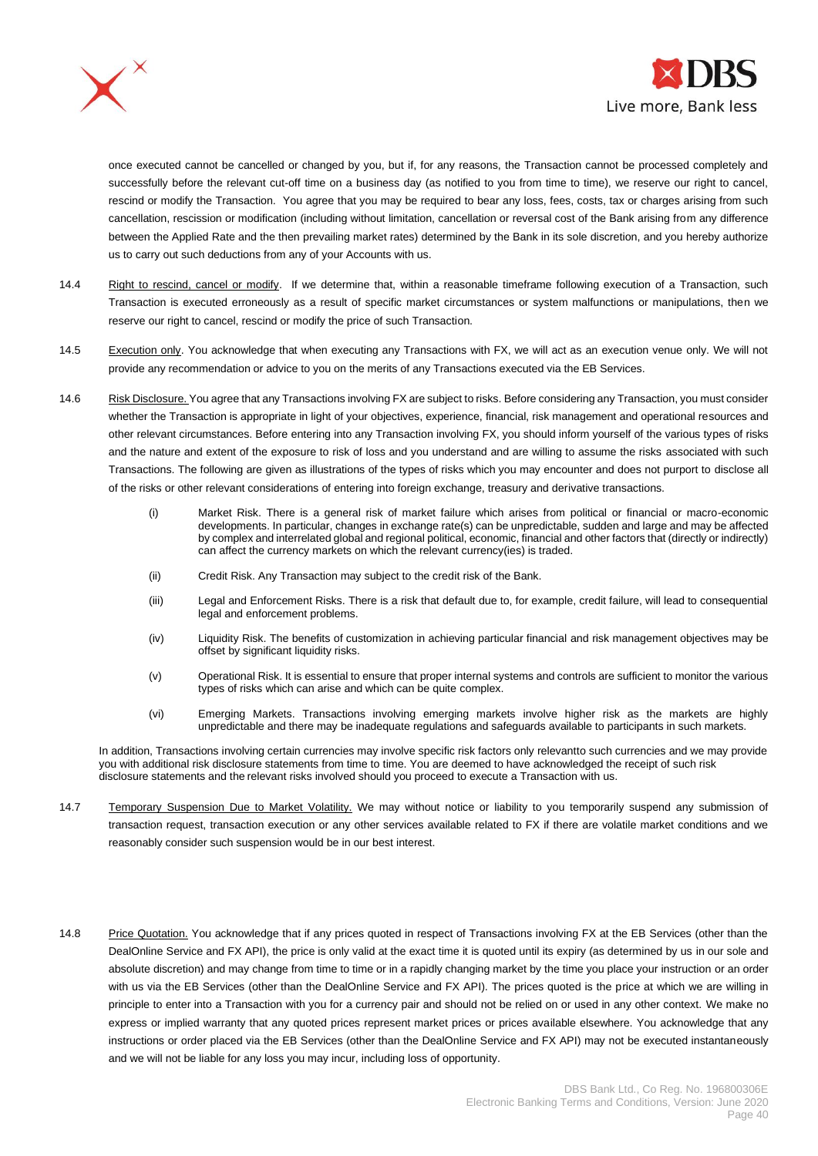



once executed cannot be cancelled or changed by you, but if, for any reasons, the Transaction cannot be processed completely and successfully before the relevant cut-off time on a business day (as notified to you from time to time), we reserve our right to cancel, rescind or modify the Transaction. You agree that you may be required to bear any loss, fees, costs, tax or charges arising from such cancellation, rescission or modification (including without limitation, cancellation or reversal cost of the Bank arising from any difference between the Applied Rate and the then prevailing market rates) determined by the Bank in its sole discretion, and you hereby authorize us to carry out such deductions from any of your Accounts with us.

- 14.4 Right to rescind, cancel or modify. If we determine that, within a reasonable timeframe following execution of a Transaction, such Transaction is executed erroneously as a result of specific market circumstances or system malfunctions or manipulations, then we reserve our right to cancel, rescind or modify the price of such Transaction.
- 14.5 Execution only. You acknowledge that when executing any Transactions with FX, we will act as an execution venue only. We will not provide any recommendation or advice to you on the merits of any Transactions executed via the EB Services.
- 14.6 Risk Disclosure. You agree that any Transactions involving FX are subject to risks. Before considering any Transaction, you must consider whether the Transaction is appropriate in light of your objectives, experience, financial, risk management and operational resources and other relevant circumstances. Before entering into any Transaction involving FX, you should inform yourself of the various types of risks and the nature and extent of the exposure to risk of loss and you understand and are willing to assume the risks associated with such Transactions. The following are given as illustrations of the types of risks which you may encounter and does not purport to disclose all of the risks or other relevant considerations of entering into foreign exchange, treasury and derivative transactions.
	- (i) Market Risk. There is a general risk of market failure which arises from political or financial or macro-economic developments. In particular, changes in exchange rate(s) can be unpredictable, sudden and large and may be affected by complex and interrelated global and regional political, economic, financial and other factors that (directly or indirectly) can affect the currency markets on which the relevant currency(ies) is traded.
	- (ii) Credit Risk. Any Transaction may subject to the credit risk of the Bank.
	- (iii) Legal and Enforcement Risks. There is a risk that default due to, for example, credit failure, will lead to consequential legal and enforcement problems.
	- (iv) Liquidity Risk. The benefits of customization in achieving particular financial and risk management objectives may be offset by significant liquidity risks.
	- (v) Operational Risk. It is essential to ensure that proper internal systems and controls are sufficient to monitor the various types of risks which can arise and which can be quite complex.
	- (vi) Emerging Markets. Transactions involving emerging markets involve higher risk as the markets are highly unpredictable and there may be inadequate regulations and safeguards available to participants in such markets.

In addition, Transactions involving certain currencies may involve specific risk factors only relevantto such currencies and we may provide you with additional risk disclosure statements from time to time. You are deemed to have acknowledged the receipt of such risk disclosure statements and the relevant risks involved should you proceed to execute a Transaction with us.

- 14.7 Temporary Suspension Due to Market Volatility. We may without notice or liability to you temporarily suspend any submission of transaction request, transaction execution or any other services available related to FX if there are volatile market conditions and we reasonably consider such suspension would be in our best interest.
- 14.8 Price Quotation. You acknowledge that if any prices quoted in respect of Transactions involving FX at the EB Services (other than the DealOnline Service and FX API), the price is only valid at the exact time it is quoted until its expiry (as determined by us in our sole and absolute discretion) and may change from time to time or in a rapidly changing market by the time you place your instruction or an order with us via the EB Services (other than the DealOnline Service and FX API). The prices quoted is the price at which we are willing in principle to enter into a Transaction with you for a currency pair and should not be relied on or used in any other context. We make no express or implied warranty that any quoted prices represent market prices or prices available elsewhere. You acknowledge that any instructions or order placed via the EB Services (other than the DealOnline Service and FX API) may not be executed instantaneously and we will not be liable for any loss you may incur, including loss of opportunity.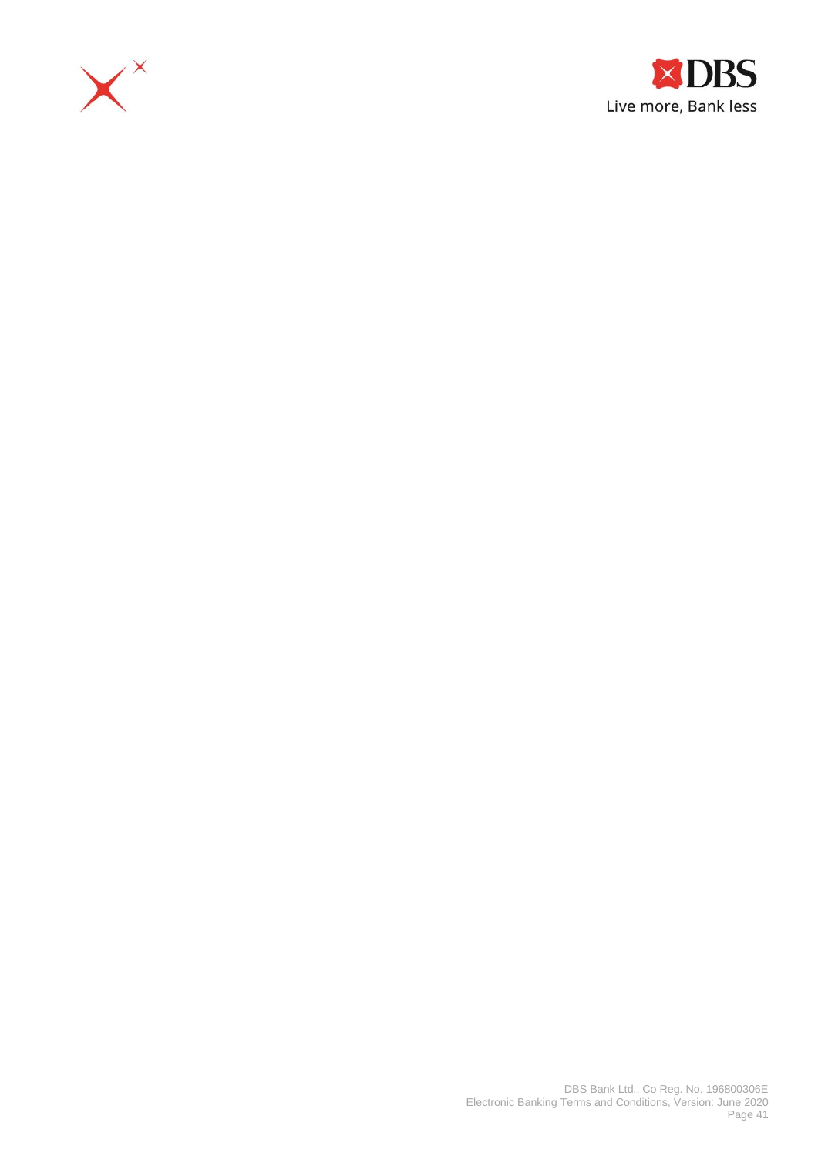

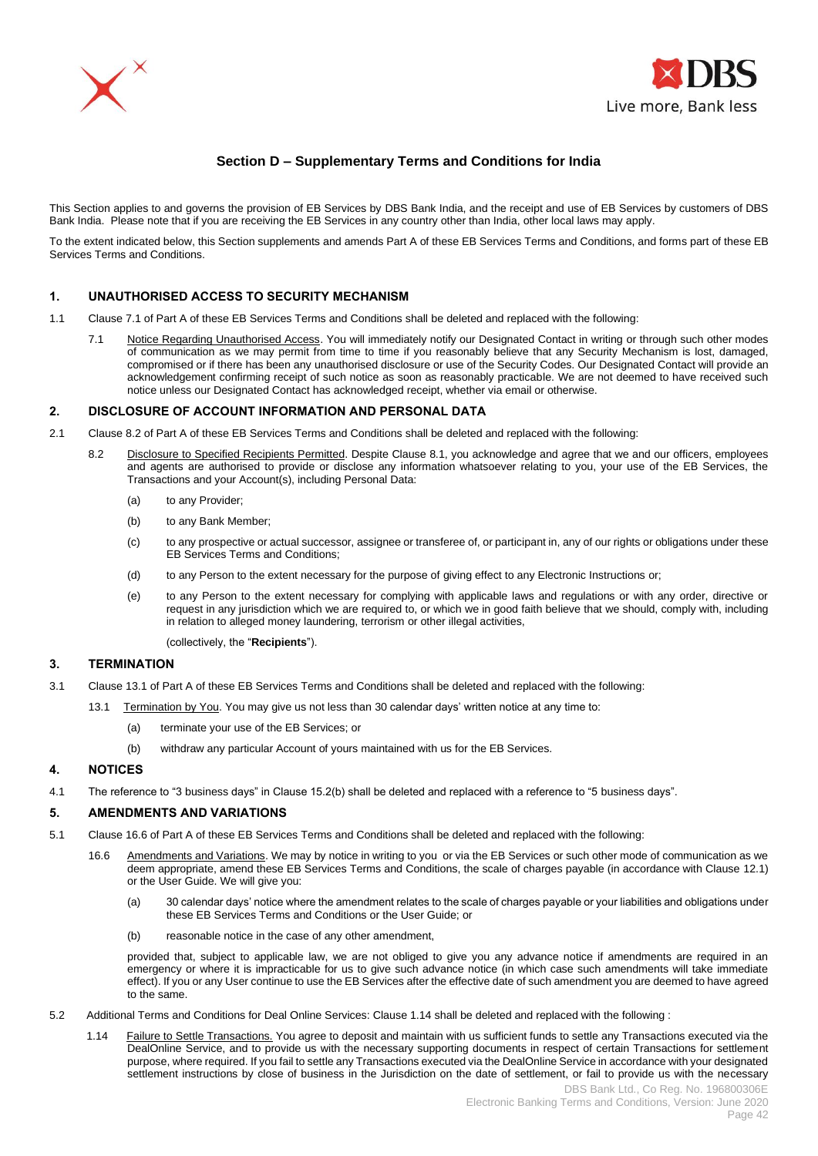



# **Section D – Supplementary Terms and Conditions for India**

This Section applies to and governs the provision of EB Services by DBS Bank India, and the receipt and use of EB Services by customers of DBS Bank India. Please note that if you are receiving the EB Services in any country other than India, other local laws may apply.

To the extent indicated below, this Section supplements and amends Part A of these EB Services Terms and Conditions, and forms part of these EB Services Terms and Conditions.

# **1. UNAUTHORISED ACCESS TO SECURITY MECHANISM**

- 1.1 Claus[e 7.1](#page-5-2) of Part A of these EB Services Terms and Conditions shall be deleted and replaced with the following:
	- 7.1 Notice Regarding Unauthorised Access. You will immediately notify our Designated Contact in writing or through such other modes of communication as we may permit from time to time if you reasonably believe that any Security Mechanism is lost, damaged, compromised or if there has been any unauthorised disclosure or use of the Security Codes. Our Designated Contact will provide an acknowledgement confirming receipt of such notice as soon as reasonably practicable. We are not deemed to have received such notice unless our Designated Contact has acknowledged receipt, whether via email or otherwise.

### **2. DISCLOSURE OF ACCOUNT INFORMATION AND PERSONAL DATA**

- 2.1 Claus[e 8.2](#page-5-1) of Part A of these EB Services Terms and Conditions shall be deleted and replaced with the following:
	- 8.2 Disclosure to Specified Recipients Permitted. Despite Clause 8.1, you acknowledge and agree that we and our officers, employees and agents are authorised to provide or disclose any information whatsoever relating to you, your use of the EB Services, the Transactions and your Account(s), including Personal Data:
		- (a) to any Provider;
		- (b) to any Bank Member;
		- (c) to any prospective or actual successor, assignee or transferee of, or participant in, any of our rights or obligations under these EB Services Terms and Conditions;
		- (d) to any Person to the extent necessary for the purpose of giving effect to any Electronic Instructions or;
		- (e) to any Person to the extent necessary for complying with applicable laws and regulations or with any order, directive or request in any jurisdiction which we are required to, or which we in good faith believe that we should, comply with, including in relation to alleged money laundering, terrorism or other illegal activities,

(collectively, the "**Recipients**").

# **3. TERMINATION**

- 3.1 Clause 13.1 of Part A of these EB Services Terms and Conditions shall be deleted and replaced with the following:
	- 13.1 Termination by You. You may give us not less than 30 calendar days' written notice at any time to:
		- (a) terminate your use of the EB Services; or
		- (b) withdraw any particular Account of yours maintained with us for the EB Services.

#### **4. NOTICES**

4.1 The reference to "3 business days" in Clause 15.2(b) shall be deleted and replaced with a reference to "5 business days".

### **5. AMENDMENTS AND VARIATIONS**

- 5.1 Claus[e 16.6](#page-9-0) of Part A of these EB Services Terms and Conditions shall be deleted and replaced with the following:
	- Amendments and Variations. We may by notice in writing to you or via the EB Services or such other mode of communication as we deem appropriate, amend these EB Services Terms and Conditions, the scale of charges payable (in accordance with Clause [12.1\)](#page-7-0) or the User Guide. We will give you:
		- (a) 30 calendar days' notice where the amendment relates to the scale of charges payable or your liabilities and obligations under these EB Services Terms and Conditions or the User Guide; or
		- (b) reasonable notice in the case of any other amendment,

provided that, subject to applicable law, we are not obliged to give you any advance notice if amendments are required in an emergency or where it is impracticable for us to give such advance notice (in which case such amendments will take immediate effect). If you or any User continue to use the EB Services after the effective date of such amendment you are deemed to have agreed to the same.

- 5.2 Additional Terms and Conditions for Deal Online Services: Clause 1.14 shall be deleted and replaced with the following :
	- 1.14 Failure to Settle Transactions. You agree to deposit and maintain with us sufficient funds to settle any Transactions executed via the DealOnline Service, and to provide us with the necessary supporting documents in respect of certain Transactions for settlement purpose, where required. If you fail to settle any Transactions executed via the DealOnline Service in accordance with your designated settlement instructions by close of business in the Jurisdiction on the date of settlement, or fail to provide us with the necessary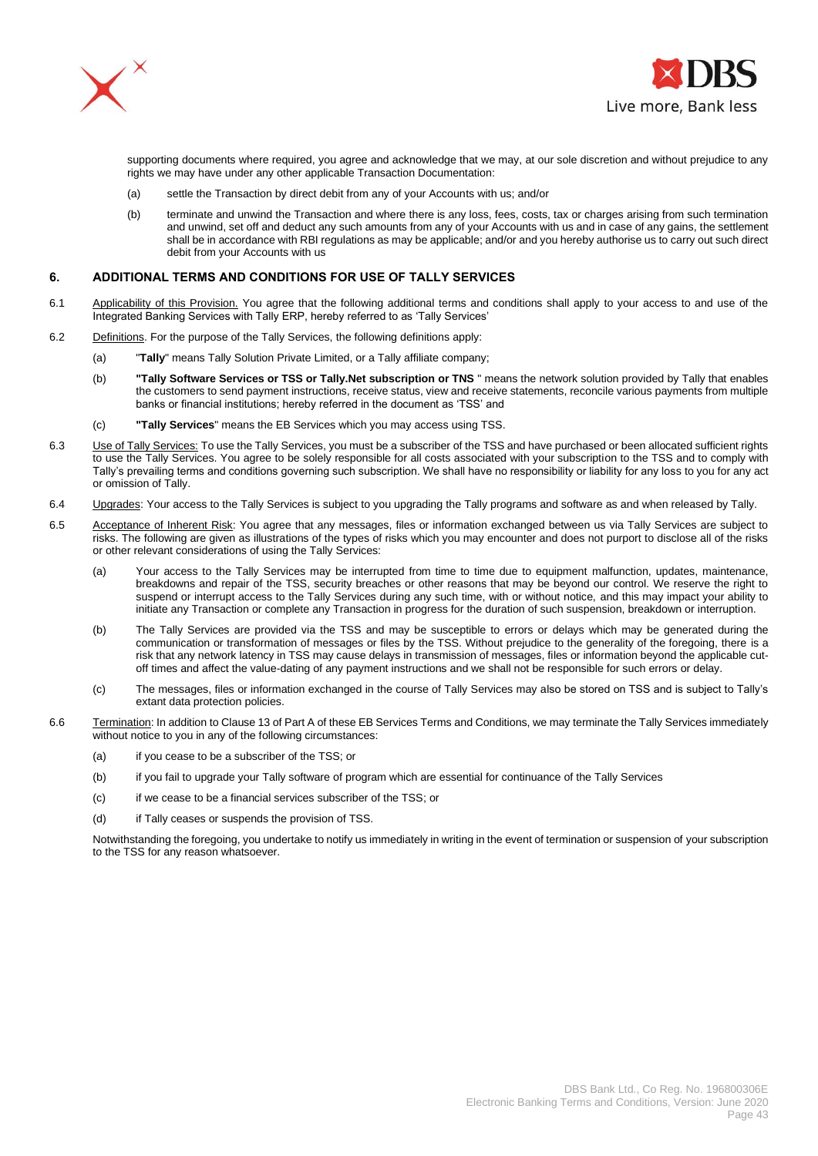



supporting documents where required, you agree and acknowledge that we may, at our sole discretion and without prejudice to any rights we may have under any other applicable Transaction Documentation:

- (a) settle the Transaction by direct debit from any of your Accounts with us; and/or
- (b) terminate and unwind the Transaction and where there is any loss, fees, costs, tax or charges arising from such termination and unwind, set off and deduct any such amounts from any of your Accounts with us and in case of any gains, the settlement shall be in accordance with RBI regulations as may be applicable; and/or and you hereby authorise us to carry out such direct debit from your Accounts with us

## **6. ADDITIONAL TERMS AND CONDITIONS FOR USE OF TALLY SERVICES**

- 6.1 Applicability of this Provision. You agree that the following additional terms and conditions shall apply to your access to and use of the Integrated Banking Services with Tally ERP, hereby referred to as 'Tally Services'
- 6.2 Definitions. For the purpose of the Tally Services, the following definitions apply:
	- (a) "**Tally**" means Tally Solution Private Limited, or a Tally affiliate company;
	- (b) **"Tally Software Services or TSS or Tally.Net subscription or TNS** " means the network solution provided by Tally that enables the customers to send payment instructions, receive status, view and receive statements, reconcile various payments from multiple banks or financial institutions; hereby referred in the document as 'TSS' and
	- (c) **"Tally Services**" means the EB Services which you may access using TSS.
- 6.3 Use of Tally Services: To use the Tally Services, you must be a subscriber of the TSS and have purchased or been allocated sufficient rights to use the Tally Services. You agree to be solely responsible for all costs associated with your subscription to the TSS and to comply with Tally's prevailing terms and conditions governing such subscription. We shall have no responsibility or liability for any loss to you for any act or omission of Tally.
- 6.4 Upgrades: Your access to the Tally Services is subject to you upgrading the Tally programs and software as and when released by Tally.
- 6.5 Acceptance of Inherent Risk: You agree that any messages, files or information exchanged between us via Tally Services are subiect to risks. The following are given as illustrations of the types of risks which you may encounter and does not purport to disclose all of the risks or other relevant considerations of using the Tally Services:
	- (a) Your access to the Tally Services may be interrupted from time to time due to equipment malfunction, updates, maintenance, breakdowns and repair of the TSS, security breaches or other reasons that may be beyond our control. We reserve the right to suspend or interrupt access to the Tally Services during any such time, with or without notice, and this may impact your ability to initiate any Transaction or complete any Transaction in progress for the duration of such suspension, breakdown or interruption.
	- (b) The Tally Services are provided via the TSS and may be susceptible to errors or delays which may be generated during the communication or transformation of messages or files by the TSS. Without prejudice to the generality of the foregoing, there is a risk that any network latency in TSS may cause delays in transmission of messages, files or information beyond the applicable cutoff times and affect the value-dating of any payment instructions and we shall not be responsible for such errors or delay.
	- (c) The messages, files or information exchanged in the course of Tally Services may also be stored on TSS and is subject to Tally's extant data protection policies.
- 6.6 Termination: In addition to Clause 13 of Part A of these EB Services Terms and Conditions, we may terminate the Tally Services immediately without notice to you in any of the following circumstances:
	- (a) if you cease to be a subscriber of the TSS; or
	- (b) if you fail to upgrade your Tally software of program which are essential for continuance of the Tally Services
	- (c) if we cease to be a financial services subscriber of the TSS; or
	- (d) if Tally ceases or suspends the provision of TSS.

Notwithstanding the foregoing, you undertake to notify us immediately in writing in the event of termination or suspension of your subscription to the TSS for any reason whatsoever.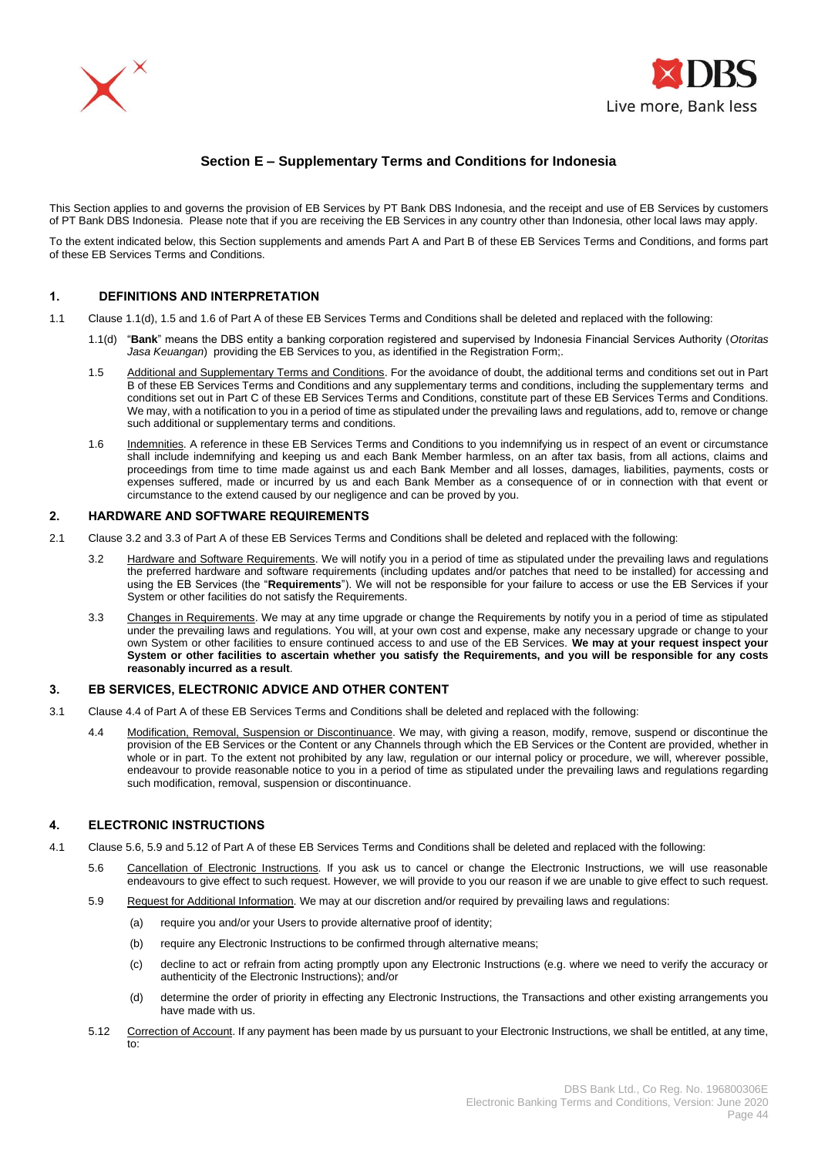



# **Section E – Supplementary Terms and Conditions for Indonesia**

This Section applies to and governs the provision of EB Services by PT Bank DBS Indonesia, and the receipt and use of EB Services by customers of PT Bank DBS Indonesia. Please note that if you are receiving the EB Services in any country other than Indonesia, other local laws may apply.

To the extent indicated below, this Section supplements and amends Part A and Part B of these EB Services Terms and Conditions, and forms part of these EB Services Terms and Conditions.

# **1. DEFINITIONS AND INTERPRETATION**

- 1.1 Clause 1.1(d), 1.5 and 1.6 of Part A of these EB Services Terms and Conditions shall be deleted and replaced with the following:
	- 1.1(d) "**Bank**" means the DBS entity a banking corporation registered and supervised by Indonesia Financial Services Authority (*Otoritas Jasa Keuangan*) providing the EB Services to you, as identified in the Registration Form;.
	- 1.5 Additional and Supplementary Terms and Conditions. For the avoidance of doubt, the additional terms and conditions set out in Part B of these EB Services Terms and Conditions and any supplementary terms and conditions, including the supplementary terms and conditions set out in Part C of these EB Services Terms and Conditions, constitute part of these EB Services Terms and Conditions. We may, with a notification to you in a period of time as stipulated under the prevailing laws and regulations, add to, remove or change such additional or supplementary terms and conditions.
	- 1.6 Indemnities. A reference in these EB Services Terms and Conditions to you indemnifying us in respect of an event or circumstance shall include indemnifying and keeping us and each Bank Member harmless, on an after tax basis, from all actions, claims and proceedings from time to time made against us and each Bank Member and all losses, damages, liabilities, payments, costs or expenses suffered, made or incurred by us and each Bank Member as a consequence of or in connection with that event or circumstance to the extend caused by our negligence and can be proved by you.

### **2. HARDWARE AND SOFTWARE REQUIREMENTS**

- 2.1 Clause 3.2 and 3.3 of Part A of these EB Services Terms and Conditions shall be deleted and replaced with the following:
	- 3.2 Hardware and Software Requirements. We will notify you in a period of time as stipulated under the prevailing laws and regulations the preferred hardware and software requirements (including updates and/or patches that need to be installed) for accessing and using the EB Services (the "**Requirements**"). We will not be responsible for your failure to access or use the EB Services if your System or other facilities do not satisfy the Requirements.
	- 3.3 Changes in Requirements. We may at any time upgrade or change the Requirements by notify you in a period of time as stipulated under the prevailing laws and regulations. You will, at your own cost and expense, make any necessary upgrade or change to your own System or other facilities to ensure continued access to and use of the EB Services. **We may at your request inspect your System or other facilities to ascertain whether you satisfy the Requirements, and you will be responsible for any costs reasonably incurred as a result**.

#### **3. EB SERVICES, ELECTRONIC ADVICE AND OTHER CONTENT**

- 3.1 Clause 4.4 of Part A of these EB Services Terms and Conditions shall be deleted and replaced with the following:
	- 4.4 Modification, Removal, Suspension or Discontinuance. We may, with giving a reason, modify, remove, suspend or discontinue the provision of the EB Services or the Content or any Channels through which the EB Services or the Content are provided, whether in whole or in part. To the extent not prohibited by any law, regulation or our internal policy or procedure, we will, wherever possible, endeavour to provide reasonable notice to you in a period of time as stipulated under the prevailing laws and regulations regarding such modification, removal, suspension or discontinuance.

# **4. ELECTRONIC INSTRUCTIONS**

- 4.1 Clause 5.6, 5.9 and 5.12 of Part A of these EB Services Terms and Conditions shall be deleted and replaced with the following:
	- 5.6 Cancellation of Electronic Instructions. If you ask us to cancel or change the Electronic Instructions, we will use reasonable endeavours to give effect to such request. However, we will provide to you our reason if we are unable to give effect to such request.
	- 5.9 Request for Additional Information. We may at our discretion and/or required by prevailing laws and regulations:
		- (a) require you and/or your Users to provide alternative proof of identity;
		- (b) require any Electronic Instructions to be confirmed through alternative means;
		- (c) decline to act or refrain from acting promptly upon any Electronic Instructions (e.g. where we need to verify the accuracy or authenticity of the Electronic Instructions); and/or
		- (d) determine the order of priority in effecting any Electronic Instructions, the Transactions and other existing arrangements you have made with us.
	- 5.12 Correction of Account. If any payment has been made by us pursuant to your Electronic Instructions, we shall be entitled, at any time, to: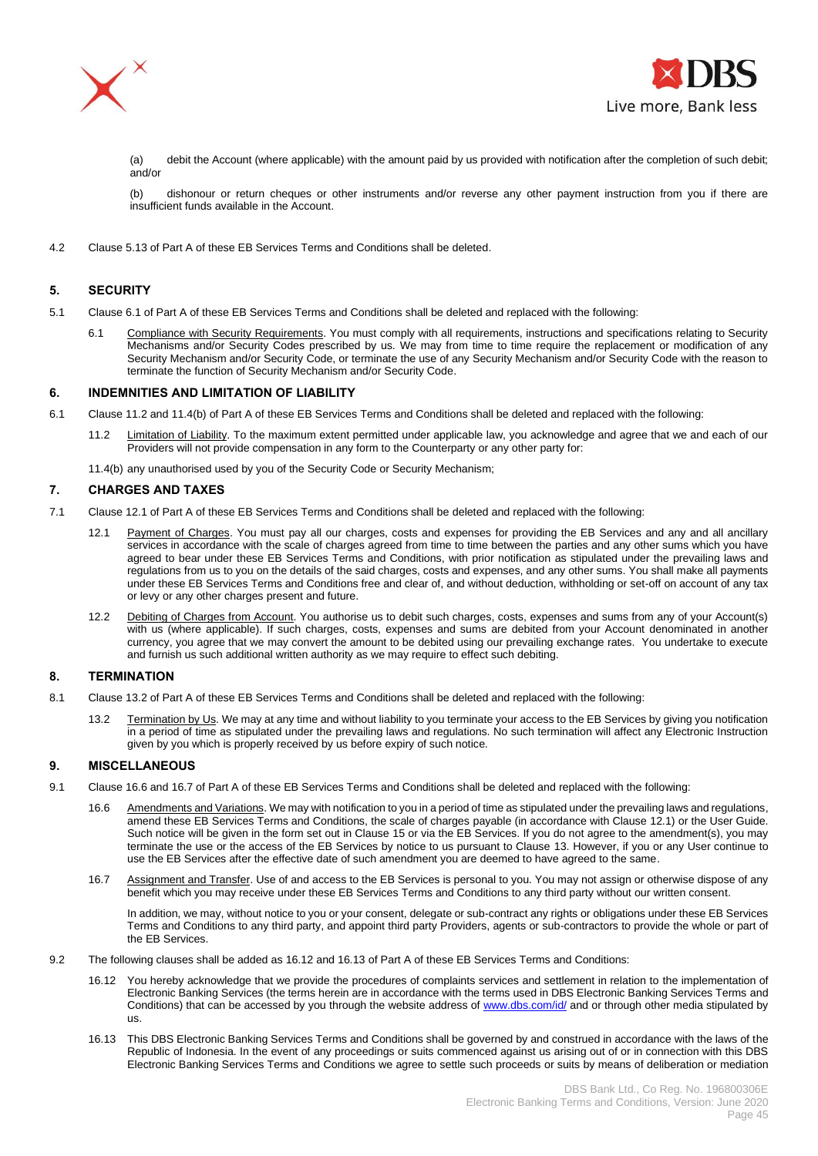



(a) debit the Account (where applicable) with the amount paid by us provided with notification after the completion of such debit; and/or

(b) dishonour or return cheques or other instruments and/or reverse any other payment instruction from you if there are insufficient funds available in the Account.

4.2 Clause 5.13 of Part A of these EB Services Terms and Conditions shall be deleted.

### **5. SECURITY**

- 5.1 Clause 6.1 of Part A of these EB Services Terms and Conditions shall be deleted and replaced with the following:
	- 6.1 Compliance with Security Requirements. You must comply with all requirements, instructions and specifications relating to Security Mechanisms and/or Security Codes prescribed by us. We may from time to time require the replacement or modification of any Security Mechanism and/or Security Code, or terminate the use of any Security Mechanism and/or Security Code with the reason to terminate the function of Security Mechanism and/or Security Code.

#### **6. INDEMNITIES AND LIMITATION OF LIABILITY**

- 6.1 Clause 11.2 and 11.4(b) of Part A of these EB Services Terms and Conditions shall be deleted and replaced with the following:
	- 11.2 Limitation of Liability. To the maximum extent permitted under applicable law, you acknowledge and agree that we and each of our Providers will not provide compensation in any form to the Counterparty or any other party for:

11.4(b) any unauthorised used by you of the Security Code or Security Mechanism;

# **7. CHARGES AND TAXES**

- 7.1 Clause 12.1 of Part A of these EB Services Terms and Conditions shall be deleted and replaced with the following:
	- 12.1 Payment of Charges. You must pay all our charges, costs and expenses for providing the EB Services and any and all ancillary services in accordance with the scale of charges agreed from time to time between the parties and any other sums which you have agreed to bear under these EB Services Terms and Conditions, with prior notification as stipulated under the prevailing laws and regulations from us to you on the details of the said charges, costs and expenses, and any other sums. You shall make all payments under these EB Services Terms and Conditions free and clear of, and without deduction, withholding or set-off on account of any tax or levy or any other charges present and future.
	- 12.2 Debiting of Charges from Account. You authorise us to debit such charges, costs, expenses and sums from any of your Account(s) with us (where applicable). If such charges, costs, expenses and sums are debited from your Account denominated in another currency, you agree that we may convert the amount to be debited using our prevailing exchange rates. You undertake to execute and furnish us such additional written authority as we may require to effect such debiting.

#### **8. TERMINATION**

- 8.1 Clause 13.2 of Part A of these EB Services Terms and Conditions shall be deleted and replaced with the following:
	- 13.2 Termination by Us. We may at any time and without liability to you terminate your access to the EB Services by giving you notification in a period of time as stipulated under the prevailing laws and regulations. No such termination will affect any Electronic Instruction given by you which is properly received by us before expiry of such notice.

#### **9. MISCELLANEOUS**

- 9.1 Clause 16.6 and 16.7 of Part A of these EB Services Terms and Conditions shall be deleted and replaced with the following:
	- 16.6 Amendments and Variations. We may with notification to you in a period of time as stipulated under the prevailing laws and regulations, amend these EB Services Terms and Conditions, the scale of charges payable (in accordance with Clause [12.1\)](#page-7-0) or the User Guide. Such notice will be given in the form set out in Clause [15](#page-8-1) or via the EB Services. If you do not agree to the amendment(s), you may terminate the use or the access of the EB Services by notice to us pursuant to Clause [13.](#page-7-3) However, if you or any User continue to use the EB Services after the effective date of such amendment you are deemed to have agreed to the same.
	- 16.7 Assignment and Transfer. Use of and access to the EB Services is personal to you. You may not assign or otherwise dispose of any benefit which you may receive under these EB Services Terms and Conditions to any third party without our written consent.

In addition, we may, without notice to you or your consent, delegate or sub-contract any rights or obligations under these EB Services Terms and Conditions to any third party, and appoint third party Providers, agents or sub-contractors to provide the whole or part of the EB Services.

- 9.2 The following clauses shall be added as 16.12 and 16.13 of Part A of these EB Services Terms and Conditions:
	- 16.12 You hereby acknowledge that we provide the procedures of complaints services and settlement in relation to the implementation of Electronic Banking Services (the terms herein are in accordance with the terms used in DBS Electronic Banking Services Terms and Conditions) that can be accessed by you through the website address of [www.dbs.com/id/](http://www.dbs.com/id/) and or through other media stipulated by us.
	- 16.13 This DBS Electronic Banking Services Terms and Conditions shall be governed by and construed in accordance with the laws of the Republic of Indonesia. In the event of any proceedings or suits commenced against us arising out of or in connection with this DBS Electronic Banking Services Terms and Conditions we agree to settle such proceeds or suits by means of deliberation or mediation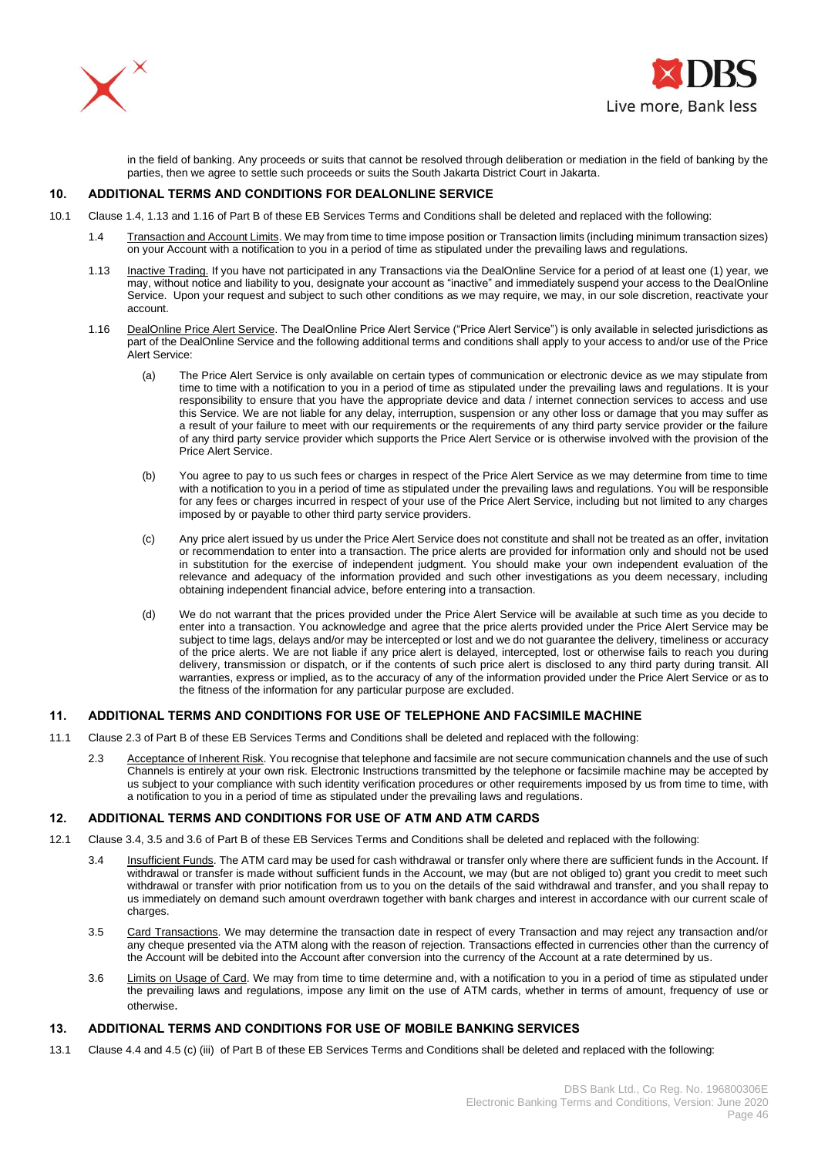



in the field of banking. Any proceeds or suits that cannot be resolved through deliberation or mediation in the field of banking by the parties, then we agree to settle such proceeds or suits the South Jakarta District Court in Jakarta.

# **10. ADDITIONAL TERMS AND CONDITIONS FOR DEALONLINE SERVICE**

- 10.1 Clause 1.4, 1.13 and 1.16 of Part B of these EB Services Terms and Conditions shall be deleted and replaced with the following:
	- 1.4 Transaction and Account Limits. We may from time to time impose position or Transaction limits (including minimum transaction sizes) on your Account with a notification to you in a period of time as stipulated under the prevailing laws and regulations.
	- 1.13 Inactive Trading. If you have not participated in any Transactions via the DealOnline Service for a period of at least one (1) year, we may, without notice and liability to you, designate your account as "inactive" and immediately suspend your access to the DealOnline Service. Upon your request and subject to such other conditions as we may require, we may, in our sole discretion, reactivate your account.
	- 1.16 DealOnline Price Alert Service. The DealOnline Price Alert Service ("Price Alert Service") is only available in selected jurisdictions as part of the DealOnline Service and the following additional terms and conditions shall apply to your access to and/or use of the Price Alert Service:
		- (a) The Price Alert Service is only available on certain types of communication or electronic device as we may stipulate from time to time with a notification to you in a period of time as stipulated under the prevailing laws and regulations. It is your responsibility to ensure that you have the appropriate device and data / internet connection services to access and use this Service. We are not liable for any delay, interruption, suspension or any other loss or damage that you may suffer as a result of your failure to meet with our requirements or the requirements of any third party service provider or the failure of any third party service provider which supports the Price Alert Service or is otherwise involved with the provision of the Price Alert Service.
		- (b) You agree to pay to us such fees or charges in respect of the Price Alert Service as we may determine from time to time with a notification to you in a period of time as stipulated under the prevailing laws and regulations. You will be responsible for any fees or charges incurred in respect of your use of the Price Alert Service, including but not limited to any charges imposed by or payable to other third party service providers.
		- (c) Any price alert issued by us under the Price Alert Service does not constitute and shall not be treated as an offer, invitation or recommendation to enter into a transaction. The price alerts are provided for information only and should not be used in substitution for the exercise of independent judgment. You should make your own independent evaluation of the relevance and adequacy of the information provided and such other investigations as you deem necessary, including obtaining independent financial advice, before entering into a transaction.
		- (d) We do not warrant that the prices provided under the Price Alert Service will be available at such time as you decide to enter into a transaction. You acknowledge and agree that the price alerts provided under the Price Alert Service may be subject to time lags, delays and/or may be intercepted or lost and we do not guarantee the delivery, timeliness or accuracy of the price alerts. We are not liable if any price alert is delayed, intercepted, lost or otherwise fails to reach you during delivery, transmission or dispatch, or if the contents of such price alert is disclosed to any third party during transit. All warranties, express or implied, as to the accuracy of any of the information provided under the Price Alert Service or as to the fitness of the information for any particular purpose are excluded.

# **11. ADDITIONAL TERMS AND CONDITIONS FOR USE OF TELEPHONE AND FACSIMILE MACHINE**

- 11.1 Clause 2.3 of Part B of these EB Services Terms and Conditions shall be deleted and replaced with the following:
	- 2.3 Acceptance of Inherent Risk. You recognise that telephone and facsimile are not secure communication channels and the use of such Channels is entirely at your own risk. Electronic Instructions transmitted by the telephone or facsimile machine may be accepted by us subject to your compliance with such identity verification procedures or other requirements imposed by us from time to time, with a notification to you in a period of time as stipulated under the prevailing laws and regulations.

# **12. ADDITIONAL TERMS AND CONDITIONS FOR USE OF ATM AND ATM CARDS**

- 12.1 Clause 3.4, 3.5 and 3.6 of Part B of these EB Services Terms and Conditions shall be deleted and replaced with the following:
	- 3.4 Insufficient Funds. The ATM card may be used for cash withdrawal or transfer only where there are sufficient funds in the Account. If withdrawal or transfer is made without sufficient funds in the Account, we may (but are not obliged to) grant you credit to meet such withdrawal or transfer with prior notification from us to you on the details of the said withdrawal and transfer, and you shall repay to us immediately on demand such amount overdrawn together with bank charges and interest in accordance with our current scale of charges.
	- 3.5 Card Transactions. We may determine the transaction date in respect of every Transaction and may reject any transaction and/or any cheque presented via the ATM along with the reason of rejection. Transactions effected in currencies other than the currency of the Account will be debited into the Account after conversion into the currency of the Account at a rate determined by us.
	- 3.6 Limits on Usage of Card. We may from time to time determine and, with a notification to you in a period of time as stipulated under the prevailing laws and regulations, impose any limit on the use of ATM cards, whether in terms of amount, frequency of use or otherwise.

# **13. ADDITIONAL TERMS AND CONDITIONS FOR USE OF MOBILE BANKING SERVICES**

13.1 Clause 4.4 and 4.5 (c) (iii) of Part B of these EB Services Terms and Conditions shall be deleted and replaced with the following: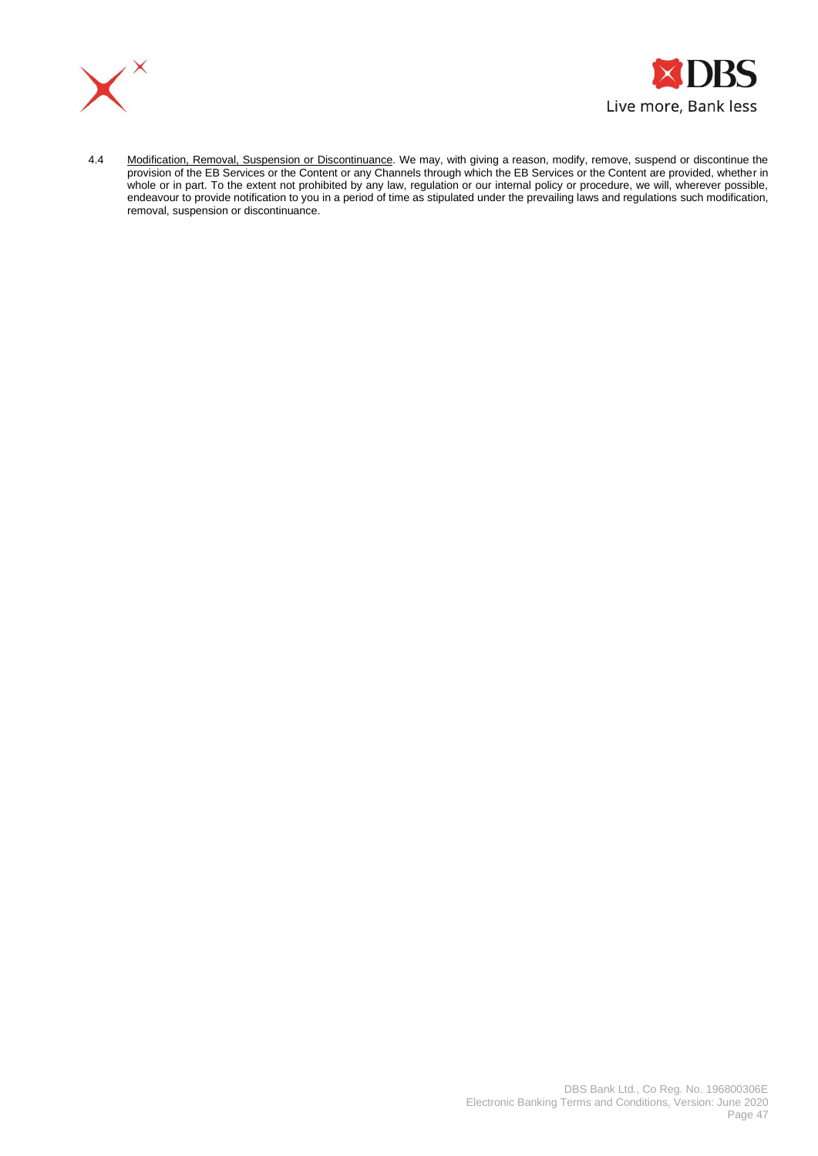



4.4 Modification, Removal, Suspension or Discontinuance. We may, with giving a reason, modify, remove, suspend or discontinue the provision of the EB Services or the Content or any Channels through which the EB Services or the Content are provided, whether in whole or in part. To the extent not prohibited by any law, regulation or our internal policy or procedure, we will, wherever possible, endeavour to provide notification to you in a period of time as stipulated under the prevailing laws and regulations such modification, removal, suspension or discontinuance.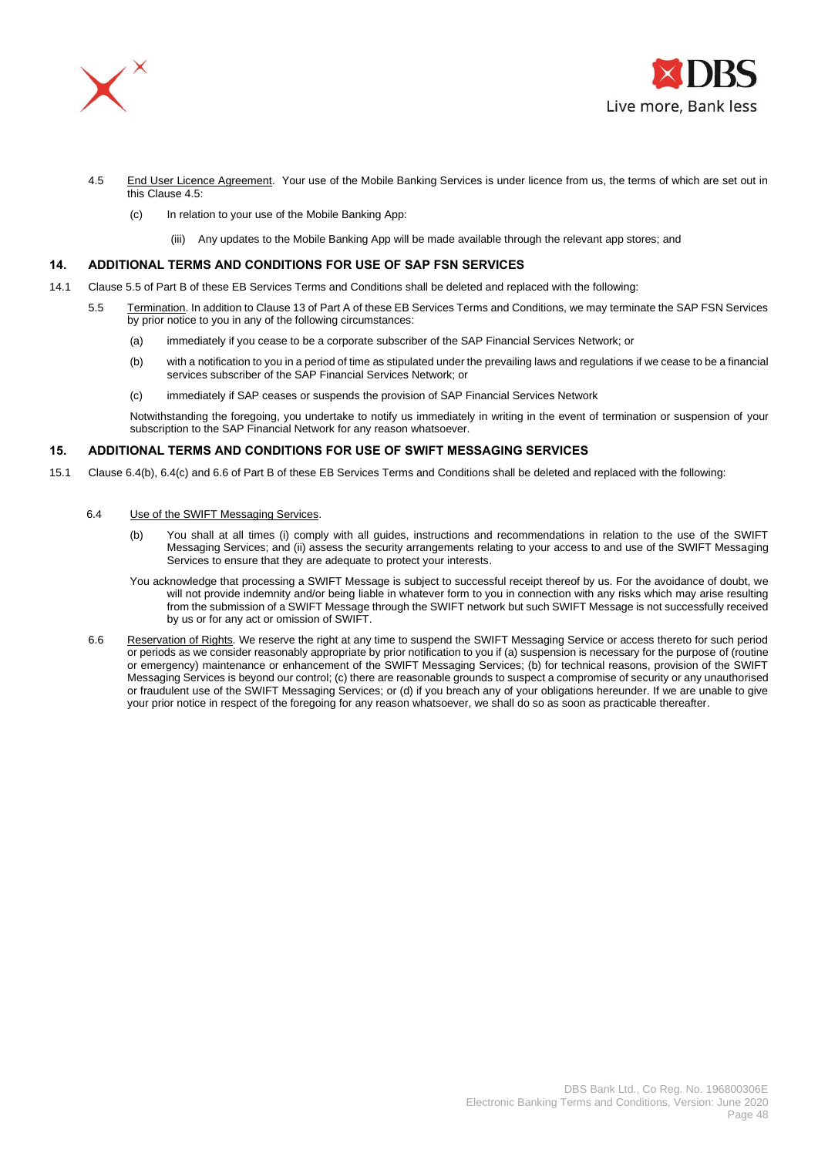



- 4.5 End User Licence Agreement. Your use of the Mobile Banking Services is under licence from us, the terms of which are set out in this Clause 4.5:
	- (c) In relation to your use of the Mobile Banking App:
		- (iii) Any updates to the Mobile Banking App will be made available through the relevant app stores; and

#### **14. ADDITIONAL TERMS AND CONDITIONS FOR USE OF SAP FSN SERVICES**

- 14.1 Clause 5.5 of Part B of these EB Services Terms and Conditions shall be deleted and replaced with the following:
	- 5.5 Termination. In addition to Clause 13 of Part A of these EB Services Terms and Conditions, we may terminate the SAP FSN Services by prior notice to you in any of the following circumstances:
		- (a) immediately if you cease to be a corporate subscriber of the SAP Financial Services Network; or
		- (b) with a notification to you in a period of time as stipulated under the prevailing laws and regulations if we cease to be a financial services subscriber of the SAP Financial Services Network; or
		- (c) immediately if SAP ceases or suspends the provision of SAP Financial Services Network

Notwithstanding the foregoing, you undertake to notify us immediately in writing in the event of termination or suspension of your subscription to the SAP Financial Network for any reason whatsoever.

### **15. ADDITIONAL TERMS AND CONDITIONS FOR USE OF SWIFT MESSAGING SERVICES**

- 15.1 Clause 6.4(b), 6.4(c) and 6.6 of Part B of these EB Services Terms and Conditions shall be deleted and replaced with the following:
	- 6.4 Use of the SWIFT Messaging Services.
		- (b) You shall at all times (i) comply with all guides, instructions and recommendations in relation to the use of the SWIFT Messaging Services; and (ii) assess the security arrangements relating to your access to and use of the SWIFT Messaging Services to ensure that they are adequate to protect your interests.
		- You acknowledge that processing a SWIFT Message is subject to successful receipt thereof by us. For the avoidance of doubt, we will not provide indemnity and/or being liable in whatever form to you in connection with any risks which may arise resulting from the submission of a SWIFT Message through the SWIFT network but such SWIFT Message is not successfully received by us or for any act or omission of SWIFT.
	- 6.6 Reservation of Rights. We reserve the right at any time to suspend the SWIFT Messaging Service or access thereto for such period or periods as we consider reasonably appropriate by prior notification to you if (a) suspension is necessary for the purpose of (routine or emergency) maintenance or enhancement of the SWIFT Messaging Services; (b) for technical reasons, provision of the SWIFT Messaging Services is beyond our control; (c) there are reasonable grounds to suspect a compromise of security or any unauthorised or fraudulent use of the SWIFT Messaging Services; or (d) if you breach any of your obligations hereunder. If we are unable to give your prior notice in respect of the foregoing for any reason whatsoever, we shall do so as soon as practicable thereafter.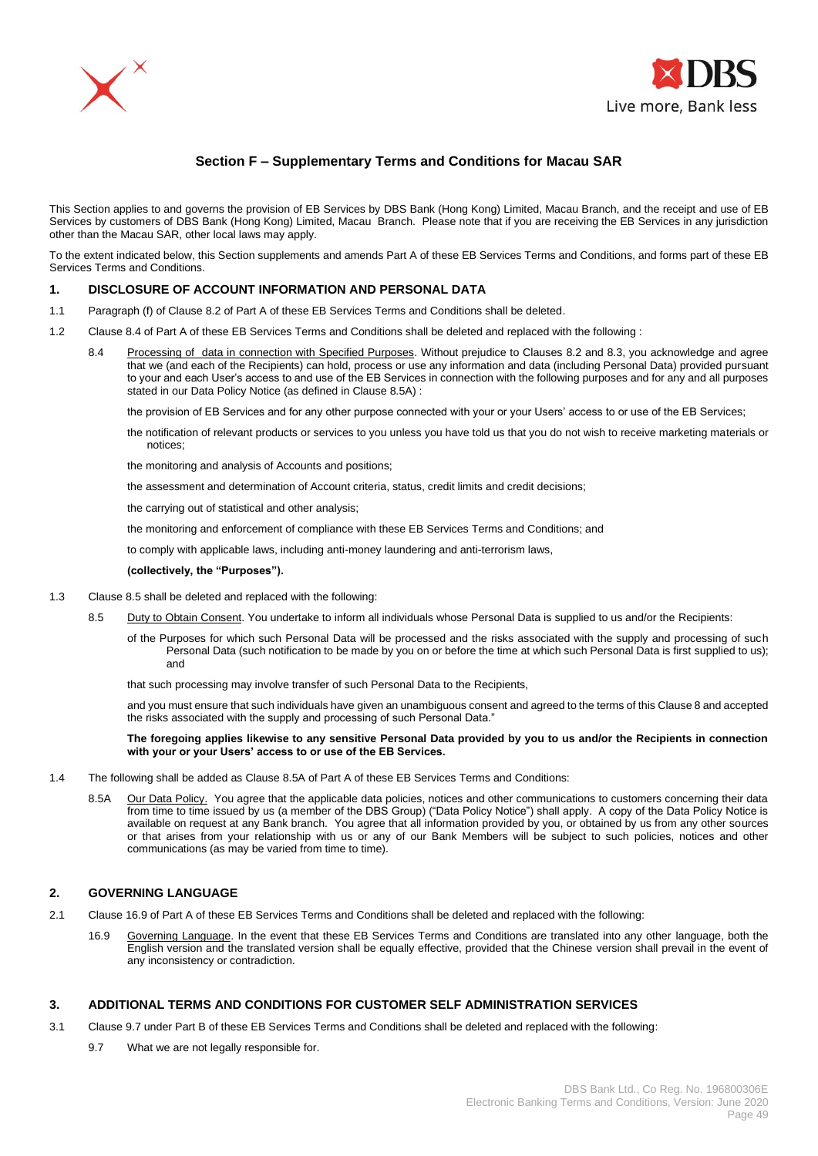



# **Section F – Supplementary Terms and Conditions for Macau SAR**

This Section applies to and governs the provision of EB Services by DBS Bank (Hong Kong) Limited, Macau Branch, and the receipt and use of EB Services by customers of DBS Bank (Hong Kong) Limited, Macau Branch. Please note that if you are receiving the EB Services in any jurisdiction other than the Macau SAR, other local laws may apply.

To the extent indicated below, this Section supplements and amends Part A of these EB Services Terms and Conditions, and forms part of these EB Services Terms and Conditions.

### **1. DISCLOSURE OF ACCOUNT INFORMATION AND PERSONAL DATA**

- 1.1 Paragraph (f) of Clause 8.2 of Part A of these EB Services Terms and Conditions shall be deleted.
- 1.2 Clause 8.4 of Part A of these EB Services Terms and Conditions shall be deleted and replaced with the following :
	- 8.4 Processing of data in connection with Specified Purposes. Without prejudice to Clauses [8.2](#page-5-1) and 8.3, you acknowledge and agree that we (and each of the Recipients) can hold, process or use any information and data (including Personal Data) provided pursuant to your and each User's access to and use of the EB Services in connection with the following purposes and for any and all purposes stated in our Data Policy Notice (as defined in Clause 8.5A) :

the provision of EB Services and for any other purpose connected with your or your Users' access to or use of the EB Services;

the notification of relevant products or services to you unless you have told us that you do not wish to receive marketing materials or notices;

the monitoring and analysis of Accounts and positions;

the assessment and determination of Account criteria, status, credit limits and credit decisions;

the carrying out of statistical and other analysis;

the monitoring and enforcement of compliance with these EB Services Terms and Conditions; and

to comply with applicable laws, including anti-money laundering and anti-terrorism laws,

#### **(collectively, the "Purposes").**

- 1.3 Clause 8.5 shall be deleted and replaced with the following:
	- 8.5 Duty to Obtain Consent. You undertake to inform all individuals whose Personal Data is supplied to us and/or the Recipients:
		- of the Purposes for which such Personal Data will be processed and the risks associated with the supply and processing of such Personal Data (such notification to be made by you on or before the time at which such Personal Data is first supplied to us); and

that such processing may involve transfer of such Personal Data to the Recipients,

and you must ensure that such individuals have given an unambiguous consent and agreed to the terms of this Clause 8 and accepted the risks associated with the supply and processing of such Personal Data."

#### **The foregoing applies likewise to any sensitive Personal Data provided by you to us and/or the Recipients in connection with your or your Users' access to or use of the EB Services.**

- 1.4 The following shall be added as Clause 8.5A of Part A of these EB Services Terms and Conditions:
	- 8.5A Our Data Policy. You agree that the applicable data policies, notices and other communications to customers concerning their data from time to time issued by us (a member of the DBS Group) ("Data Policy Notice") shall apply. A copy of the Data Policy Notice is available on request at any Bank branch. You agree that all information provided by you, or obtained by us from any other sources or that arises from your relationship with us or any of our Bank Members will be subject to such policies, notices and other communications (as may be varied from time to time).

#### **2. GOVERNING LANGUAGE**

- 2.1 Claus[e 16.9](#page-9-1) of Part A of these EB Services Terms and Conditions shall be deleted and replaced with the following:
	- 16.9 Governing Language. In the event that these EB Services Terms and Conditions are translated into any other language, both the English version and the translated version shall be equally effective, provided that the Chinese version shall prevail in the event of any inconsistency or contradiction.

#### **3. ADDITIONAL TERMS AND CONDITIONS FOR CUSTOMER SELF ADMINISTRATION SERVICES**

- 3.1 Clause 9.7 under Part B of these EB Services Terms and Conditions shall be deleted and replaced with the following:
	- 9.7 What we are not legally responsible for.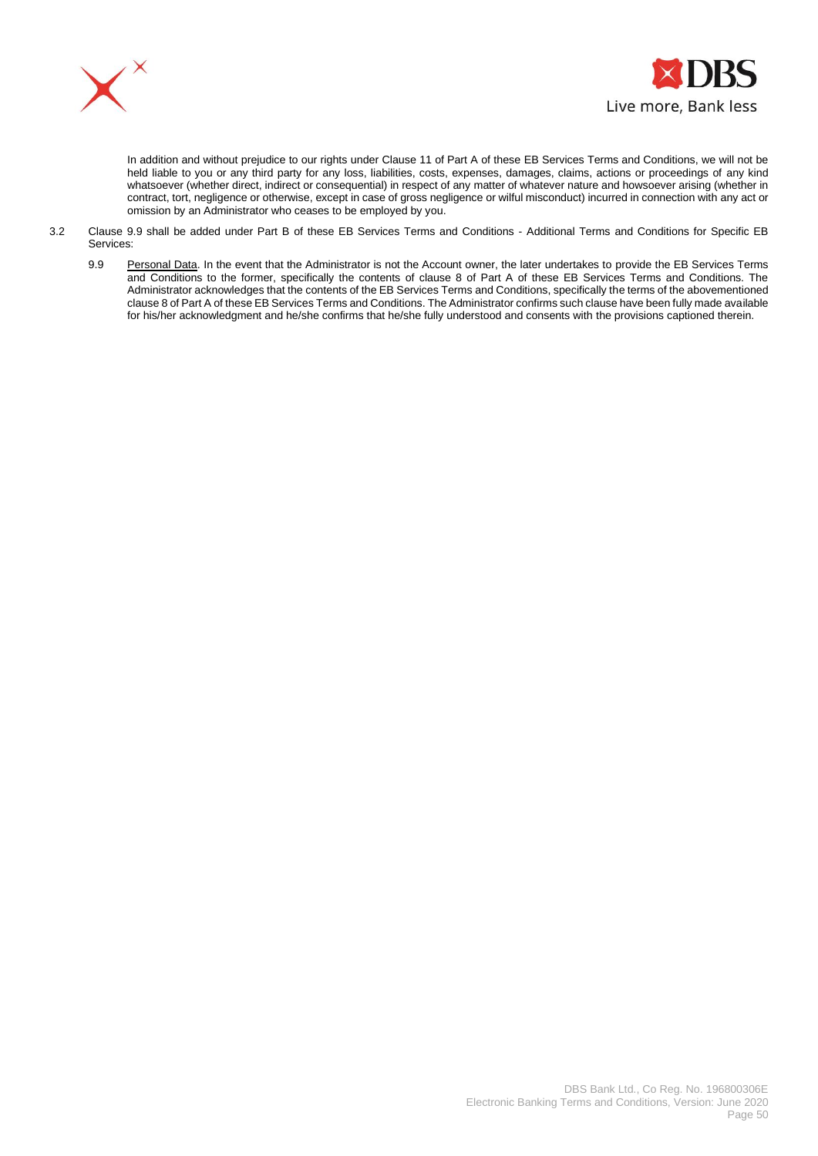



In addition and without prejudice to our rights under Clause 11 of Part A of these EB Services Terms and Conditions, we will not be held liable to you or any third party for any loss, liabilities, costs, expenses, damages, claims, actions or proceedings of any kind whatsoever (whether direct, indirect or consequential) in respect of any matter of whatever nature and howsoever arising (whether in contract, tort, negligence or otherwise, except in case of gross negligence or wilful misconduct) incurred in connection with any act or omission by an Administrator who ceases to be employed by you.

- 3.2 Clause 9.9 shall be added under Part B of these EB Services Terms and Conditions Additional Terms and Conditions for Specific EB Services:
	- 9.9 Personal Data. In the event that the Administrator is not the Account owner, the later undertakes to provide the EB Services Terms and Conditions to the former, specifically the contents of clause 8 of Part A of these EB Services Terms and Conditions. The Administrator acknowledges that the contents of the EB Services Terms and Conditions, specifically the terms of the abovementioned clause 8 of Part A of these EB Services Terms and Conditions. The Administrator confirms such clause have been fully made available for his/her acknowledgment and he/she confirms that he/she fully understood and consents with the provisions captioned therein.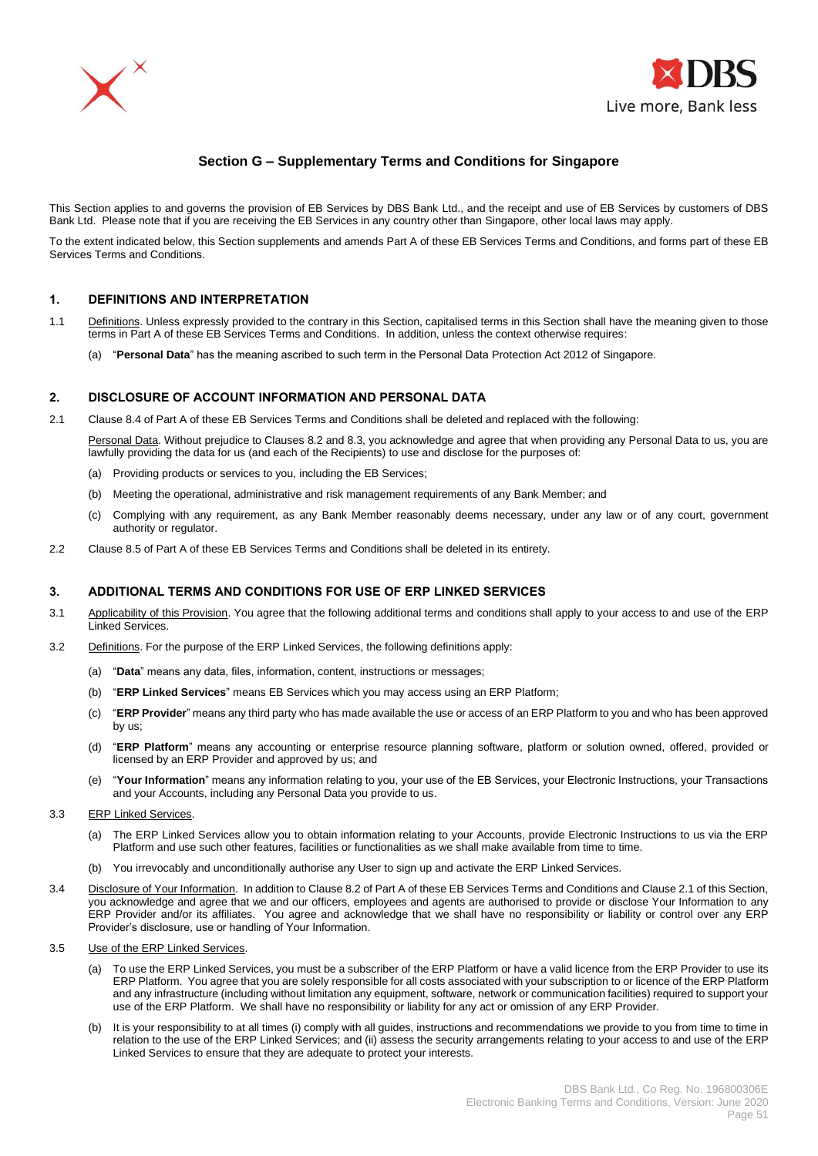



# **Section G – Supplementary Terms and Conditions for Singapore**

This Section applies to and governs the provision of EB Services by DBS Bank Ltd., and the receipt and use of EB Services by customers of DBS Bank Ltd. Please note that if you are receiving the EB Services in any country other than Singapore, other local laws may apply.

To the extent indicated below, this Section supplements and amends Part A of these EB Services Terms and Conditions, and forms part of these EB Services Terms and Conditions.

### **1. DEFINITIONS AND INTERPRETATION**

- 1.1 Definitions. Unless expressly provided to the contrary in this Section, capitalised terms in this Section shall have the meaning given to those terms in Part A of these EB Services Terms and Conditions. In addition, unless the context otherwise requires:
	- (a) "**Personal Data**" has the meaning ascribed to such term in the Personal Data Protection Act 2012 of Singapore.

# **2. DISCLOSURE OF ACCOUNT INFORMATION AND PERSONAL DATA**

2.1 Clause 8.4 of Part A of these EB Services Terms and Conditions shall be deleted and replaced with the following:

Personal Data. Without prejudice to Clauses [8.2](#page-5-1) and 8.3, you acknowledge and agree that when providing any Personal Data to us, you are lawfully providing the data for us (and each of the Recipients) to use and disclose for the purposes of:

- (a) Providing products or services to you, including the EB Services;
- (b) Meeting the operational, administrative and risk management requirements of any Bank Member; and
- (c) Complying with any requirement, as any Bank Member reasonably deems necessary, under any law or of any court, government authority or regulator.
- 2.2 Clause 8.5 of Part A of these EB Services Terms and Conditions shall be deleted in its entirety.

### **3. ADDITIONAL TERMS AND CONDITIONS FOR USE OF ERP LINKED SERVICES**

- 3.1 Applicability of this Provision. You agree that the following additional terms and conditions shall apply to your access to and use of the ERP Linked Services.
- 3.2 Definitions. For the purpose of the ERP Linked Services, the following definitions apply:
	- (a) "**Data**" means any data, files, information, content, instructions or messages;
	- (b) "**ERP Linked Services**" means EB Services which you may access using an ERP Platform;
	- (c) "**ERP Provider**" means any third party who has made available the use or access of an ERP Platform to you and who has been approved by us;
	- (d) "**ERP Platform**" means any accounting or enterprise resource planning software, platform or solution owned, offered, provided or licensed by an ERP Provider and approved by us; and
	- (e) "**Your Information**" means any information relating to you, your use of the EB Services, your Electronic Instructions, your Transactions and your Accounts, including any Personal Data you provide to us.
- 3.3 ERP Linked Services.
	- (a) The ERP Linked Services allow you to obtain information relating to your Accounts, provide Electronic Instructions to us via the ERP Platform and use such other features, facilities or functionalities as we shall make available from time to time.
	- (b) You irrevocably and unconditionally authorise any User to sign up and activate the ERP Linked Services.
- 3.4 Disclosure of Your Information. In addition to Clause 8.2 of Part A of these EB Services Terms and Conditions and Clause 2.1 of this Section, you acknowledge and agree that we and our officers, employees and agents are authorised to provide or disclose Your Information to any ERP Provider and/or its affiliates. You agree and acknowledge that we shall have no responsibility or liability or control over any ERP Provider's disclosure, use or handling of Your Information.
- 3.5 Use of the ERP Linked Services.
	- (a) To use the ERP Linked Services, you must be a subscriber of the ERP Platform or have a valid licence from the ERP Provider to use its ERP Platform. You agree that you are solely responsible for all costs associated with your subscription to or licence of the ERP Platform and any infrastructure (including without limitation any equipment, software, network or communication facilities) required to support your use of the ERP Platform. We shall have no responsibility or liability for any act or omission of any ERP Provider.
	- (b) It is your responsibility to at all times (i) comply with all guides, instructions and recommendations we provide to you from time to time in relation to the use of the ERP Linked Services; and (ii) assess the security arrangements relating to your access to and use of the ERP Linked Services to ensure that they are adequate to protect your interests.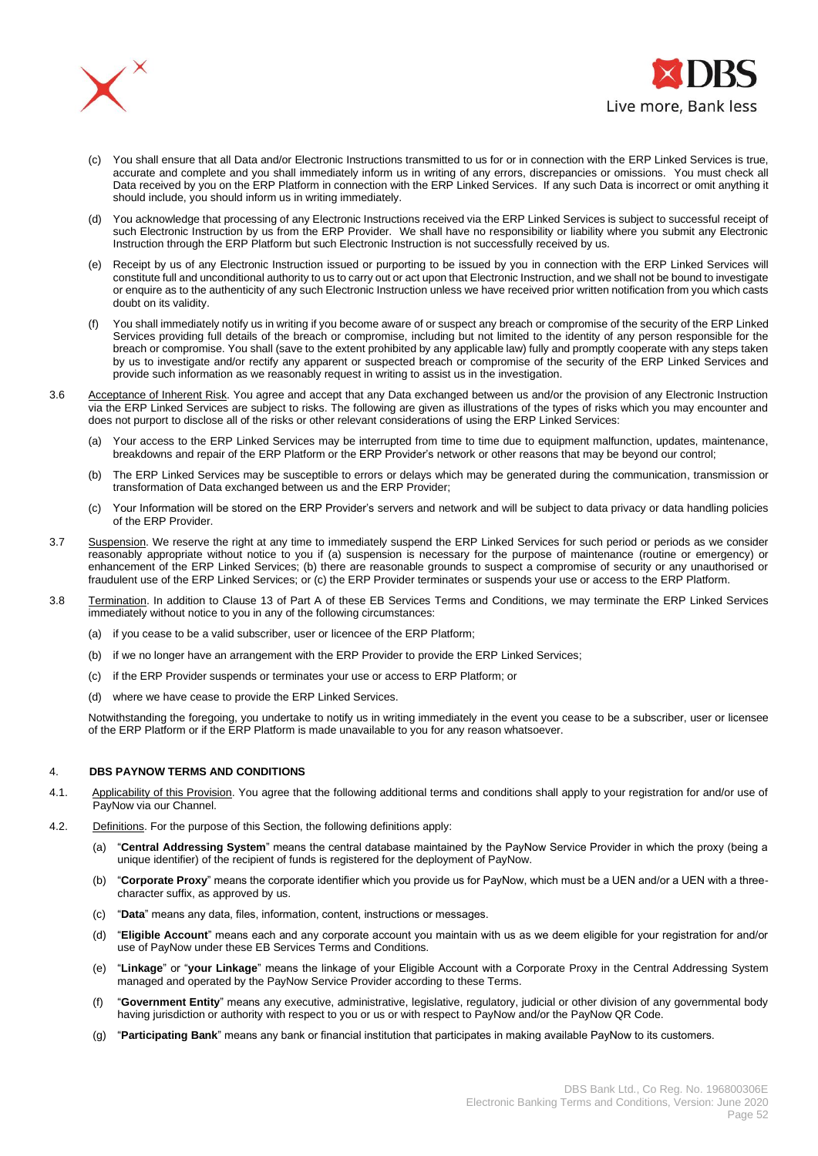



- (c) You shall ensure that all Data and/or Electronic Instructions transmitted to us for or in connection with the ERP Linked Services is true, accurate and complete and you shall immediately inform us in writing of any errors, discrepancies or omissions. You must check all Data received by you on the ERP Platform in connection with the ERP Linked Services. If any such Data is incorrect or omit anything it should include, you should inform us in writing immediately.
- (d) You acknowledge that processing of any Electronic Instructions received via the ERP Linked Services is subject to successful receipt of such Electronic Instruction by us from the ERP Provider. We shall have no responsibility or liability where you submit any Electronic Instruction through the ERP Platform but such Electronic Instruction is not successfully received by us.
- (e) Receipt by us of any Electronic Instruction issued or purporting to be issued by you in connection with the ERP Linked Services will constitute full and unconditional authority to us to carry out or act upon that Electronic Instruction, and we shall not be bound to investigate or enquire as to the authenticity of any such Electronic Instruction unless we have received prior written notification from you which casts doubt on its validity.
- (f) You shall immediately notify us in writing if you become aware of or suspect any breach or compromise of the security of the ERP Linked Services providing full details of the breach or compromise, including but not limited to the identity of any person responsible for the breach or compromise. You shall (save to the extent prohibited by any applicable law) fully and promptly cooperate with any steps taken by us to investigate and/or rectify any apparent or suspected breach or compromise of the security of the ERP Linked Services and provide such information as we reasonably request in writing to assist us in the investigation.
- 3.6 Acceptance of Inherent Risk. You agree and accept that any Data exchanged between us and/or the provision of any Electronic Instruction via the ERP Linked Services are subject to risks. The following are given as illustrations of the types of risks which you may encounter and does not purport to disclose all of the risks or other relevant considerations of using the ERP Linked Services:
	- Your access to the ERP Linked Services may be interrupted from time to time due to equipment malfunction, updates, maintenance, breakdowns and repair of the ERP Platform or the ERP Provider's network or other reasons that may be beyond our control;
	- (b) The ERP Linked Services may be susceptible to errors or delays which may be generated during the communication, transmission or transformation of Data exchanged between us and the ERP Provider;
	- (c) Your Information will be stored on the ERP Provider's servers and network and will be subject to data privacy or data handling policies of the ERP Provider.
- 3.7 Suspension. We reserve the right at any time to immediately suspend the ERP Linked Services for such period or periods as we consider reasonably appropriate without notice to you if (a) suspension is necessary for the purpose of maintenance (routine or emergency) or enhancement of the ERP Linked Services; (b) there are reasonable grounds to suspect a compromise of security or any unauthorised or fraudulent use of the ERP Linked Services; or (c) the ERP Provider terminates or suspends your use or access to the ERP Platform.
- 3.8 Termination. In addition to Clause 13 of Part A of these EB Services Terms and Conditions, we may terminate the ERP Linked Services immediately without notice to you in any of the following circumstances:
	- (a) if you cease to be a valid subscriber, user or licencee of the ERP Platform;
	- (b) if we no longer have an arrangement with the ERP Provider to provide the ERP Linked Services;
	- (c) if the ERP Provider suspends or terminates your use or access to ERP Platform; or
	- (d) where we have cease to provide the ERP Linked Services.

Notwithstanding the foregoing, you undertake to notify us in writing immediately in the event you cease to be a subscriber, user or licensee of the ERP Platform or if the ERP Platform is made unavailable to you for any reason whatsoever.

### 4. **DBS PAYNOW TERMS AND CONDITIONS**

- 4.1. Applicability of this Provision. You agree that the following additional terms and conditions shall apply to your registration for and/or use of PayNow via our Channel.
- 4.2. Definitions. For the purpose of this Section, the following definitions apply:
	- (a) "**Central Addressing System**" means the central database maintained by the PayNow Service Provider in which the proxy (being a unique identifier) of the recipient of funds is registered for the deployment of PayNow.
	- (b) "**Corporate Proxy**" means the corporate identifier which you provide us for PayNow, which must be a UEN and/or a UEN with a threecharacter suffix, as approved by us.
	- (c) "**Data**" means any data, files, information, content, instructions or messages.
	- (d) "**Eligible Account**" means each and any corporate account you maintain with us as we deem eligible for your registration for and/or use of PayNow under these EB Services Terms and Conditions.
	- (e) "**Linkage**" or "**your Linkage**" means the linkage of your Eligible Account with a Corporate Proxy in the Central Addressing System managed and operated by the PayNow Service Provider according to these Terms.
	- (f) "**Government Entity**" means any executive, administrative, legislative, regulatory, judicial or other division of any governmental body having jurisdiction or authority with respect to you or us or with respect to PayNow and/or the PayNow QR Code.
	- (g) "**Participating Bank**" means any bank or financial institution that participates in making available PayNow to its customers.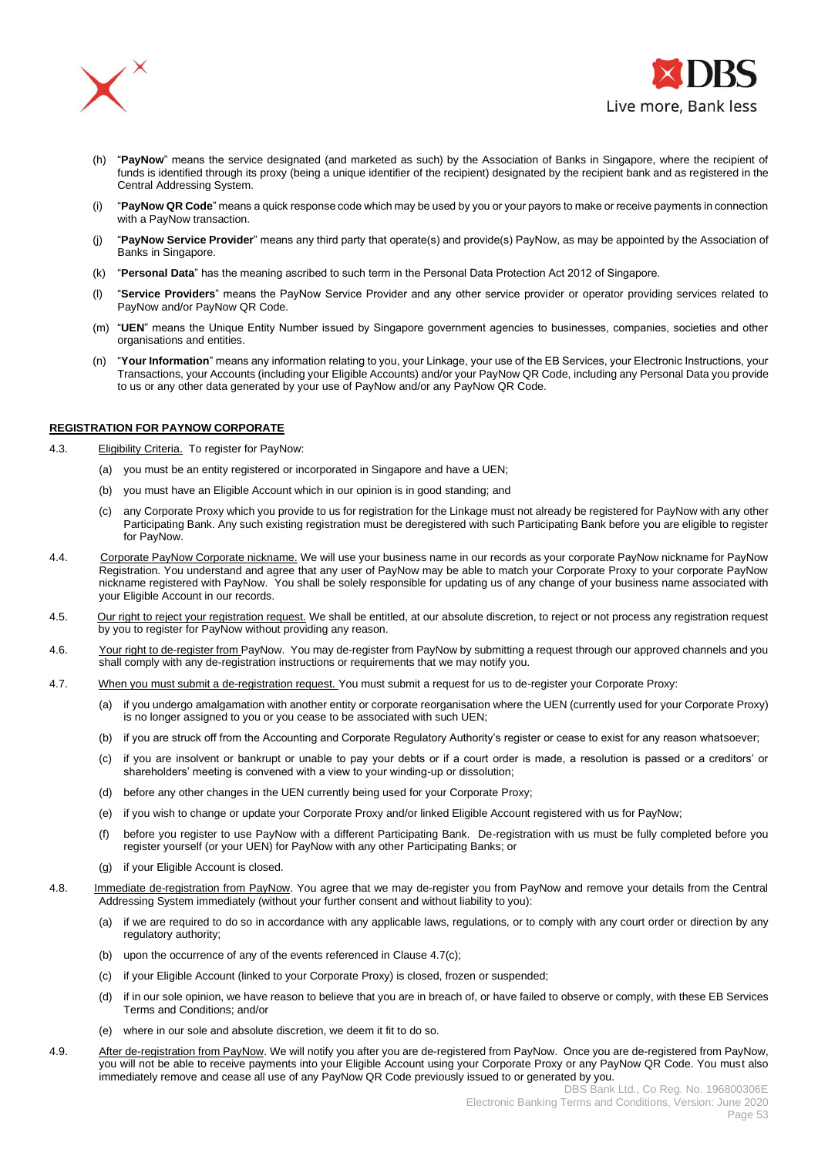



- (h) "**PayNow**" means the service designated (and marketed as such) by the Association of Banks in Singapore, where the recipient of funds is identified through its proxy (being a unique identifier of the recipient) designated by the recipient bank and as registered in the Central Addressing System.
- (i) "**PayNow QR Code**" means a quick response code which may be used by you or your payors to make or receive payments in connection with a PayNow transaction.
- (j) "**PayNow Service Provider**" means any third party that operate(s) and provide(s) PayNow, as may be appointed by the Association of Banks in Singapore.
- (k) "**Personal Data**" has the meaning ascribed to such term in the Personal Data Protection Act 2012 of Singapore.
- (l) "**Service Providers**" means the PayNow Service Provider and any other service provider or operator providing services related to PayNow and/or PayNow QR Code.
- (m) "**UEN**" means the Unique Entity Number issued by Singapore government agencies to businesses, companies, societies and other organisations and entities.
- (n) "**Your Information**" means any information relating to you, your Linkage, your use of the EB Services, your Electronic Instructions, your Transactions, your Accounts (including your Eligible Accounts) and/or your PayNow QR Code, including any Personal Data you provide to us or any other data generated by your use of PayNow and/or any PayNow QR Code.

### **REGISTRATION FOR PAYNOW CORPORATE**

- 4.3. Eligibility Criteria. To register for PayNow:
	- (a) you must be an entity registered or incorporated in Singapore and have a UEN;
	- (b) you must have an Eligible Account which in our opinion is in good standing; and
	- (c) any Corporate Proxy which you provide to us for registration for the Linkage must not already be registered for PayNow with any other Participating Bank. Any such existing registration must be deregistered with such Participating Bank before you are eligible to register for PayNow.
- 4.4. Corporate PayNow Corporate nickname. We will use your business name in our records as your corporate PayNow nickname for PayNow Registration. You understand and agree that any user of PayNow may be able to match your Corporate Proxy to your corporate PayNow nickname registered with PayNow. You shall be solely responsible for updating us of any change of your business name associated with your Eligible Account in our records.
- 4.5. Our right to reject your registration request. We shall be entitled, at our absolute discretion, to reject or not process any registration request by you to register for PayNow without providing any reason.
- 4.6. Your right to de-register from PayNow. You may de-register from PayNow by submitting a request through our approved channels and you shall comply with any de-registration instructions or requirements that we may notify you.
- 4.7. When you must submit a de-registration request. You must submit a request for us to de-register your Corporate Proxy:
	- if you undergo amalgamation with another entity or corporate reorganisation where the UEN (currently used for your Corporate Proxy) is no longer assigned to you or you cease to be associated with such UEN;
	- (b) if you are struck off from the Accounting and Corporate Regulatory Authority's register or cease to exist for any reason whatsoever;
	- (c) if you are insolvent or bankrupt or unable to pay your debts or if a court order is made, a resolution is passed or a creditors' or shareholders' meeting is convened with a view to your winding-up or dissolution;
	- (d) before any other changes in the UEN currently being used for your Corporate Proxy;
	- (e) if you wish to change or update your Corporate Proxy and/or linked Eligible Account registered with us for PayNow;
	- (f) before you register to use PayNow with a different Participating Bank. De-registration with us must be fully completed before you register yourself (or your UEN) for PayNow with any other Participating Banks; or
	- (g) if your Eligible Account is closed.
- 4.8. Immediate de-registration from PayNow. You agree that we may de-register you from PayNow and remove your details from the Central Addressing System immediately (without your further consent and without liability to you):
	- (a) if we are required to do so in accordance with any applicable laws, regulations, or to comply with any court order or direction by any regulatory authority;
	- (b) upon the occurrence of any of the events referenced in Clause 4.7(c);
	- (c) if your Eligible Account (linked to your Corporate Proxy) is closed, frozen or suspended;
	- (d) if in our sole opinion, we have reason to believe that you are in breach of, or have failed to observe or comply, with these EB Services Terms and Conditions; and/or
	- (e) where in our sole and absolute discretion, we deem it fit to do so.
- 4.9. After de-registration from PayNow. We will notify you after you are de-registered from PayNow. Once you are de-registered from PayNow, you will not be able to receive payments into your Eligible Account using your Corporate Proxy or any PayNow QR Code. You must also immediately remove and cease all use of any PayNow QR Code previously issued to or generated by you.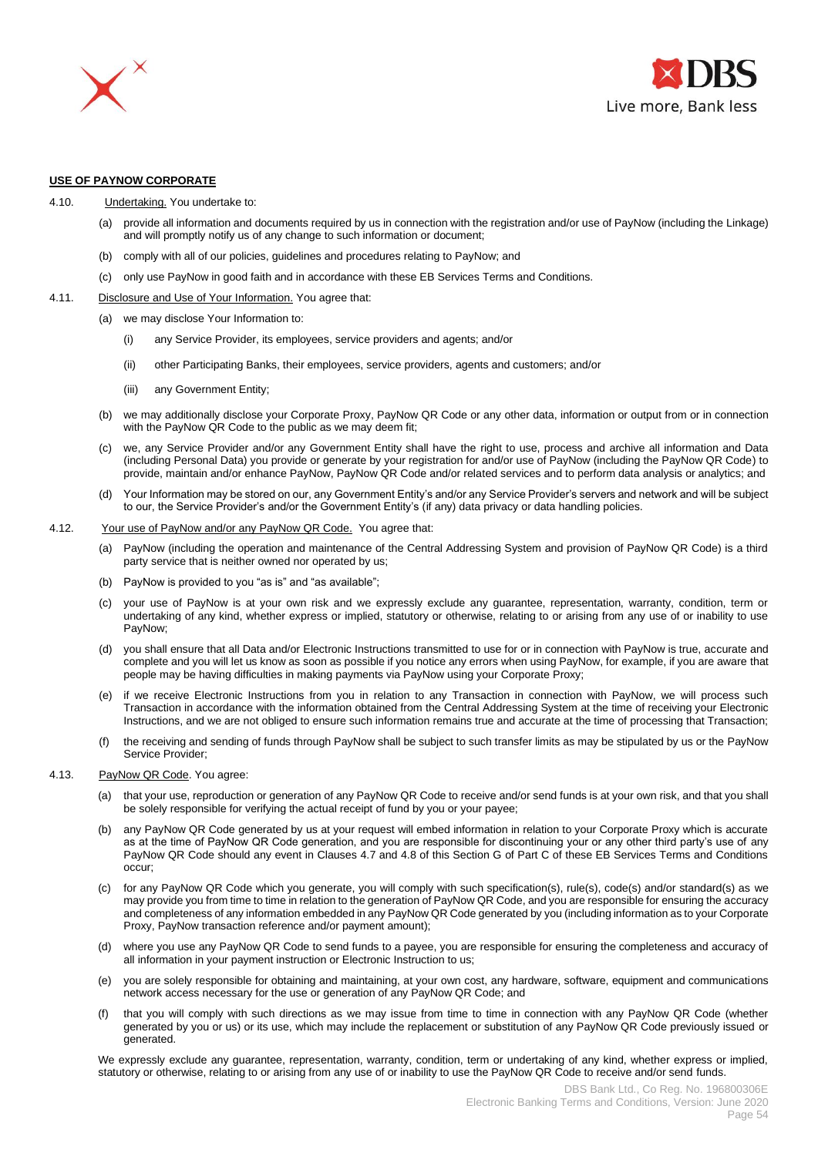



#### **USE OF PAYNOW CORPORATE**

#### 4.10. Undertaking. You undertake to:

- (a) provide all information and documents required by us in connection with the registration and/or use of PayNow (including the Linkage) and will promptly notify us of any change to such information or document;
- (b) comply with all of our policies, guidelines and procedures relating to PayNow; and
- (c) only use PayNow in good faith and in accordance with these EB Services Terms and Conditions.

#### 4.11. Disclosure and Use of Your Information. You agree that:

- (a) we may disclose Your Information to:
	- (i) any Service Provider, its employees, service providers and agents; and/or
	- (ii) other Participating Banks, their employees, service providers, agents and customers; and/or
	- (iii) any Government Entity;
- (b) we may additionally disclose your Corporate Proxy, PayNow QR Code or any other data, information or output from or in connection with the PayNow QR Code to the public as we may deem fit;
- (c) we, any Service Provider and/or any Government Entity shall have the right to use, process and archive all information and Data (including Personal Data) you provide or generate by your registration for and/or use of PayNow (including the PayNow QR Code) to provide, maintain and/or enhance PayNow, PayNow QR Code and/or related services and to perform data analysis or analytics; and
- (d) Your Information may be stored on our, any Government Entity's and/or any Service Provider's servers and network and will be subject to our, the Service Provider's and/or the Government Entity's (if any) data privacy or data handling policies.
- 4.12. Your use of PayNow and/or any PayNow QR Code. You agree that:
	- (a) PayNow (including the operation and maintenance of the Central Addressing System and provision of PayNow QR Code) is a third party service that is neither owned nor operated by us;
	- (b) PayNow is provided to you "as is" and "as available";
	- (c) your use of PayNow is at your own risk and we expressly exclude any guarantee, representation, warranty, condition, term or undertaking of any kind, whether express or implied, statutory or otherwise, relating to or arising from any use of or inability to use PayNow;
	- (d) you shall ensure that all Data and/or Electronic Instructions transmitted to use for or in connection with PayNow is true, accurate and complete and you will let us know as soon as possible if you notice any errors when using PayNow, for example, if you are aware that people may be having difficulties in making payments via PayNow using your Corporate Proxy;
	- (e) if we receive Electronic Instructions from you in relation to any Transaction in connection with PayNow, we will process such Transaction in accordance with the information obtained from the Central Addressing System at the time of receiving your Electronic Instructions, and we are not obliged to ensure such information remains true and accurate at the time of processing that Transaction;
	- (f) the receiving and sending of funds through PayNow shall be subject to such transfer limits as may be stipulated by us or the PayNow Service Provider;

#### 4.13. PayNow QR Code. You agree:

- (a) that your use, reproduction or generation of any PayNow QR Code to receive and/or send funds is at your own risk, and that you shall be solely responsible for verifying the actual receipt of fund by you or your payee;
- (b) any PayNow QR Code generated by us at your request will embed information in relation to your Corporate Proxy which is accurate as at the time of PayNow QR Code generation, and you are responsible for discontinuing your or any other third party's use of any PayNow QR Code should any event in Clauses 4.7 and 4.8 of this Section G of Part C of these EB Services Terms and Conditions occur;
- (c) for any PayNow QR Code which you generate, you will comply with such specification(s), rule(s), code(s) and/or standard(s) as we may provide you from time to time in relation to the generation of PayNow QR Code, and you are responsible for ensuring the accuracy and completeness of any information embedded in any PayNow QR Code generated by you (including information as to your Corporate Proxy, PayNow transaction reference and/or payment amount);
- (d) where you use any PayNow QR Code to send funds to a payee, you are responsible for ensuring the completeness and accuracy of all information in your payment instruction or Electronic Instruction to us;
- (e) you are solely responsible for obtaining and maintaining, at your own cost, any hardware, software, equipment and communications network access necessary for the use or generation of any PayNow QR Code; and
- (f) that you will comply with such directions as we may issue from time to time in connection with any PayNow QR Code (whether generated by you or us) or its use, which may include the replacement or substitution of any PayNow QR Code previously issued or generated.

We expressly exclude any guarantee, representation, warranty, condition, term or undertaking of any kind, whether express or implied, statutory or otherwise, relating to or arising from any use of or inability to use the PayNow QR Code to receive and/or send funds.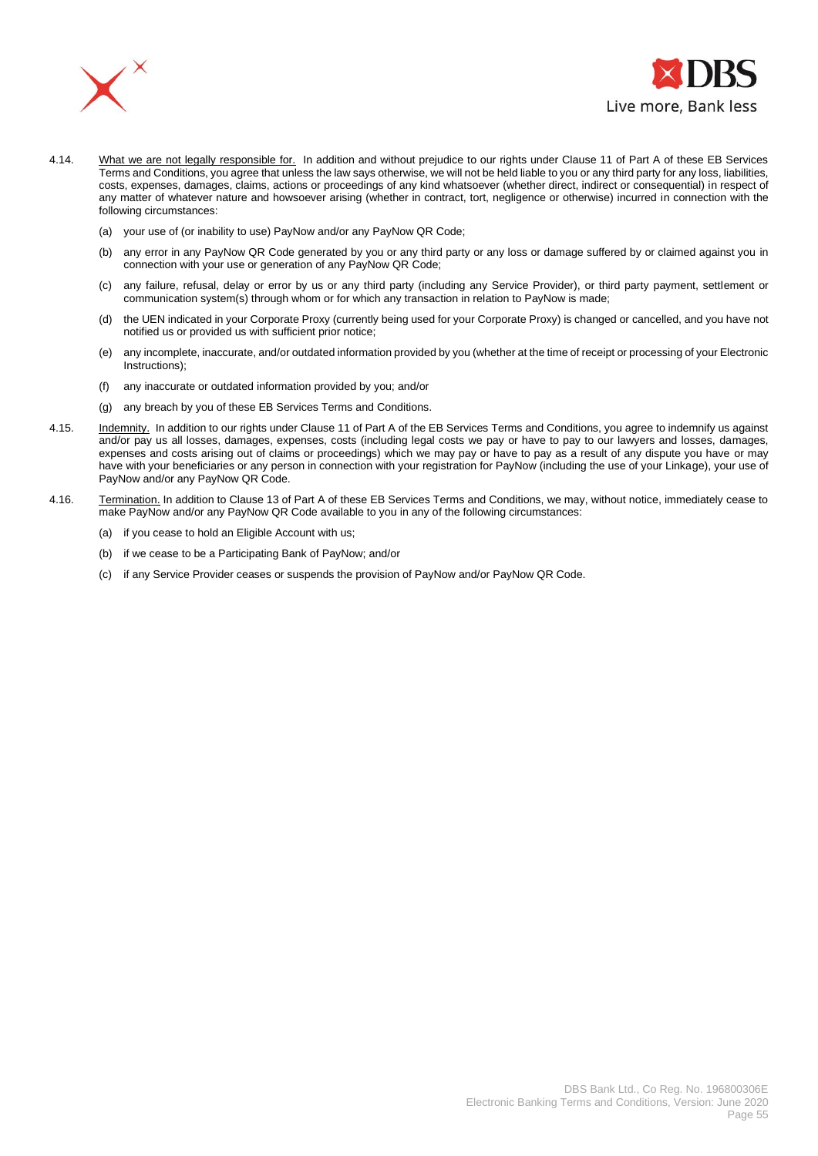



- 4.14. What we are not legally responsible for. In addition and without prejudice to our rights under Clause 11 of Part A of these EB Services Terms and Conditions, you agree that unless the law says otherwise, we will not be held liable to you or any third party for any loss, liabilities, costs, expenses, damages, claims, actions or proceedings of any kind whatsoever (whether direct, indirect or consequential) in respect of any matter of whatever nature and howsoever arising (whether in contract, tort, negligence or otherwise) incurred in connection with the following circumstances:
	- (a) your use of (or inability to use) PayNow and/or any PayNow QR Code;
	- (b) any error in any PayNow QR Code generated by you or any third party or any loss or damage suffered by or claimed against you in connection with your use or generation of any PayNow QR Code;
	- (c) any failure, refusal, delay or error by us or any third party (including any Service Provider), or third party payment, settlement or communication system(s) through whom or for which any transaction in relation to PayNow is made;
	- (d) the UEN indicated in your Corporate Proxy (currently being used for your Corporate Proxy) is changed or cancelled, and you have not notified us or provided us with sufficient prior notice;
	- (e) any incomplete, inaccurate, and/or outdated information provided by you (whether at the time of receipt or processing of your Electronic Instructions);
	- (f) any inaccurate or outdated information provided by you; and/or
	- (g) any breach by you of these EB Services Terms and Conditions.
- 4.15. **Indemnity.** In addition to our rights under Clause 11 of Part A of the EB Services Terms and Conditions, you agree to indemnify us against and/or pay us all losses, damages, expenses, costs (including legal costs we pay or have to pay to our lawyers and losses, damages, expenses and costs arising out of claims or proceedings) which we may pay or have to pay as a result of any dispute you have or may have with your beneficiaries or any person in connection with your registration for PayNow (including the use of your Linkage), your use of PayNow and/or any PayNow QR Code.
- 4.16. Termination. In addition to Clause 13 of Part A of these EB Services Terms and Conditions, we may, without notice, immediately cease to make PayNow and/or any PayNow QR Code available to you in any of the following circumstances:
	- (a) if you cease to hold an Eligible Account with us;
	- (b) if we cease to be a Participating Bank of PayNow; and/or
	- (c) if any Service Provider ceases or suspends the provision of PayNow and/or PayNow QR Code.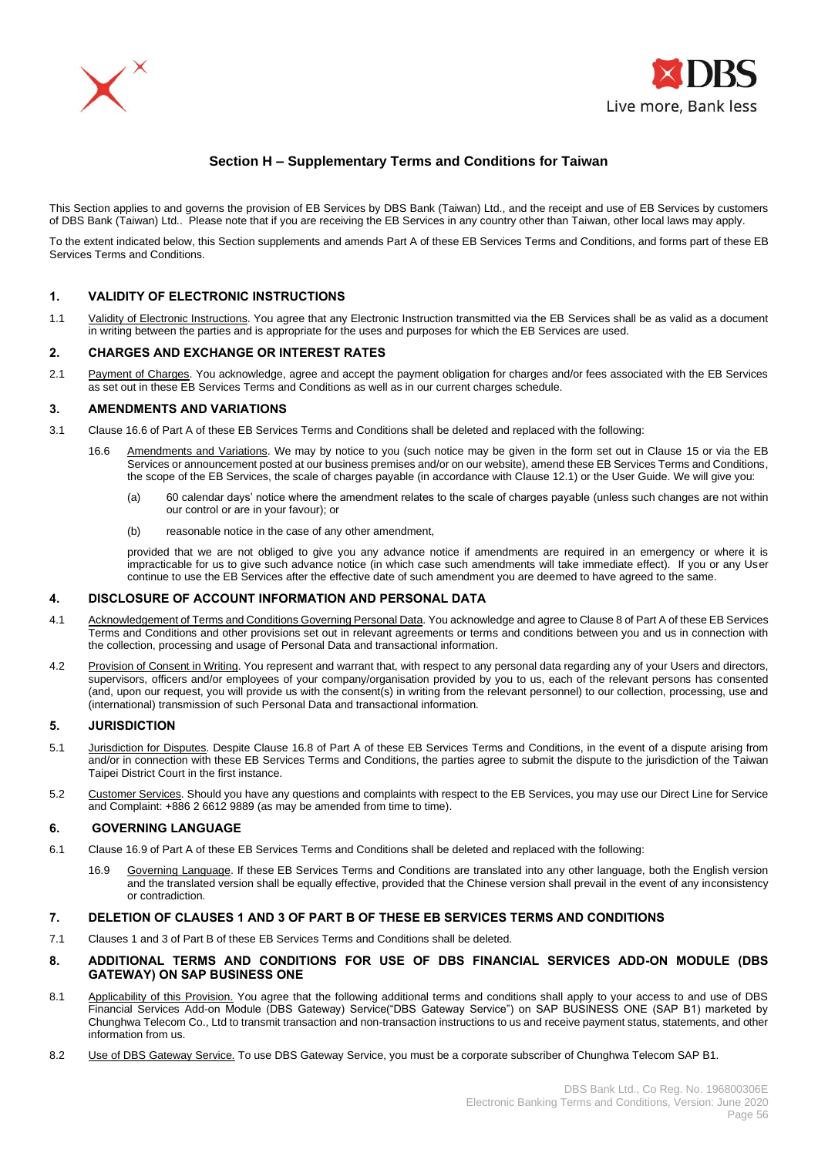



# **Section H – Supplementary Terms and Conditions for Taiwan**

This Section applies to and governs the provision of EB Services by DBS Bank (Taiwan) Ltd., and the receipt and use of EB Services by customers of DBS Bank (Taiwan) Ltd.. Please note that if you are receiving the EB Services in any country other than Taiwan, other local laws may apply.

To the extent indicated below, this Section supplements and amends Part A of these EB Services Terms and Conditions, and forms part of these EB Services Terms and Conditions.

# **1. VALIDITY OF ELECTRONIC INSTRUCTIONS**

1.1 Validity of Electronic Instructions. You agree that any Electronic Instruction transmitted via the EB Services shall be as valid as a document in writing between the parties and is appropriate for the uses and purposes for which the EB Services are used.

#### **2. CHARGES AND EXCHANGE OR INTEREST RATES**

2.1 Payment of Charges. You acknowledge, agree and accept the payment obligation for charges and/or fees associated with the EB Services as set out in these EB Services Terms and Conditions as well as in our current charges schedule.

#### **3. AMENDMENTS AND VARIATIONS**

- 3.1 Claus[e 16.6](#page-9-0) of Part A of these EB Services Terms and Conditions shall be deleted and replaced with the following:
	- Amendments and Variations. We may by notice to you (such notice may be given in the form set out in Clause [15](#page-8-1) or via the EB Services or announcement posted at our business premises and/or on our website), amend these EB Services Terms and Conditions, the scope of the EB Services, the scale of charges payable (in accordance with Claus[e 12.1\)](#page-7-0) or the User Guide. We will give you:
		- (a) 60 calendar days' notice where the amendment relates to the scale of charges payable (unless such changes are not within our control or are in your favour); or
		- (b) reasonable notice in the case of any other amendment,

provided that we are not obliged to give you any advance notice if amendments are required in an emergency or where it is impracticable for us to give such advance notice (in which case such amendments will take immediate effect). If you or any User continue to use the EB Services after the effective date of such amendment you are deemed to have agreed to the same.

#### **4. DISCLOSURE OF ACCOUNT INFORMATION AND PERSONAL DATA**

- 4.1 Acknowledgement of Terms and Conditions Governing Personal Data. You acknowledge and agree to Clause 8 of Part A of these EB Services Terms and Conditions and other provisions set out in relevant agreements or terms and conditions between you and us in connection with the collection, processing and usage of Personal Data and transactional information.
- 4.2 Provision of Consent in Writing. You represent and warrant that, with respect to any personal data regarding any of your Users and directors, supervisors, officers and/or employees of your company/organisation provided by you to us, each of the relevant persons has consented (and, upon our request, you will provide us with the consent(s) in writing from the relevant personnel) to our collection, processing, use and (international) transmission of such Personal Data and transactional information.

### **5. JURISDICTION**

- 5.1 Jurisdiction for Disputes. Despite Clause [16.8](#page-9-2) of Part A of these EB Services Terms and Conditions, in the event of a dispute arising from and/or in connection with these EB Services Terms and Conditions, the parties agree to submit the dispute to the jurisdiction of the Taiwan Taipei District Court in the first instance.
- 5.2 Customer Services. Should you have any questions and complaints with respect to the EB Services, you may use our Direct Line for Service and Complaint: +886 2 6612 9889 (as may be amended from time to time).

#### **6. GOVERNING LANGUAGE**

- 6.1 Claus[e 16.9](#page-9-1) of Part A of these EB Services Terms and Conditions shall be deleted and replaced with the following:
	- 16.9 Governing Language. If these EB Services Terms and Conditions are translated into any other language, both the English version and the translated version shall be equally effective, provided that the Chinese version shall prevail in the event of any inconsistency or contradiction.

### **7. DELETION OF CLAUSES [1](#page-12-0) AND [3](#page-15-0) OF PART B OF THESE EB SERVICES TERMS AND CONDITIONS**

- 7.1 Clause[s 1](#page-12-0) an[d 3](#page-15-0) of Part B of these EB Services Terms and Conditions shall be deleted.
- **8. ADDITIONAL TERMS AND CONDITIONS FOR USE OF DBS FINANCIAL SERVICES ADD-ON MODULE (DBS GATEWAY) ON SAP BUSINESS ONE**
- 8.1 Applicability of this Provision. You agree that the following additional terms and conditions shall apply to your access to and use of DBS Financial Services Add-on Module (DBS Gateway) Service("DBS Gateway Service") on SAP BUSINESS ONE (SAP B1) marketed by Chunghwa Telecom Co., Ltd to transmit transaction and non-transaction instructions to us and receive payment status, statements, and other information from us.
- 8.2 Use of DBS Gateway Service. To use DBS Gateway Service, you must be a corporate subscriber of Chunghwa Telecom SAP B1.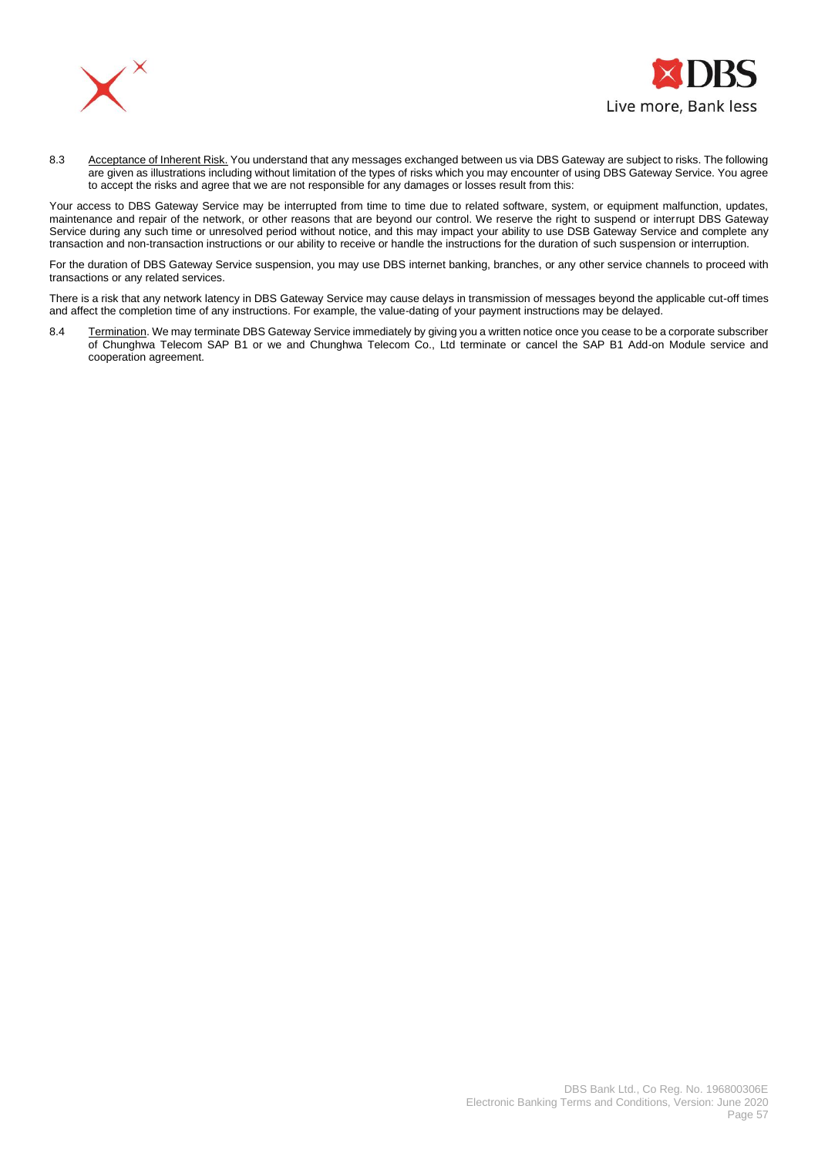



8.3 Acceptance of Inherent Risk. You understand that any messages exchanged between us via DBS Gateway are subject to risks. The following are given as illustrations including without limitation of the types of risks which you may encounter of using DBS Gateway Service. You agree to accept the risks and agree that we are not responsible for any damages or losses result from this:

Your access to DBS Gateway Service may be interrupted from time to time due to related software, system, or equipment malfunction, updates, maintenance and repair of the network, or other reasons that are beyond our control. We reserve the right to suspend or interrupt DBS Gateway Service during any such time or unresolved period without notice, and this may impact your ability to use DSB Gateway Service and complete any transaction and non-transaction instructions or our ability to receive or handle the instructions for the duration of such suspension or interruption.

For the duration of DBS Gateway Service suspension, you may use DBS internet banking, branches, or any other service channels to proceed with transactions or any related services.

There is a risk that any network latency in DBS Gateway Service may cause delays in transmission of messages beyond the applicable cut-off times and affect the completion time of any instructions. For example, the value-dating of your payment instructions may be delayed.

8.4 Termination. We may terminate DBS Gateway Service immediately by giving you a written notice once you cease to be a corporate subscriber of Chunghwa Telecom SAP B1 or we and Chunghwa Telecom Co., Ltd terminate or cancel the SAP B1 Add-on Module service and cooperation agreement.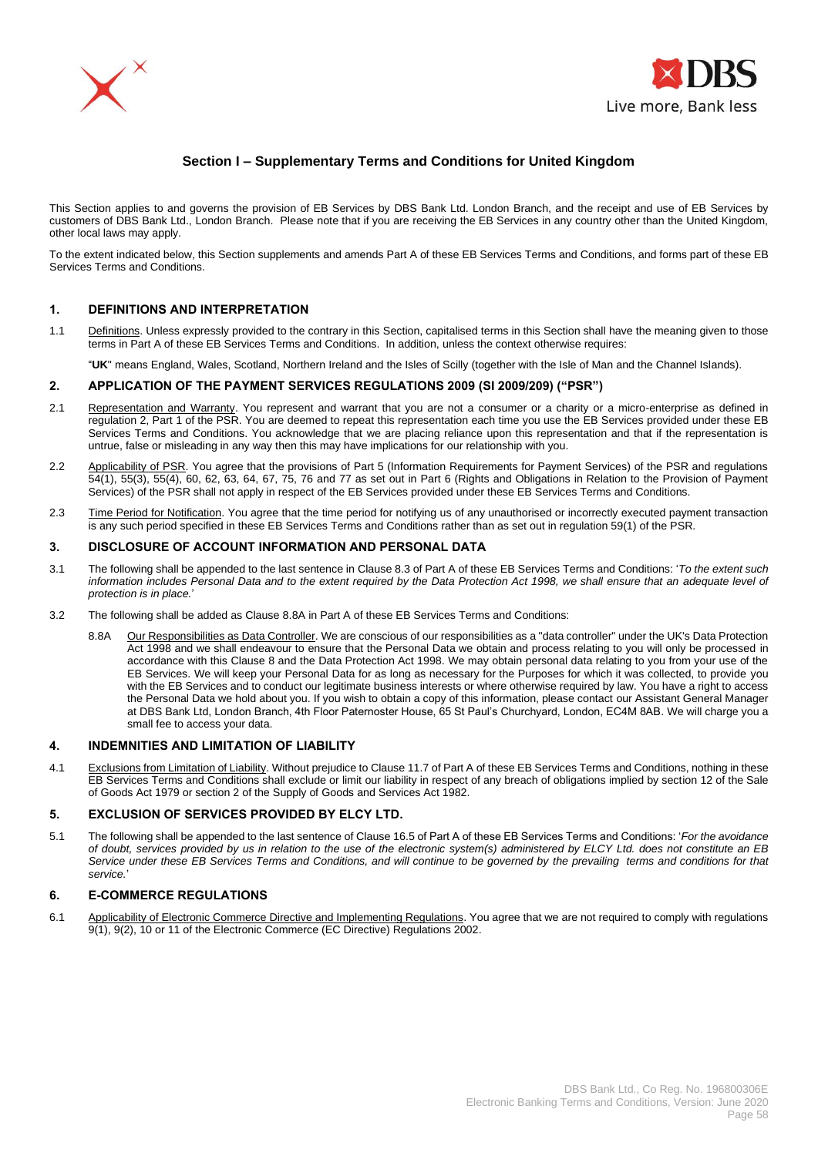



# **Section I – Supplementary Terms and Conditions for United Kingdom**

This Section applies to and governs the provision of EB Services by DBS Bank Ltd. London Branch, and the receipt and use of EB Services by customers of DBS Bank Ltd., London Branch. Please note that if you are receiving the EB Services in any country other than the United Kingdom, other local laws may apply.

To the extent indicated below, this Section supplements and amends Part A of these EB Services Terms and Conditions, and forms part of these EB Services Terms and Conditions.

# **1. DEFINITIONS AND INTERPRETATION**

1.1 Definitions. Unless expressly provided to the contrary in this Section, capitalised terms in this Section shall have the meaning given to those terms in Part A of these EB Services Terms and Conditions. In addition, unless the context otherwise requires:

"**UK**" means England, Wales, Scotland, Northern Ireland and the Isles of Scilly (together with the Isle of Man and the Channel Islands).

### **2. APPLICATION OF THE PAYMENT SERVICES REGULATIONS 2009 (SI 2009/209) ("PSR")**

- 2.1 Representation and Warranty. You represent and warrant that you are not a consumer or a charity or a micro-enterprise as defined in regulation 2, Part 1 of the PSR. You are deemed to repeat this representation each time you use the EB Services provided under these EB Services Terms and Conditions. You acknowledge that we are placing reliance upon this representation and that if the representation is untrue, false or misleading in any way then this may have implications for our relationship with you.
- 2.2 Applicability of PSR. You agree that the provisions of Part 5 (Information Requirements for Payment Services) of the PSR and regulations 54(1), 55(3), 55(4), 60, 62, 63, 64, 67, 75, 76 and 77 as set out in Part 6 (Rights and Obligations in Relation to the Provision of Payment Services) of the PSR shall not apply in respect of the EB Services provided under these EB Services Terms and Conditions.
- 2.3 Time Period for Notification. You agree that the time period for notifying us of any unauthorised or incorrectly executed payment transaction is any such period specified in these EB Services Terms and Conditions rather than as set out in regulation 59(1) of the PSR.

# **3. DISCLOSURE OF ACCOUNT INFORMATION AND PERSONAL DATA**

- 3.1 The following shall be appended to the last sentence in Claus[e 8.3](#page-5-7) of Part A of these EB Services Terms and Conditions: '*To the extent such information includes Personal Data and to the extent required by the Data Protection Act 1998, we shall ensure that an adequate level of protection is in place.*'
- 3.2 The following shall be added as Clause 8.8A in Part A of these EB Services Terms and Conditions:
	- 8.8A Our Responsibilities as Data Controller. We are conscious of our responsibilities as a "data controller" under the UK's Data Protection Act 1998 and we shall endeavour to ensure that the Personal Data we obtain and process relating to you will only be processed in accordance with this Clause 8 and the Data Protection Act 1998. We may obtain personal data relating to you from your use of the EB Services. We will keep your Personal Data for as long as necessary for the Purposes for which it was collected, to provide you with the EB Services and to conduct our legitimate business interests or where otherwise required by law. You have a right to access the Personal Data we hold about you. If you wish to obtain a copy of this information, please contact our Assistant General Manager at DBS Bank Ltd, London Branch, 4th Floor Paternoster House, 65 St Paul's Churchyard, London, EC4M 8AB. We will charge you a small fee to access your data.

# **4. INDEMNITIES AND LIMITATION OF LIABILITY**

4.1 Exclusions from Limitation of Liability. Without prejudice to Claus[e 11.7](#page-7-2) of Part A of these EB Services Terms and Conditions, nothing in these EB Services Terms and Conditions shall exclude or limit our liability in respect of any breach of obligations implied by section 12 of the Sale of Goods Act 1979 or section 2 of the Supply of Goods and Services Act 1982.

#### **5. EXCLUSION OF SERVICES PROVIDED BY ELCY LTD.**

5.1 The following shall be appended to the last sentence of Claus[e 16.5](#page-9-3) of Part A of these EB Services Terms and Conditions: '*For the avoidance of doubt, services provided by us in relation to the use of the electronic system(s) administered by ELCY Ltd. does not constitute an EB Service under these EB Services Terms and Conditions, and will continue to be governed by the prevailing terms and conditions for that service.*'

# **6. E-COMMERCE REGULATIONS**

6.1 Applicability of Electronic Commerce Directive and Implementing Regulations. You agree that we are not required to comply with regulations 9(1), 9(2), 10 or 11 of the Electronic Commerce (EC Directive) Regulations 2002.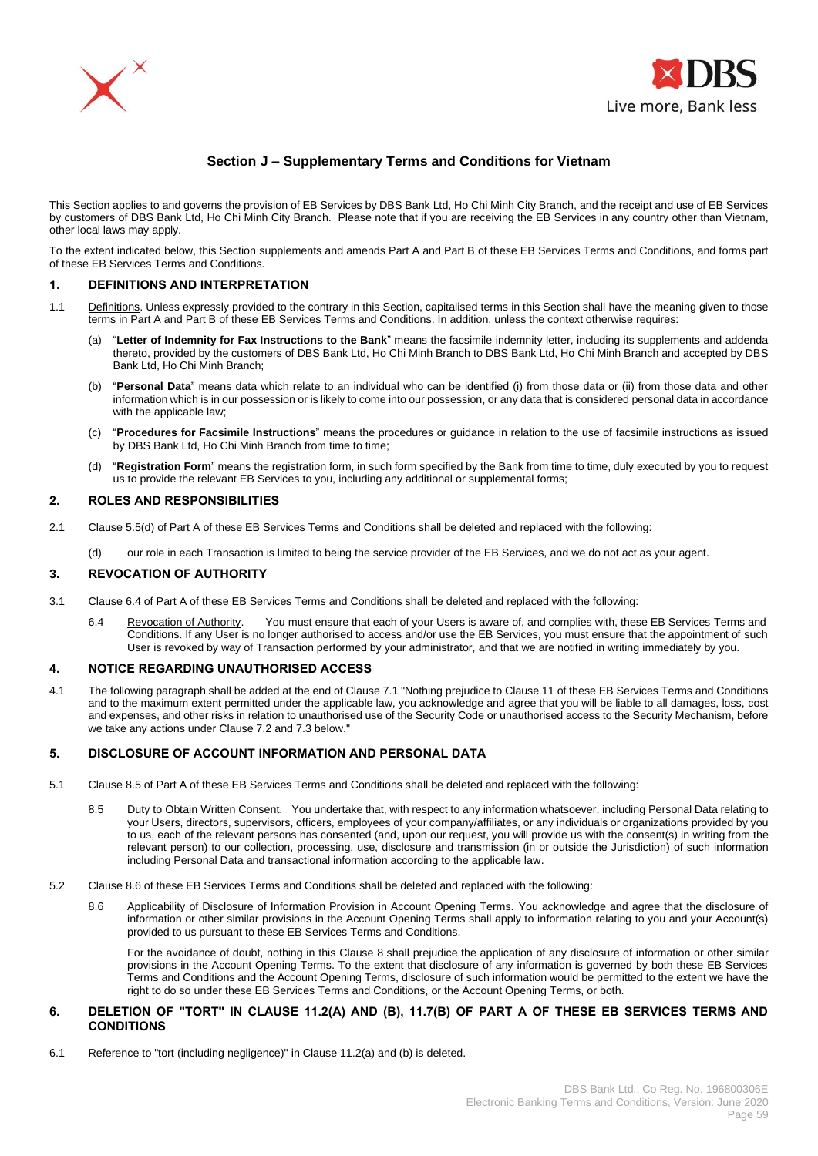



# **Section J – Supplementary Terms and Conditions for Vietnam**

This Section applies to and governs the provision of EB Services by DBS Bank Ltd, Ho Chi Minh City Branch, and the receipt and use of EB Services by customers of DBS Bank Ltd, Ho Chi Minh City Branch. Please note that if you are receiving the EB Services in any country other than Vietnam, other local laws may apply.

To the extent indicated below, this Section supplements and amends Part A and Part B of these EB Services Terms and Conditions, and forms part of these EB Services Terms and Conditions.

# **1. DEFINITIONS AND INTERPRETATION**

- 1.1 Definitions. Unless expressly provided to the contrary in this Section, capitalised terms in this Section shall have the meaning given to those terms in Part A and Part B of these EB Services Terms and Conditions. In addition, unless the context otherwise requires:
	- (a) "**Letter of Indemnity for Fax Instructions to the Bank**" means the facsimile indemnity letter, including its supplements and addenda thereto, provided by the customers of DBS Bank Ltd, Ho Chi Minh Branch to DBS Bank Ltd, Ho Chi Minh Branch and accepted by DBS Bank Ltd, Ho Chi Minh Branch;
	- (b) "**Personal Data**" means data which relate to an individual who can be identified (i) from those data or (ii) from those data and other information which is in our possession or is likely to come into our possession, or any data that is considered personal data in accordance with the applicable law:
	- (c) "**Procedures for Facsimile Instructions**" means the procedures or guidance in relation to the use of facsimile instructions as issued by DBS Bank Ltd, Ho Chi Minh Branch from time to time;
	- (d) "**Registration Form**" means the registration form, in such form specified by the Bank from time to time, duly executed by you to request us to provide the relevant EB Services to you, including any additional or supplemental forms;

### **2. ROLES AND RESPONSIBILITIES**

- 2.1 Clause 5.5(d) of Part A of these EB Services Terms and Conditions shall be deleted and replaced with the following:
	- (d) our role in each Transaction is limited to being the service provider of the EB Services, and we do not act as your agent.

#### **3. REVOCATION OF AUTHORITY**

- 3.1 Clause 6.4 of Part A of these EB Services Terms and Conditions shall be deleted and replaced with the following:
	- 6.4 Revocation of Authority. You must ensure that each of your Users is aware of, and complies with, these EB Services Terms and Conditions. If any User is no longer authorised to access and/or use the EB Services, you must ensure that the appointment of such User is revoked by way of Transaction performed by your administrator, and that we are notified in writing immediately by you.

#### **4. NOTICE REGARDING UNAUTHORISED ACCESS**

4.1 The following paragraph shall be added at the end of Clause 7.1 "Nothing prejudice to Clause 11 of these EB Services Terms and Conditions and to the maximum extent permitted under the applicable law, you acknowledge and agree that you will be liable to all damages, loss, cost and expenses, and other risks in relation to unauthorised use of the Security Code or unauthorised access to the Security Mechanism, before we take any actions under Clause 7.2 and 7.3 below."

#### **5. DISCLOSURE OF ACCOUNT INFORMATION AND PERSONAL DATA**

- 5.1 Clause 8.5 of Part A of these EB Services Terms and Conditions shall be deleted and replaced with the following:
	- 8.5 Duty to Obtain Written Consent. You undertake that, with respect to any information whatsoever, including Personal Data relating to your Users, directors, supervisors, officers, employees of your company/affiliates, or any individuals or organizations provided by you to us, each of the relevant persons has consented (and, upon our request, you will provide us with the consent(s) in writing from the relevant person) to our collection, processing, use, disclosure and transmission (in or outside the Jurisdiction) of such information including Personal Data and transactional information according to the applicable law.
- 5.2 Clause 8.6 of these EB Services Terms and Conditions shall be deleted and replaced with the following:
	- 8.6 Applicability of Disclosure of Information Provision in Account Opening Terms. You acknowledge and agree that the disclosure of information or other similar provisions in the Account Opening Terms shall apply to information relating to you and your Account(s) provided to us pursuant to these EB Services Terms and Conditions.

For the avoidance of doubt, nothing in this Clause 8 shall prejudice the application of any disclosure of information or other similar provisions in the Account Opening Terms. To the extent that disclosure of any information is governed by both these EB Services Terms and Conditions and the Account Opening Terms, disclosure of such information would be permitted to the extent we have the right to do so under these EB Services Terms and Conditions, or the Account Opening Terms, or both.

# **6. DELETION OF "TORT" IN CLAUSE 11.2(A) AND (B), 11.7(B) OF PART A OF THESE EB SERVICES TERMS AND CONDITIONS**

6.1 Reference to "tort (including negligence)" in Clause 11.2(a) and (b) is deleted.